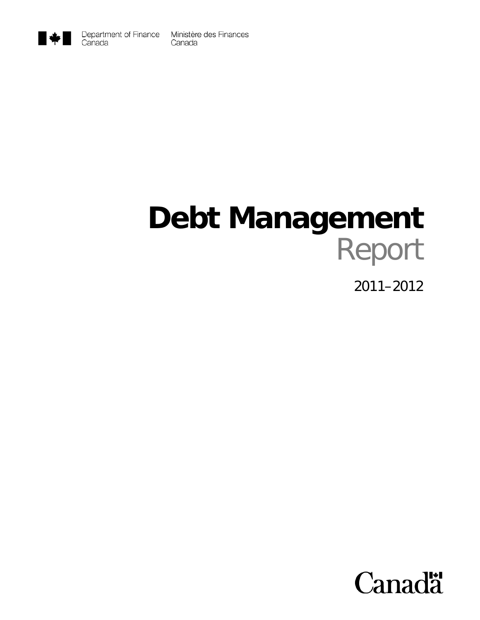

## **Debt Management**  Report

2011–2012

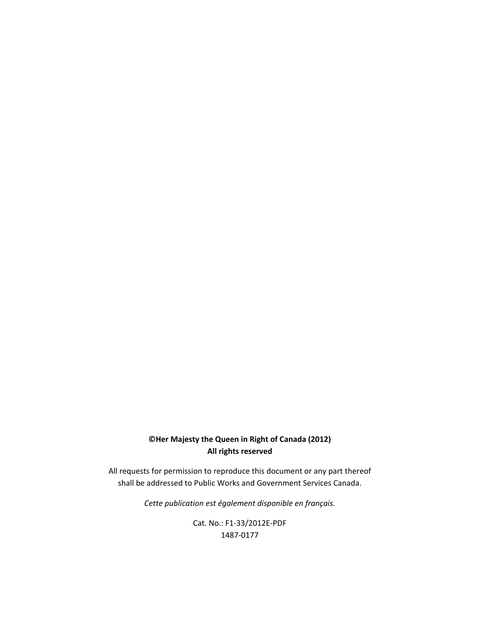#### **©Her Majesty the Queen in Right of Canada (2012) All rights reserved**

All requests for permission to reproduce this document or any part thereof shall be addressed to Public Works and Government Services Canada.

*Cette publication est également disponible en français.*

Cat. No.: F1‐33/2012E‐PDF 1487‐0177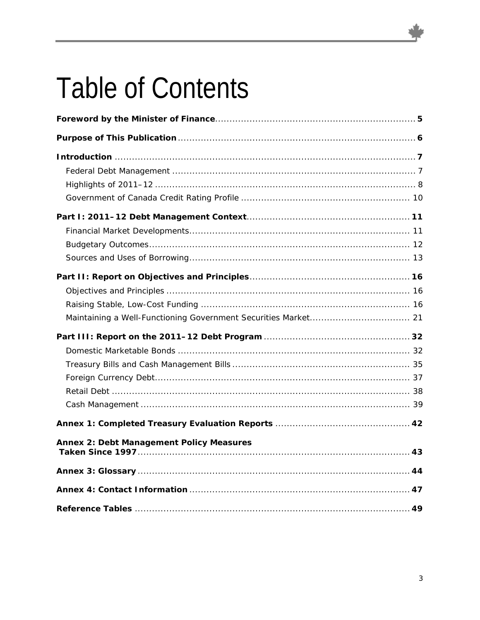## **Table of Contents**

| Annex 2: Debt Management Policy Measures |  |
|------------------------------------------|--|
|                                          |  |
|                                          |  |
|                                          |  |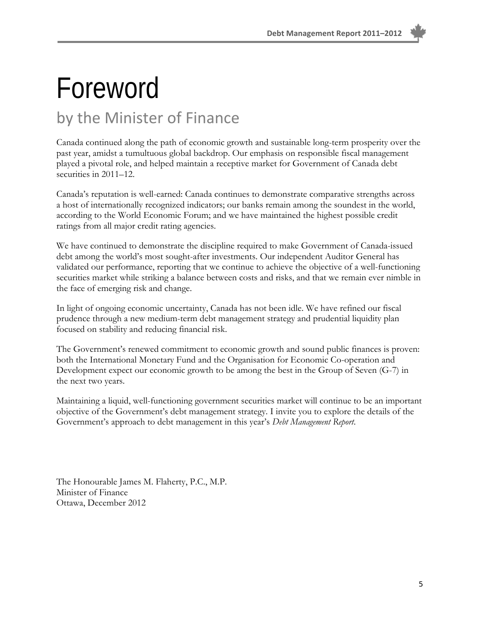# Foreword

### by the Minister of Finance

Canada continued along the path of economic growth and sustainable long-term prosperity over the past year, amidst a tumultuous global backdrop. Our emphasis on responsible fiscal management played a pivotal role, and helped maintain a receptive market for Government of Canada debt securities in 2011–12.

Canada's reputation is well-earned: Canada continues to demonstrate comparative strengths across a host of internationally recognized indicators; our banks remain among the soundest in the world, according to the World Economic Forum; and we have maintained the highest possible credit ratings from all major credit rating agencies.

We have continued to demonstrate the discipline required to make Government of Canada-issued debt among the world's most sought-after investments. Our independent Auditor General has validated our performance, reporting that we continue to achieve the objective of a well-functioning securities market while striking a balance between costs and risks, and that we remain ever nimble in the face of emerging risk and change.

In light of ongoing economic uncertainty, Canada has not been idle. We have refined our fiscal prudence through a new medium-term debt management strategy and prudential liquidity plan focused on stability and reducing financial risk.

The Government's renewed commitment to economic growth and sound public finances is proven: both the International Monetary Fund and the Organisation for Economic Co-operation and Development expect our economic growth to be among the best in the Group of Seven (G-7) in the next two years.

Maintaining a liquid, well-functioning government securities market will continue to be an important objective of the Government's debt management strategy. I invite you to explore the details of the Government's approach to debt management in this year's *Debt Management Report*.

The Honourable James M. Flaherty, P.C., M.P. Minister of Finance Ottawa, December 2012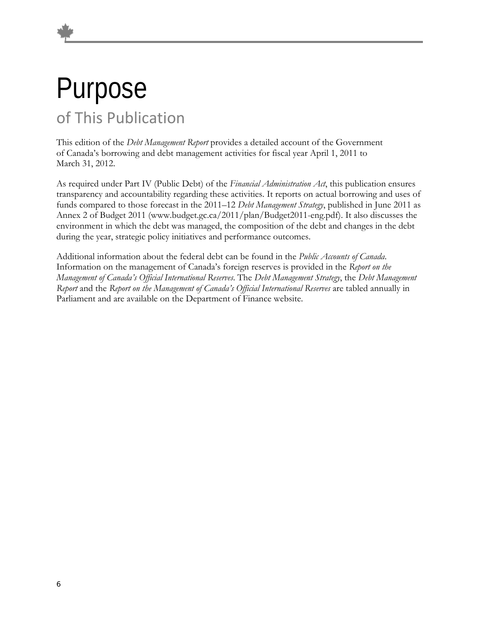### Purpose of This Publication

This edition of the *Debt Management Report* provides a detailed account of the Government of Canada's borrowing and debt management activities for fiscal year April 1, 2011 to March 31, 2012.

As required under Part IV (Public Debt) of the *Financial Administration Act*, this publication ensures transparency and accountability regarding these activities. It reports on actual borrowing and uses of funds compared to those forecast in the 2011–12 *Debt Management Strategy*, published in June 2011 as Annex 2 of Budget 2011 (www.budget.gc.ca/2011/plan/Budget2011-eng.pdf). It also discusses the environment in which the debt was managed, the composition of the debt and changes in the debt during the year, strategic policy initiatives and performance outcomes.

Additional information about the federal debt can be found in the *Public Accounts of Canada*. Information on the management of Canada's foreign reserves is provided in the *Report on the Management of Canada's Official International Reserves*. The *Debt Management Strategy*, the *Debt Management Report* and the *Report on the Management of Canada's Official International Reserves* are tabled annually in Parliament and are available on the Department of Finance website.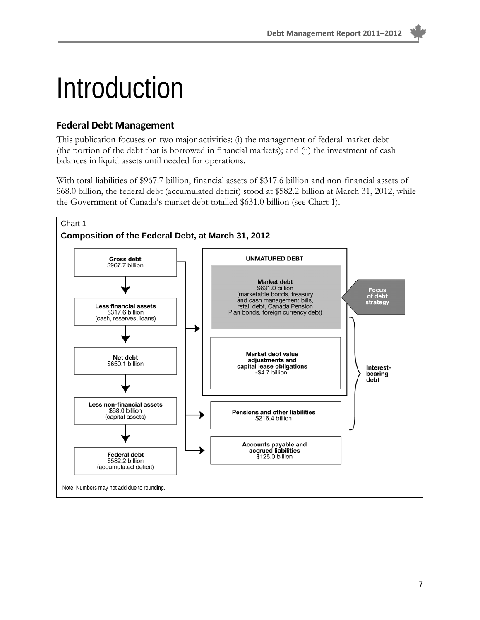## Introduction

#### **Federal Debt Management**

This publication focuses on two major activities: (i) the management of federal market debt (the portion of the debt that is borrowed in financial markets); and (ii) the investment of cash balances in liquid assets until needed for operations.

With total liabilities of \$967.7 billion, financial assets of \$317.6 billion and non-financial assets of \$68.0 billion, the federal debt (accumulated deficit) stood at \$582.2 billion at March 31, 2012, while the Government of Canada's market debt totalled \$631.0 billion (see Chart 1).

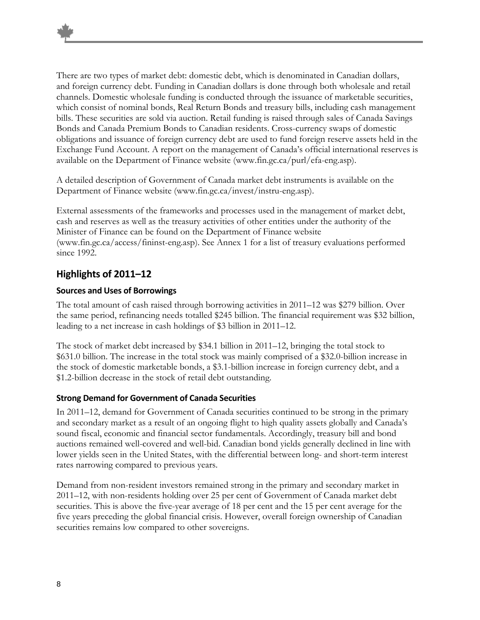There are two types of market debt: domestic debt, which is denominated in Canadian dollars, and foreign currency debt. Funding in Canadian dollars is done through both wholesale and retail channels. Domestic wholesale funding is conducted through the issuance of marketable securities, which consist of nominal bonds, Real Return Bonds and treasury bills, including cash management bills. These securities are sold via auction. Retail funding is raised through sales of Canada Savings Bonds and Canada Premium Bonds to Canadian residents. Cross-currency swaps of domestic obligations and issuance of foreign currency debt are used to fund foreign reserve assets held in the Exchange Fund Account. A report on the management of Canada's official international reserves is available on the Department of Finance website (www.fin.gc.ca/purl/efa-eng.asp).

A detailed description of Government of Canada market debt instruments is available on the Department of Finance website (www.fin.gc.ca/invest/instru-eng.asp).

External assessments of the frameworks and processes used in the management of market debt, cash and reserves as well as the treasury activities of other entities under the authority of the Minister of Finance can be found on the Department of Finance website (www.fin.gc.ca/access/fininst-eng.asp). See Annex 1 for a list of treasury evaluations performed since 1992.

#### **Highlights of 2011–12**

#### **Sources and Uses of Borrowings**

The total amount of cash raised through borrowing activities in 2011–12 was \$279 billion. Over the same period, refinancing needs totalled \$245 billion. The financial requirement was \$32 billion, leading to a net increase in cash holdings of \$3 billion in 2011–12.

The stock of market debt increased by \$34.1 billion in 2011–12, bringing the total stock to \$631.0 billion. The increase in the total stock was mainly comprised of a \$32.0-billion increase in the stock of domestic marketable bonds, a \$3.1-billion increase in foreign currency debt, and a \$1.2-billion decrease in the stock of retail debt outstanding.

#### **Strong Demand for Government of Canada Securities**

In 2011–12, demand for Government of Canada securities continued to be strong in the primary and secondary market as a result of an ongoing flight to high quality assets globally and Canada's sound fiscal, economic and financial sector fundamentals. Accordingly, treasury bill and bond auctions remained well-covered and well-bid. Canadian bond yields generally declined in line with lower yields seen in the United States, with the differential between long- and short-term interest rates narrowing compared to previous years.

Demand from non-resident investors remained strong in the primary and secondary market in 2011–12, with non-residents holding over 25 per cent of Government of Canada market debt securities. This is above the five-year average of 18 per cent and the 15 per cent average for the five years preceding the global financial crisis. However, overall foreign ownership of Canadian securities remains low compared to other sovereigns.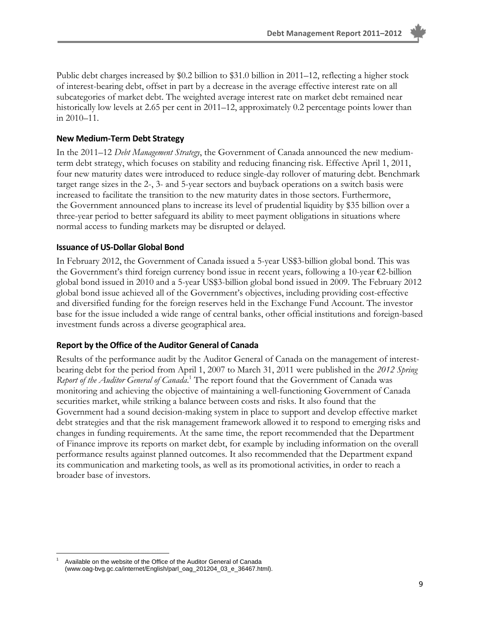Public debt charges increased by \$0.2 billion to \$31.0 billion in 2011–12, reflecting a higher stock of interest-bearing debt, offset in part by a decrease in the average effective interest rate on all subcategories of market debt. The weighted average interest rate on market debt remained near historically low levels at 2.65 per cent in 2011–12, approximately 0.2 percentage points lower than in 2010–11.

#### **New Medium‐Term Debt Strategy**

In the 2011–12 *Debt Management Strategy*, the Government of Canada announced the new mediumterm debt strategy, which focuses on stability and reducing financing risk. Effective April 1, 2011, four new maturity dates were introduced to reduce single-day rollover of maturing debt. Benchmark target range sizes in the 2-, 3- and 5-year sectors and buyback operations on a switch basis were increased to facilitate the transition to the new maturity dates in those sectors. Furthermore, the Government announced plans to increase its level of prudential liquidity by \$35 billion over a three-year period to better safeguard its ability to meet payment obligations in situations where normal access to funding markets may be disrupted or delayed.

#### **Issuance of US‐Dollar Global Bond**

In February 2012, the Government of Canada issued a 5-year US\$3-billion global bond. This was the Government's third foreign currency bond issue in recent years, following a 10-year  $\epsilon$ 2-billion global bond issued in 2010 and a 5-year US\$3-billion global bond issued in 2009. The February 2012 global bond issue achieved all of the Government's objectives, including providing cost-effective and diversified funding for the foreign reserves held in the Exchange Fund Account. The investor base for the issue included a wide range of central banks, other official institutions and foreign-based investment funds across a diverse geographical area.

#### **Report by the Office of the Auditor General of Canada**

Results of the performance audit by the Auditor General of Canada on the management of interestbearing debt for the period from April 1, 2007 to March 31, 2011 were published in the *2012 Spring*  Report of the Auditor General of Canada.<sup>1</sup> The report found that the Government of Canada was monitoring and achieving the objective of maintaining a well-functioning Government of Canada securities market, while striking a balance between costs and risks. It also found that the Government had a sound decision-making system in place to support and develop effective market debt strategies and that the risk management framework allowed it to respond to emerging risks and changes in funding requirements. At the same time, the report recommended that the Department of Finance improve its reports on market debt, for example by including information on the overall performance results against planned outcomes. It also recommended that the Department expand its communication and marketing tools, as well as its promotional activities, in order to reach a broader base of investors.

<sup>-</sup>1 Available on the website of the Office of the Auditor General of Canada (www.oag-bvg.gc.ca/internet/English/parl\_oag\_201204\_03\_e\_36467.html).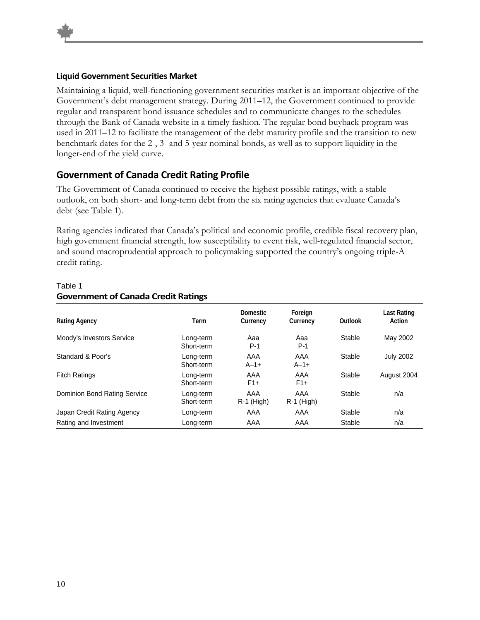#### **Liquid Government Securities Market**

Maintaining a liquid, well-functioning government securities market is an important objective of the Government's debt management strategy. During 2011–12, the Government continued to provide regular and transparent bond issuance schedules and to communicate changes to the schedules through the Bank of Canada website in a timely fashion. The regular bond buyback program was used in 2011–12 to facilitate the management of the debt maturity profile and the transition to new benchmark dates for the 2-, 3- and 5-year nominal bonds, as well as to support liquidity in the longer-end of the yield curve.

#### **Government of Canada Credit Rating Profile**

The Government of Canada continued to receive the highest possible ratings, with a stable outlook, on both short- and long-term debt from the six rating agencies that evaluate Canada's debt (see Table 1).

Rating agencies indicated that Canada's political and economic profile, credible fiscal recovery plan, high government financial strength, low susceptibility to event risk, well-regulated financial sector, and sound macroprudential approach to policymaking supported the country's ongoing triple-A credit rating.

| <b>Rating Agency</b>         | Term                    | <b>Domestic</b><br>Currency | Foreign<br>Currency | Outlook | Last Rating<br>Action |
|------------------------------|-------------------------|-----------------------------|---------------------|---------|-----------------------|
| Moody's Investors Service    | Long-term<br>Short-term | Aaa<br>P-1                  | Aaa<br>$P-1$        | Stable  | May 2002              |
| Standard & Poor's            | Long-term<br>Short-term | AAA<br>$A - 1 +$            | AAA<br>$A - 1 +$    | Stable  | <b>July 2002</b>      |
| <b>Fitch Ratings</b>         | Long-term<br>Short-term | AAA<br>$F1+$                | AAA<br>$F1+$        | Stable  | August 2004           |
| Dominion Bond Rating Service | Long-term<br>Short-term | AAA<br>$R-1$ (High)         | AAA<br>$R-1$ (High) | Stable  | n/a                   |
| Japan Credit Rating Agency   | Long-term               | AAA                         | AAA                 | Stable  | n/a                   |
| Rating and Investment        | Long-term               | AAA                         | AAA                 | Stable  | n/a                   |

#### Table 1 **Government of Canada Credit Ratings**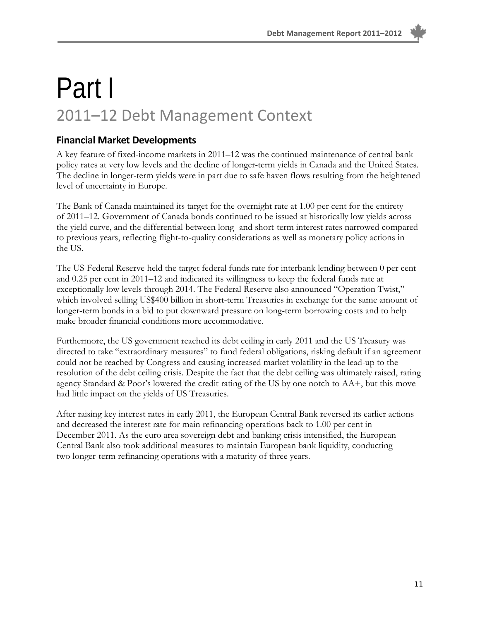### Part I 2011–12 Debt Management Context

#### **Financial Market Developments**

A key feature of fixed-income markets in 2011–12 was the continued maintenance of central bank policy rates at very low levels and the decline of longer-term yields in Canada and the United States. The decline in longer-term yields were in part due to safe haven flows resulting from the heightened level of uncertainty in Europe.

The Bank of Canada maintained its target for the overnight rate at 1.00 per cent for the entirety of 2011–12. Government of Canada bonds continued to be issued at historically low yields across the yield curve, and the differential between long- and short-term interest rates narrowed compared to previous years, reflecting flight-to-quality considerations as well as monetary policy actions in the US.

The US Federal Reserve held the target federal funds rate for interbank lending between 0 per cent and 0.25 per cent in 2011–12 and indicated its willingness to keep the federal funds rate at exceptionally low levels through 2014. The Federal Reserve also announced "Operation Twist," which involved selling US\$400 billion in short-term Treasuries in exchange for the same amount of longer-term bonds in a bid to put downward pressure on long-term borrowing costs and to help make broader financial conditions more accommodative.

Furthermore, the US government reached its debt ceiling in early 2011 and the US Treasury was directed to take "extraordinary measures" to fund federal obligations, risking default if an agreement could not be reached by Congress and causing increased market volatility in the lead-up to the resolution of the debt ceiling crisis. Despite the fact that the debt ceiling was ultimately raised, rating agency Standard & Poor's lowered the credit rating of the US by one notch to AA+, but this move had little impact on the yields of US Treasuries.

After raising key interest rates in early 2011, the European Central Bank reversed its earlier actions and decreased the interest rate for main refinancing operations back to 1.00 per cent in December 2011. As the euro area sovereign debt and banking crisis intensified, the European Central Bank also took additional measures to maintain European bank liquidity, conducting two longer-term refinancing operations with a maturity of three years.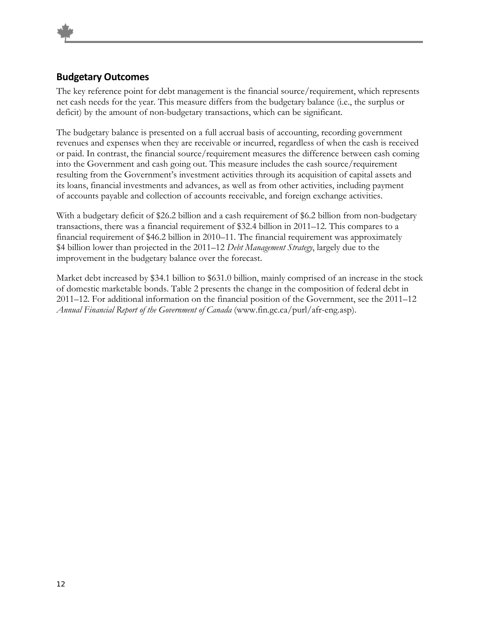#### **Budgetary Outcomes**

The key reference point for debt management is the financial source/requirement, which represents net cash needs for the year. This measure differs from the budgetary balance (i.e., the surplus or deficit) by the amount of non-budgetary transactions, which can be significant.

The budgetary balance is presented on a full accrual basis of accounting, recording government revenues and expenses when they are receivable or incurred, regardless of when the cash is received or paid. In contrast, the financial source/requirement measures the difference between cash coming into the Government and cash going out. This measure includes the cash source/requirement resulting from the Government's investment activities through its acquisition of capital assets and its loans, financial investments and advances, as well as from other activities, including payment of accounts payable and collection of accounts receivable, and foreign exchange activities.

With a budgetary deficit of \$26.2 billion and a cash requirement of \$6.2 billion from non-budgetary transactions, there was a financial requirement of \$32.4 billion in 2011–12. This compares to a financial requirement of \$46.2 billion in 2010–11. The financial requirement was approximately \$4 billion lower than projected in the 2011–12 *Debt Management Strategy*, largely due to the improvement in the budgetary balance over the forecast.

Market debt increased by \$34.1 billion to \$631.0 billion, mainly comprised of an increase in the stock of domestic marketable bonds. Table 2 presents the change in the composition of federal debt in 2011–12. For additional information on the financial position of the Government, see the 2011–12 *Annual Financial Report of the Government of Canada* (www.fin.gc.ca/purl/afr-eng.asp).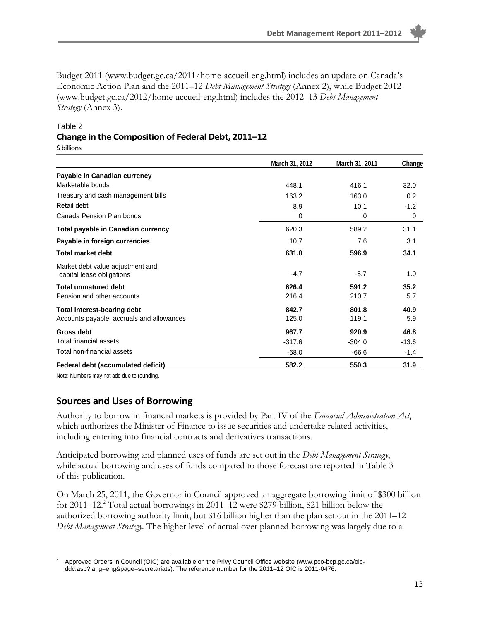Budget 2011 (www.budget.gc.ca/2011/home-accueil-eng.html) includes an update on Canada's Economic Action Plan and the 2011–12 *Debt Management Strategy* (Annex 2), while Budget 2012 (www.budget.gc.ca/2012/home-accueil-eng.html) includes the 2012–13 *Debt Management Strategy* (Annex 3).

#### Table 2 **Change in the Composition of Federal Debt, 2011–12** \$ billions

|                                                               | March 31, 2012 | March 31, 2011 | Change  |
|---------------------------------------------------------------|----------------|----------------|---------|
| Payable in Canadian currency                                  |                |                |         |
| Marketable bonds                                              | 448.1          | 416.1          | 32.0    |
| Treasury and cash management bills                            | 163.2          | 163.0          | 0.2     |
| Retail debt                                                   | 8.9            | 10.1           | $-1.2$  |
| Canada Pension Plan bonds                                     | 0              | 0              | 0       |
| Total payable in Canadian currency                            | 620.3          | 589.2          | 31.1    |
| Payable in foreign currencies                                 | 10.7           | 7.6            | 3.1     |
| Total market debt                                             | 631.0          | 596.9          | 34.1    |
| Market debt value adjustment and<br>capital lease obligations | $-4.7$         | $-5.7$         | 1.0     |
| Total unmatured debt                                          | 626.4          | 591.2          | 35.2    |
| Pension and other accounts                                    | 216.4          | 210.7          | 5.7     |
| <b>Total interest-bearing debt</b>                            | 842.7          | 801.8          | 40.9    |
| Accounts payable, accruals and allowances                     | 125.0          | 119.1          | 5.9     |
| <b>Gross debt</b>                                             | 967.7          | 920.9          | 46.8    |
| Total financial assets                                        | $-317.6$       | $-304.0$       | $-13.6$ |
| Total non-financial assets                                    | $-68.0$        | $-66.6$        | $-1.4$  |
| Federal debt (accumulated deficit)                            | 582.2          | 550.3          | 31.9    |

Note: Numbers may not add due to rounding.

#### **Sources and Uses of Borrowing**

Authority to borrow in financial markets is provided by Part IV of the *Financial Administration Act*, which authorizes the Minister of Finance to issue securities and undertake related activities, including entering into financial contracts and derivatives transactions.

Anticipated borrowing and planned uses of funds are set out in the *Debt Management Strategy*, while actual borrowing and uses of funds compared to those forecast are reported in Table 3 of this publication.

On March 25, 2011, the Governor in Council approved an aggregate borrowing limit of \$300 billion for 2011–12.<sup>2</sup> Total actual borrowings in 2011–12 were \$279 billion, \$21 billion below the authorized borrowing authority limit, but \$16 billion higher than the plan set out in the 2011–12 *Debt Management Strategy.* The higher level of actual over planned borrowing was largely due to a

 $\overline{a}$ 2 Approved Orders in Council (OIC) are available on the Privy Council Office website (www.pco-bcp.gc.ca/oicddc.asp?lang=eng&page=secretariats). The reference number for the 2011–12 OIC is 2011-0476.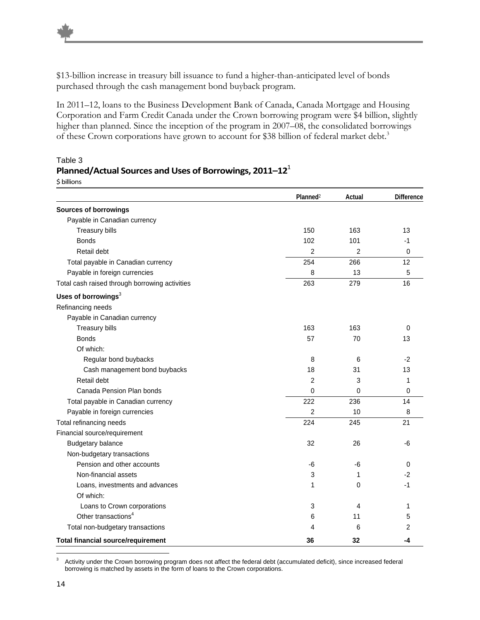\$13-billion increase in treasury bill issuance to fund a higher-than-anticipated level of bonds purchased through the cash management bond buyback program.

In 2011–12, loans to the Business Development Bank of Canada, Canada Mortgage and Housing Corporation and Farm Credit Canada under the Crown borrowing program were \$4 billion, slightly higher than planned. Since the inception of the program in 2007–08, the consolidated borrowings of these Crown corporations have grown to account for \$38 billion of federal market debt.<sup>3</sup>

|                                                | Planned <sup>2</sup> | Actual         | <b>Difference</b> |
|------------------------------------------------|----------------------|----------------|-------------------|
| <b>Sources of borrowings</b>                   |                      |                |                   |
| Payable in Canadian currency                   |                      |                |                   |
| Treasury bills                                 | 150                  | 163            | 13                |
| <b>Bonds</b>                                   | 102                  | 101            | $-1$              |
| Retail debt                                    | $\overline{c}$       | $\overline{2}$ | $\mathbf 0$       |
| Total payable in Canadian currency             | 254                  | 266            | 12                |
| Payable in foreign currencies                  | 8                    | 13             | 5                 |
| Total cash raised through borrowing activities | 263                  | 279            | 16                |
| Uses of borrowings <sup>3</sup>                |                      |                |                   |
| Refinancing needs                              |                      |                |                   |
| Payable in Canadian currency                   |                      |                |                   |
| <b>Treasury bills</b>                          | 163                  | 163            | $\Omega$          |
| <b>Bonds</b>                                   | 57                   | 70             | 13                |
| Of which:                                      |                      |                |                   |
| Regular bond buybacks                          | 8                    | 6              | $-2$              |
| Cash management bond buybacks                  | 18                   | 31             | 13                |
| Retail debt                                    | 2                    | 3              | 1                 |
| Canada Pension Plan bonds                      | 0                    | 0              | $\mathbf 0$       |
| Total payable in Canadian currency             | 222                  | 236            | 14                |
| Payable in foreign currencies                  | 2                    | 10             | 8                 |
| Total refinancing needs                        | 224                  | 245            | 21                |
| Financial source/requirement                   |                      |                |                   |
| Budgetary balance                              | 32                   | 26             | -6                |
| Non-budgetary transactions                     |                      |                |                   |
| Pension and other accounts                     | -6                   | -6             | $\Omega$          |
| Non-financial assets                           | 3                    | 1              | -2                |
| Loans, investments and advances                | 1                    | 0              | -1                |
| Of which:                                      |                      |                |                   |
| Loans to Crown corporations                    | 3                    | 4              | 1                 |
| Other transactions <sup>4</sup>                | 6                    | 11             | 5                 |
| Total non-budgetary transactions               | 4                    | 6              | 2                 |
| <b>Total financial source/requirement</b>      | 36                   | 32             | -4                |

#### Table 3 **Planned/Actual Sources andUses of Borrowings, 2011–12**<sup>1</sup> \$ billions

<sup>-&</sup>lt;br>3 Activity under the Crown borrowing program does not affect the federal debt (accumulated deficit), since increased federal borrowing is matched by assets in the form of loans to the Crown corporations.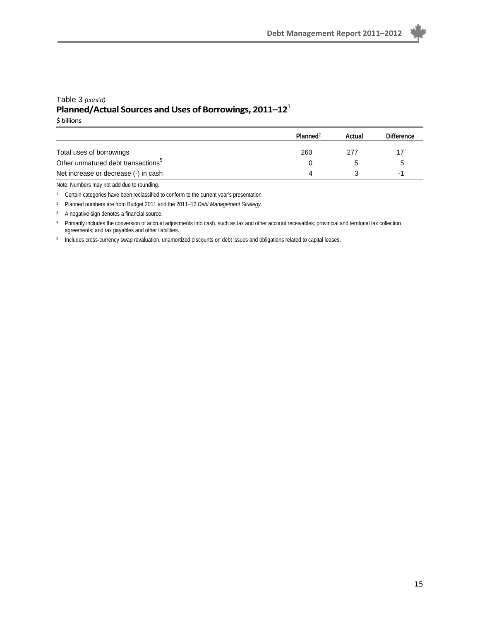#### Table 3 *(cont'd)* **Planned/Actual Sources andUses of Borrowings, 2011–12**<sup>1</sup>

\$ billions

|                                                | Planned <sup>2</sup> | Actual | <b>Difference</b> |
|------------------------------------------------|----------------------|--------|-------------------|
| Total uses of borrowings                       | 260                  | 277    |                   |
| Other unmatured debt transactions <sup>5</sup> |                      |        |                   |
| Net increase or decrease (-) in cash           | $\Lambda$            |        | -1                |

Note: Numbers may not add due to rounding.

1 Certain categories have been reclassified to conform to the current year's presentation.

2 Planned numbers are from Budget 2011 and the 2011–12 *Debt Management Strategy*.

3 A negative sign denotes a financial source.

4 Primarily includes the conversion of accrual adjustments into cash, such as tax and other account receivables; provincial and territorial tax collection agreements; and tax payables and other liabilities.

5 Includes cross-currency swap revaluation, unamortized discounts on debt issues and obligations related to capital leases.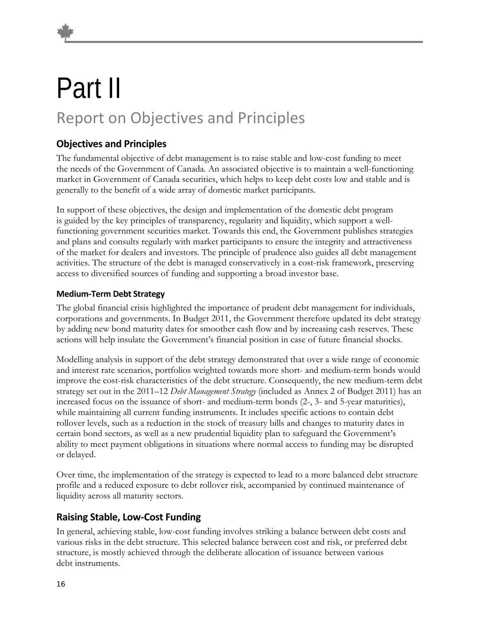## Part II Report on Objectives and Principles

#### **Objectives and Principles**

The fundamental objective of debt management is to raise stable and low-cost funding to meet the needs of the Government of Canada. An associated objective is to maintain a well-functioning market in Government of Canada securities, which helps to keep debt costs low and stable and is generally to the benefit of a wide array of domestic market participants.

In support of these objectives, the design and implementation of the domestic debt program is guided by the key principles of transparency, regularity and liquidity, which support a wellfunctioning government securities market. Towards this end, the Government publishes strategies and plans and consults regularly with market participants to ensure the integrity and attractiveness of the market for dealers and investors. The principle of prudence also guides all debt management activities. The structure of the debt is managed conservatively in a cost-risk framework, preserving access to diversified sources of funding and supporting a broad investor base.

#### **Medium‐Term Debt Strategy**

The global financial crisis highlighted the importance of prudent debt management for individuals, corporations and governments. In Budget 2011, the Government therefore updated its debt strategy by adding new bond maturity dates for smoother cash flow and by increasing cash reserves. These actions will help insulate the Government's financial position in case of future financial shocks.

Modelling analysis in support of the debt strategy demonstrated that over a wide range of economic and interest rate scenarios, portfolios weighted towards more short- and medium-term bonds would improve the cost-risk characteristics of the debt structure. Consequently, the new medium-term debt strategy set out in the 2011–12 *Debt Management Strategy* (included as Annex 2 of Budget 2011) has an increased focus on the issuance of short- and medium-term bonds (2-, 3- and 5-year maturities), while maintaining all current funding instruments. It includes specific actions to contain debt rollover levels, such as a reduction in the stock of treasury bills and changes to maturity dates in certain bond sectors, as well as a new prudential liquidity plan to safeguard the Government's ability to meet payment obligations in situations where normal access to funding may be disrupted or delayed.

Over time, the implementation of the strategy is expected to lead to a more balanced debt structure profile and a reduced exposure to debt rollover risk, accompanied by continued maintenance of liquidity across all maturity sectors.

#### **Raising Stable, Low‐Cost Funding**

In general, achieving stable, low-cost funding involves striking a balance between debt costs and various risks in the debt structure. This selected balance between cost and risk, or preferred debt structure, is mostly achieved through the deliberate allocation of issuance between various debt instruments.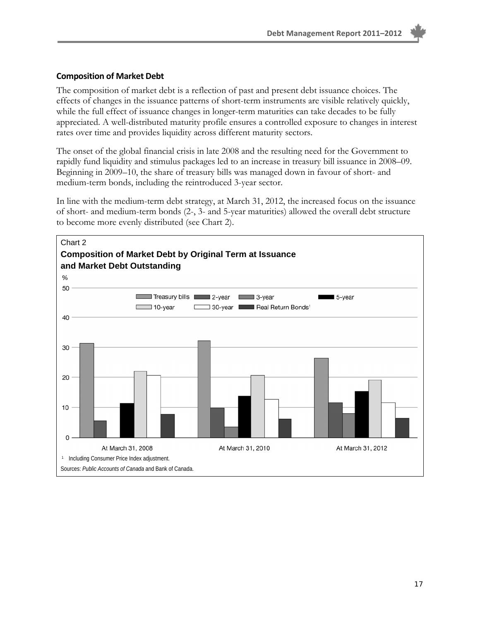#### **Composition of Market Debt**

The composition of market debt is a reflection of past and present debt issuance choices. The effects of changes in the issuance patterns of short-term instruments are visible relatively quickly, while the full effect of issuance changes in longer-term maturities can take decades to be fully appreciated. A well-distributed maturity profile ensures a controlled exposure to changes in interest rates over time and provides liquidity across different maturity sectors.

The onset of the global financial crisis in late 2008 and the resulting need for the Government to rapidly fund liquidity and stimulus packages led to an increase in treasury bill issuance in 2008–09. Beginning in 2009–10, the share of treasury bills was managed down in favour of short- and medium-term bonds, including the reintroduced 3-year sector.

In line with the medium-term debt strategy, at March 31, 2012, the increased focus on the issuance of short- and medium-term bonds (2-, 3- and 5-year maturities) allowed the overall debt structure to become more evenly distributed (see Chart 2).

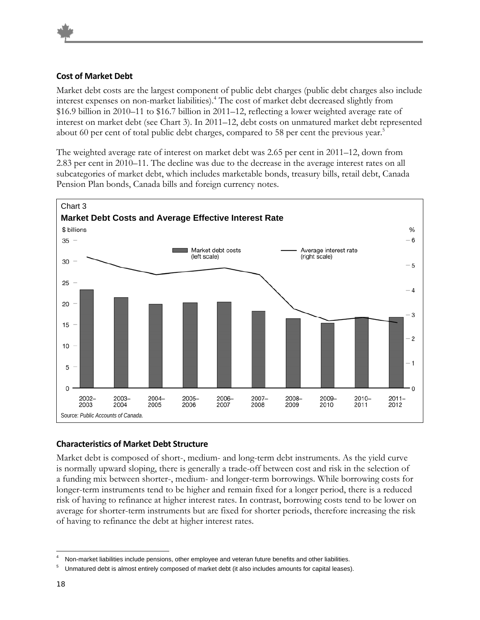#### **Cost of Market Debt**

Market debt costs are the largest component of public debt charges (public debt charges also include interest expenses on non-market liabilities).4 The cost of market debt decreased slightly from \$16.9 billion in 2010–11 to \$16.7 billion in 2011–12, reflecting a lower weighted average rate of interest on market debt (see Chart 3). In 2011–12, debt costs on unmatured market debt represented about 60 per cent of total public debt charges, compared to 58 per cent the previous year.<sup>5</sup>

The weighted average rate of interest on market debt was 2.65 per cent in 2011–12, down from 2.83 per cent in 2010–11. The decline was due to the decrease in the average interest rates on all subcategories of market debt, which includes marketable bonds, treasury bills, retail debt, Canada Pension Plan bonds, Canada bills and foreign currency notes.



#### **Characteristics of Market Debt Structure**

Market debt is composed of short-, medium- and long-term debt instruments. As the yield curve is normally upward sloping, there is generally a trade-off between cost and risk in the selection of a funding mix between shorter-, medium- and longer-term borrowings. While borrowing costs for longer-term instruments tend to be higher and remain fixed for a longer period, there is a reduced risk of having to refinance at higher interest rates. In contrast, borrowing costs tend to be lower on average for shorter-term instruments but are fixed for shorter periods, therefore increasing the risk of having to refinance the debt at higher interest rates.

 $\overline{a}$ Non-market liabilities include pensions, other employee and veteran future benefits and other liabilities.

<sup>5</sup> Unmatured debt is almost entirely composed of market debt (it also includes amounts for capital leases).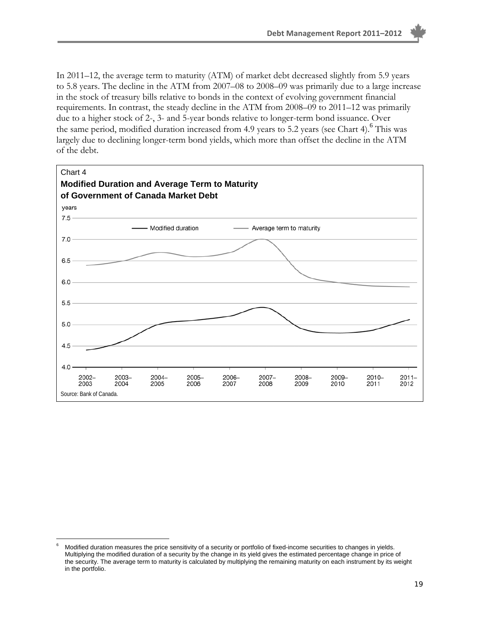In 2011–12, the average term to maturity (ATM) of market debt decreased slightly from 5.9 years to 5.8 years. The decline in the ATM from 2007–08 to 2008–09 was primarily due to a large increase in the stock of treasury bills relative to bonds in the context of evolving government financial requirements. In contrast, the steady decline in the ATM from 2008–09 to 2011–12 was primarily due to a higher stock of 2-, 3- and 5-year bonds relative to longer-term bond issuance. Over the same period, modified duration increased from 4.9 years to 5.2 years (see Chart 4). <sup>6</sup> This was largely due to declining longer-term bond yields, which more than offset the decline in the ATM of the debt.



 $\overline{a}$ 6 Modified duration measures the price sensitivity of a security or portfolio of fixed-income securities to changes in yields. Multiplying the modified duration of a security by the change in its yield gives the estimated percentage change in price of the security. The average term to maturity is calculated by multiplying the remaining maturity on each instrument by its weight in the portfolio.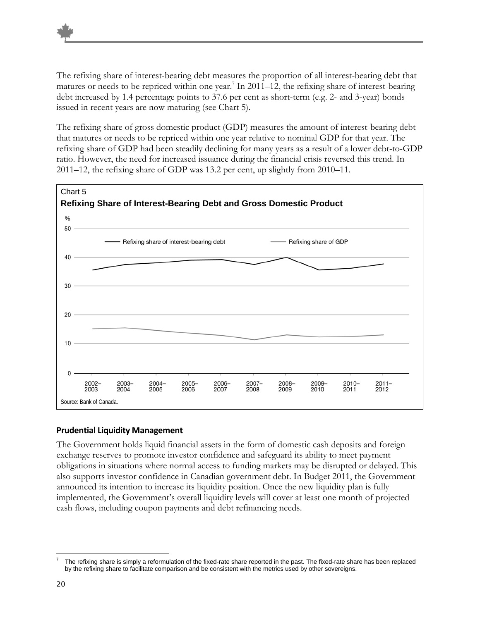The refixing share of interest-bearing debt measures the proportion of all interest-bearing debt that matures or needs to be repriced within one year.<sup>7</sup> In 2011–12, the refixing share of interest-bearing debt increased by 1.4 percentage points to 37.6 per cent as short-term (e.g. 2- and 3-year) bonds issued in recent years are now maturing (see Chart 5).

The refixing share of gross domestic product (GDP) measures the amount of interest-bearing debt that matures or needs to be repriced within one year relative to nominal GDP for that year. The refixing share of GDP had been steadily declining for many years as a result of a lower debt-to-GDP ratio. However, the need for increased issuance during the financial crisis reversed this trend. In 2011–12, the refixing share of GDP was 13.2 per cent, up slightly from 2010–11.



#### **Prudential Liquidity Management**

The Government holds liquid financial assets in the form of domestic cash deposits and foreign exchange reserves to promote investor confidence and safeguard its ability to meet payment obligations in situations where normal access to funding markets may be disrupted or delayed. This also supports investor confidence in Canadian government debt. In Budget 2011, the Government announced its intention to increase its liquidity position. Once the new liquidity plan is fully implemented, the Government's overall liquidity levels will cover at least one month of projected cash flows, including coupon payments and debt refinancing needs.

 $\overline{a}$ 7 The refixing share is simply a reformulation of the fixed-rate share reported in the past. The fixed-rate share has been replaced by the refixing share to facilitate comparison and be consistent with the metrics used by other sovereigns.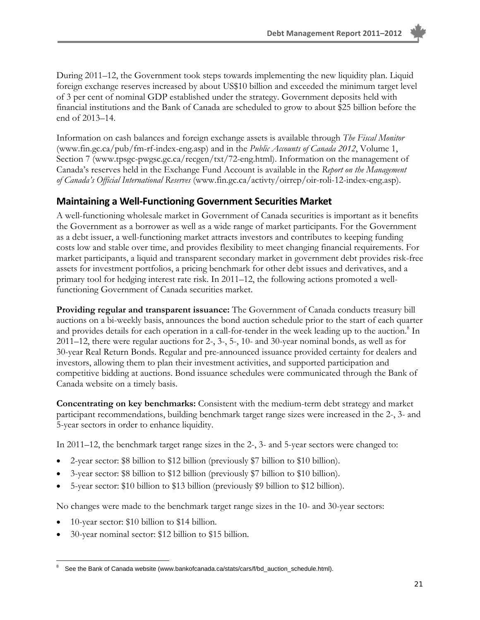During 2011–12, the Government took steps towards implementing the new liquidity plan. Liquid foreign exchange reserves increased by about US\$10 billion and exceeded the minimum target level of 3 per cent of nominal GDP established under the strategy. Government deposits held with financial institutions and the Bank of Canada are scheduled to grow to about \$25 billion before the end of 2013–14.

Information on cash balances and foreign exchange assets is available through *The Fiscal Monitor* (www.fin.gc.ca/pub/fm-rf-index-eng.asp) and in the *Public Accounts of Canada 2012*, Volume 1, Section 7 (www.tpsgc-pwgsc.gc.ca/recgen/txt/72-eng.html). Information on the management of Canada's reserves held in the Exchange Fund Account is available in the *Report on the Management of Canada's Official International Reserves* (www.fin.gc.ca/activty/oirrep/oir-roli-12-index-eng.asp).

#### **Maintaining a Well‐Functioning Government Securities Market**

A well-functioning wholesale market in Government of Canada securities is important as it benefits the Government as a borrower as well as a wide range of market participants. For the Government as a debt issuer, a well-functioning market attracts investors and contributes to keeping funding costs low and stable over time, and provides flexibility to meet changing financial requirements. For market participants, a liquid and transparent secondary market in government debt provides risk-free assets for investment portfolios, a pricing benchmark for other debt issues and derivatives, and a primary tool for hedging interest rate risk. In 2011–12, the following actions promoted a wellfunctioning Government of Canada securities market.

**Providing regular and transparent issuance:** The Government of Canada conducts treasury bill auctions on a bi-weekly basis, announces the bond auction schedule prior to the start of each quarter and provides details for each operation in a call-for-tender in the week leading up to the auction.<sup>8</sup> In 2011–12, there were regular auctions for 2-, 3-, 5-, 10- and 30-year nominal bonds, as well as for 30-year Real Return Bonds. Regular and pre-announced issuance provided certainty for dealers and investors, allowing them to plan their investment activities, and supported participation and competitive bidding at auctions. Bond issuance schedules were communicated through the Bank of Canada website on a timely basis.

**Concentrating on key benchmarks:** Consistent with the medium-term debt strategy and market participant recommendations, building benchmark target range sizes were increased in the 2-, 3- and 5-year sectors in order to enhance liquidity.

In 2011–12, the benchmark target range sizes in the 2-, 3- and 5-year sectors were changed to:

- 2-year sector: \$8 billion to \$12 billion (previously \$7 billion to \$10 billion).
- 3-year sector: \$8 billion to \$12 billion (previously \$7 billion to \$10 billion).
- 5-year sector: \$10 billion to \$13 billion (previously \$9 billion to \$12 billion).

No changes were made to the benchmark target range sizes in the 10- and 30-year sectors:

- 10-year sector: \$10 billion to \$14 billion.
- 30-year nominal sector: \$12 billion to \$15 billion.

 $\overline{a}$ See the Bank of Canada website (www.bankofcanada.ca/stats/cars/f/bd\_auction\_schedule.html).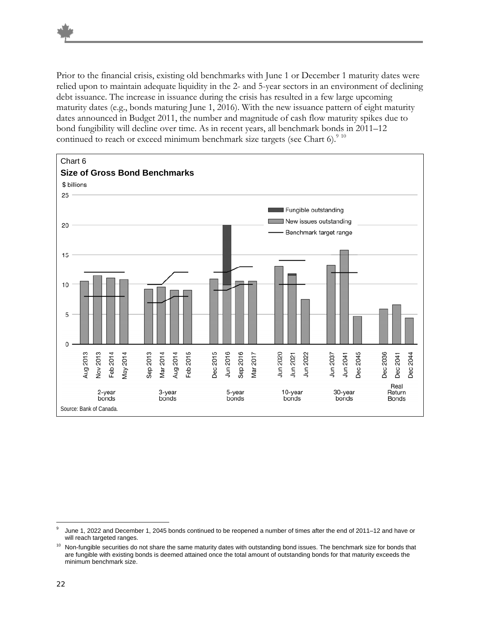Prior to the financial crisis, existing old benchmarks with June 1 or December 1 maturity dates were relied upon to maintain adequate liquidity in the 2- and 5-year sectors in an environment of declining debt issuance. The increase in issuance during the crisis has resulted in a few large upcoming maturity dates (e.g., bonds maturing June 1, 2016). With the new issuance pattern of eight maturity dates announced in Budget 2011, the number and magnitude of cash flow maturity spikes due to bond fungibility will decline over time. As in recent years, all benchmark bonds in 2011–12 continued to reach or exceed minimum benchmark size targets (see Chart 6). $910$ 



 $\overline{a}$ June 1, 2022 and December 1, 2045 bonds continued to be reopened a number of times after the end of 2011–12 and have or will reach targeted ranges.

<sup>&</sup>lt;sup>10</sup> Non-fungible securities do not share the same maturity dates with outstanding bond issues. The benchmark size for bonds that are fungible with existing bonds is deemed attained once the total amount of outstanding bonds for that maturity exceeds the minimum benchmark size.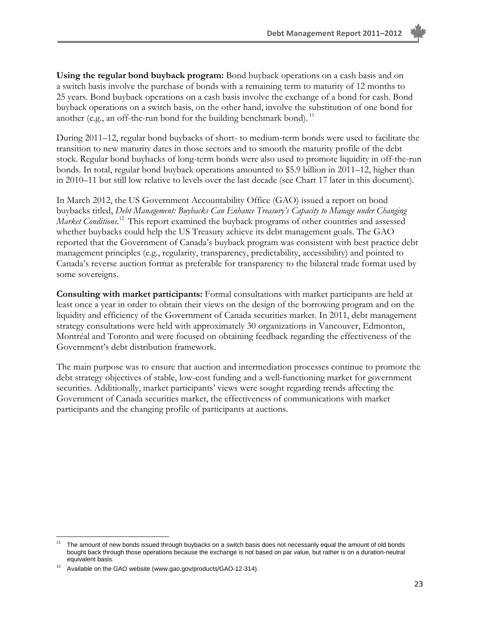**Using the regular bond buyback program:** Bond buyback operations on a cash basis and on a switch basis involve the purchase of bonds with a remaining term to maturity of 12 months to 25 years. Bond buyback operations on a cash basis involve the exchange of a bond for cash. Bond buyback operations on a switch basis, on the other hand, involve the substitution of one bond for another (e.g., an off-the-run bond for the building benchmark bond).  $^{11}$ 

During 2011–12, regular bond buybacks of short- to medium-term bonds were used to facilitate the transition to new maturity dates in those sectors and to smooth the maturity profile of the debt stock. Regular bond buybacks of long-term bonds were also used to promote liquidity in off-the-run bonds. In total, regular bond buyback operations amounted to \$5.9 billion in 2011–12, higher than in 2010–11 but still low relative to levels over the last decade (see Chart 17 later in this document).

In March 2012, the US Government Accountability Office (GAO) issued a report on bond buybacks titled, *Debt Management: Buybacks Can Enhance Treasury's Capacity to Manage under Changing Market Conditions*. 12 This report examined the buyback programs of other countries and assessed whether buybacks could help the US Treasury achieve its debt management goals. The GAO reported that the Government of Canada's buyback program was consistent with best practice debt management principles (e.g., regularity, transparency, predictability, accessibility) and pointed to Canada's reverse auction format as preferable for transparency to the bilateral trade format used by some sovereigns.

**Consulting with market participants:** Formal consultations with market participants are held at least once a year in order to obtain their views on the design of the borrowing program and on the liquidity and efficiency of the Government of Canada securities market. In 2011, debt management strategy consultations were held with approximately 30 organizations in Vancouver, Edmonton, Montréal and Toronto and were focused on obtaining feedback regarding the effectiveness of the Government's debt distribution framework.

The main purpose was to ensure that auction and intermediation processes continue to promote the debt strategy objectives of stable, low-cost funding and a well-functioning market for government securities. Additionally, market participants' views were sought regarding trends affecting the Government of Canada securities market, the effectiveness of communications with market participants and the changing profile of participants at auctions.

<u>.</u>

The amount of new bonds issued through buybacks on a switch basis does not necessarily equal the amount of old bonds bought back through those operations because the exchange is not based on par value, but rather is on a duration-neutral equivalent basis.

Available on the GAO website (www.gao.gov/products/GAO-12-314).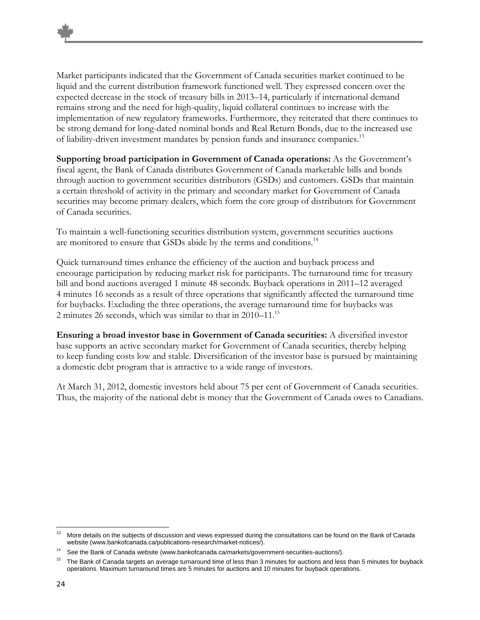Market participants indicated that the Government of Canada securities market continued to be liquid and the current distribution framework functioned well. They expressed concern over the expected decrease in the stock of treasury bills in 2013–14, particularly if international demand remains strong and the need for high-quality, liquid collateral continues to increase with the implementation of new regulatory frameworks. Furthermore, they reiterated that there continues to be strong demand for long-dated nominal bonds and Real Return Bonds, due to the increased use of liability-driven investment mandates by pension funds and insurance companies.13

**Supporting broad participation in Government of Canada operations:** As the Government's fiscal agent, the Bank of Canada distributes Government of Canada marketable bills and bonds through auction to government securities distributors (GSDs) and customers. GSDs that maintain a certain threshold of activity in the primary and secondary market for Government of Canada securities may become primary dealers, which form the core group of distributors for Government of Canada securities.

To maintain a well-functioning securities distribution system, government securities auctions are monitored to ensure that GSDs abide by the terms and conditions.<sup>14</sup>

Quick turnaround times enhance the efficiency of the auction and buyback process and encourage participation by reducing market risk for participants. The turnaround time for treasury bill and bond auctions averaged 1 minute 48 seconds. Buyback operations in 2011–12 averaged 4 minutes 16 seconds as a result of three operations that significantly affected the turnaround time for buybacks. Excluding the three operations, the average turnaround time for buybacks was 2 minutes 26 seconds, which was similar to that in  $2010-11^{15}$ 

**Ensuring a broad investor base in Government of Canada securities:** A diversified investor base supports an active secondary market for Government of Canada securities, thereby helping to keep funding costs low and stable. Diversification of the investor base is pursued by maintaining a domestic debt program that is attractive to a wide range of investors.

At March 31, 2012, domestic investors held about 75 per cent of Government of Canada securities. Thus, the majority of the national debt is money that the Government of Canada owes to Canadians.

<sup>-</sup>More details on the subjects of discussion and views expressed during the consultations can be found on the Bank of Canada website (www.bankofcanada.ca/publications-research/market-notices/).

See the Bank of Canada website (www.bankofcanada.ca/markets/government-securities-auctions/).

<sup>15</sup> The Bank of Canada targets an average turnaround time of less than 3 minutes for auctions and less than 5 minutes for buyback operations. Maximum turnaround times are 5 minutes for auctions and 10 minutes for buyback operations.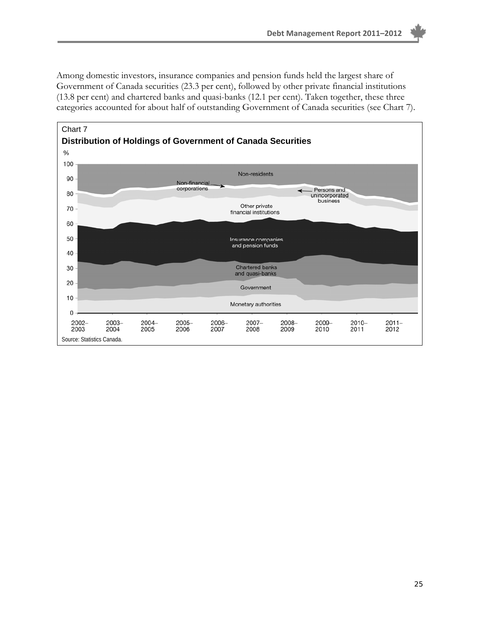Among domestic investors, insurance companies and pension funds held the largest share of Government of Canada securities (23.3 per cent), followed by other private financial institutions (13.8 per cent) and chartered banks and quasi-banks (12.1 per cent). Taken together, these three categories accounted for about half of outstanding Government of Canada securities (see Chart 7).

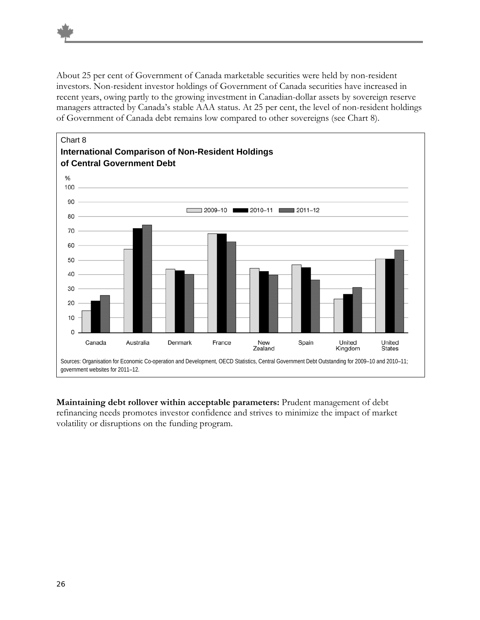About 25 per cent of Government of Canada marketable securities were held by non-resident investors. Non-resident investor holdings of Government of Canada securities have increased in recent years, owing partly to the growing investment in Canadian-dollar assets by sovereign reserve managers attracted by Canada's stable AAA status. At 25 per cent, the level of non-resident holdings of Government of Canada debt remains low compared to other sovereigns (see Chart 8).



**Maintaining debt rollover within acceptable parameters:** Prudent management of debt refinancing needs promotes investor confidence and strives to minimize the impact of market volatility or disruptions on the funding program.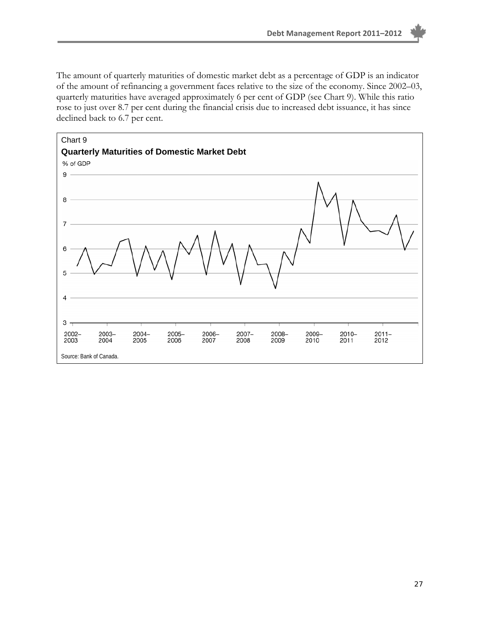The amount of quarterly maturities of domestic market debt as a percentage of GDP is an indicator of the amount of refinancing a government faces relative to the size of the economy. Since 2002–03, quarterly maturities have averaged approximately 6 per cent of GDP (see Chart 9). While this ratio rose to just over 8.7 per cent during the financial crisis due to increased debt issuance, it has since declined back to 6.7 per cent.

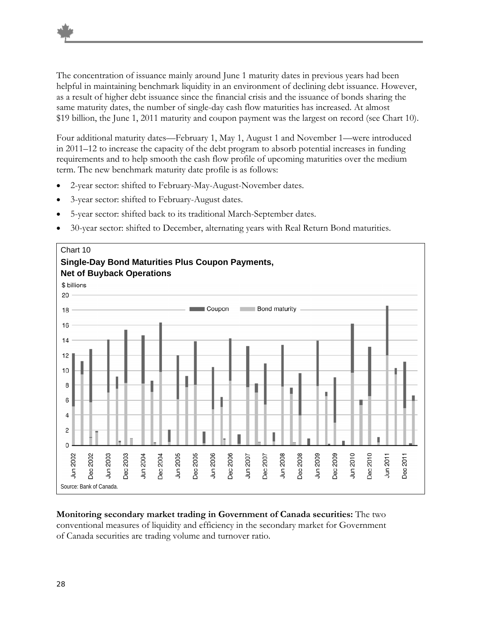The concentration of issuance mainly around June 1 maturity dates in previous years had been helpful in maintaining benchmark liquidity in an environment of declining debt issuance. However, as a result of higher debt issuance since the financial crisis and the issuance of bonds sharing the same maturity dates, the number of single-day cash flow maturities has increased. At almost \$19 billion, the June 1, 2011 maturity and coupon payment was the largest on record (see Chart 10).

Four additional maturity dates—February 1, May 1, August 1 and November 1—were introduced in 2011–12 to increase the capacity of the debt program to absorb potential increases in funding requirements and to help smooth the cash flow profile of upcoming maturities over the medium term. The new benchmark maturity date profile is as follows:

- 2-year sector: shifted to February-May-August-November dates.
- 3-year sector: shifted to February-August dates.
- 5-year sector: shifted back to its traditional March-September dates.
- 30-year sector: shifted to December, alternating years with Real Return Bond maturities.



#### **Monitoring secondary market trading in Government of Canada securities:** The two conventional measures of liquidity and efficiency in the secondary market for Government of Canada securities are trading volume and turnover ratio.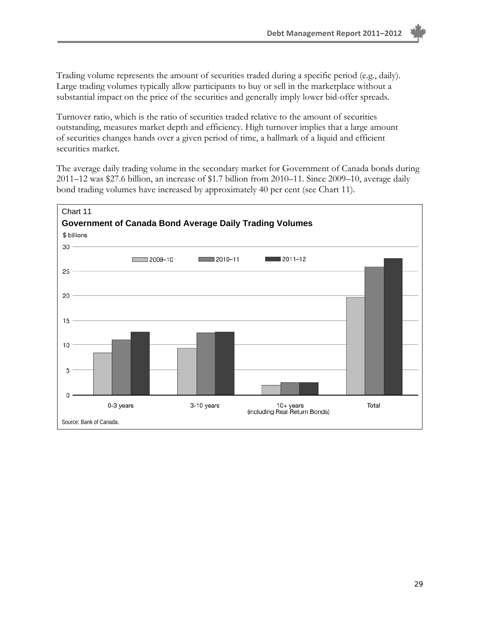Trading volume represents the amount of securities traded during a specific period (e.g., daily). Large trading volumes typically allow participants to buy or sell in the marketplace without a substantial impact on the price of the securities and generally imply lower bid-offer spreads.

Turnover ratio, which is the ratio of securities traded relative to the amount of securities outstanding, measures market depth and efficiency. High turnover implies that a large amount of securities changes hands over a given period of time, a hallmark of a liquid and efficient securities market.

The average daily trading volume in the secondary market for Government of Canada bonds during 2011–12 was \$27.6 billion, an increase of \$1.7 billion from 2010–11. Since 2009–10, average daily bond trading volumes have increased by approximately 40 per cent (see Chart 11).

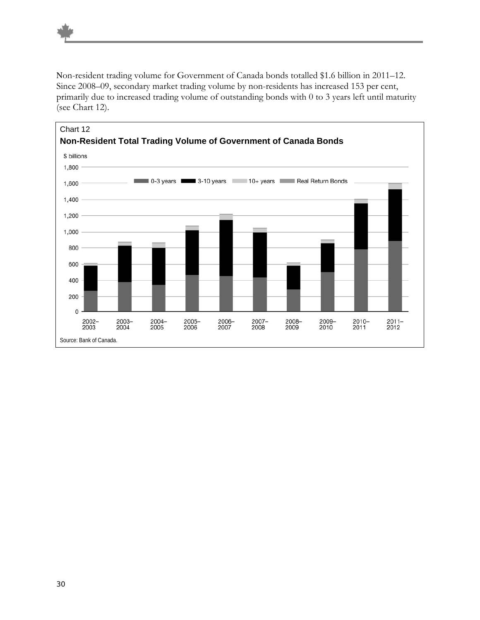Non-resident trading volume for Government of Canada bonds totalled \$1.6 billion in 2011–12. Since 2008–09, secondary market trading volume by non-residents has increased 153 per cent, primarily due to increased trading volume of outstanding bonds with 0 to 3 years left until maturity (see Chart 12).

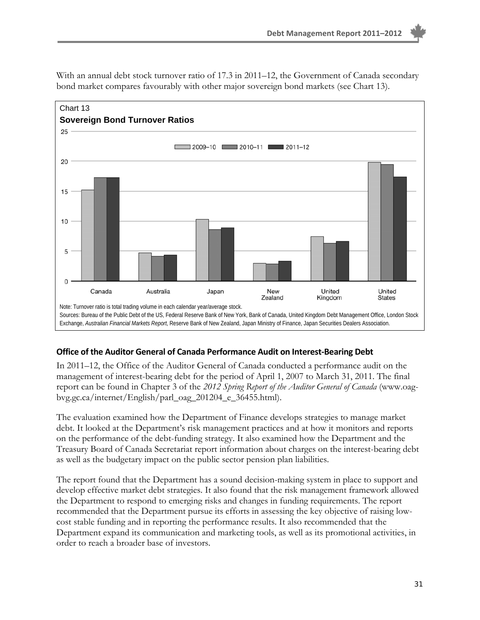

With an annual debt stock turnover ratio of 17.3 in 2011–12, the Government of Canada secondary bond market compares favourably with other major sovereign bond markets (see Chart 13).

#### **Office of the Auditor General of Canada Performance Audit on Interest‐Bearing Debt**

In 2011–12, the Office of the Auditor General of Canada conducted a performance audit on the management of interest-bearing debt for the period of April 1, 2007 to March 31, 2011. The final report can be found in Chapter 3 of the *2012 Spring Report of the Auditor General of Canada* (www.oagbvg.gc.ca/internet/English/parl\_oag\_201204\_e\_36455.html).

The evaluation examined how the Department of Finance develops strategies to manage market debt. It looked at the Department's risk management practices and at how it monitors and reports on the performance of the debt-funding strategy. It also examined how the Department and the Treasury Board of Canada Secretariat report information about charges on the interest-bearing debt as well as the budgetary impact on the public sector pension plan liabilities.

The report found that the Department has a sound decision-making system in place to support and develop effective market debt strategies. It also found that the risk management framework allowed the Department to respond to emerging risks and changes in funding requirements. The report recommended that the Department pursue its efforts in assessing the key objective of raising lowcost stable funding and in reporting the performance results. It also recommended that the Department expand its communication and marketing tools, as well as its promotional activities, in order to reach a broader base of investors.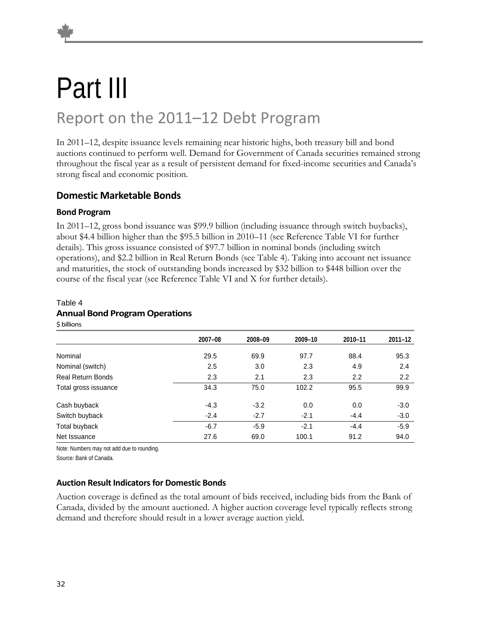### Part III Report on the 2011–12 Debt Program

In 2011–12, despite issuance levels remaining near historic highs, both treasury bill and bond auctions continued to perform well. Demand for Government of Canada securities remained strong throughout the fiscal year as a result of persistent demand for fixed-income securities and Canada's strong fiscal and economic position.

#### **Domestic Marketable Bonds**

#### **Bond Program**

In 2011–12, gross bond issuance was \$99.9 billion (including issuance through switch buybacks), about \$4.4 billion higher than the \$95.5 billion in 2010–11 (see Reference Table VI for further details). This gross issuance consisted of \$97.7 billion in nominal bonds (including switch operations), and \$2.2 billion in Real Return Bonds (see Table 4). Taking into account net issuance and maturities, the stock of outstanding bonds increased by \$32 billion to \$448 billion over the course of the fiscal year (see Reference Table VI and X for further details).

#### Table 4 **Annual Bond Program Operations**

\$ billions

|                          | 2007-08 | 2008-09 | 2009-10 | 2010-11 | $2011 - 12$ |
|--------------------------|---------|---------|---------|---------|-------------|
| Nominal                  | 29.5    | 69.9    | 97.7    | 88.4    | 95.3        |
| Nominal (switch)         | 2.5     | 3.0     | 2.3     | 4.9     | 2.4         |
| <b>Real Return Bonds</b> | 2.3     | 2.1     | 2.3     | 2.2     | 2.2         |
| Total gross issuance     | 34.3    | 75.0    | 102.2   | 95.5    | 99.9        |
| Cash buyback             | $-4.3$  | $-3.2$  | 0.0     | 0.0     | $-3.0$      |
| Switch buyback           | $-2.4$  | $-2.7$  | $-2.1$  | $-4.4$  | $-3.0$      |
| Total buyback            | $-6.7$  | $-5.9$  | $-2.1$  | $-4.4$  | $-5.9$      |
| Net Issuance             | 27.6    | 69.0    | 100.1   | 91.2    | 94.0        |

Note: Numbers may not add due to rounding.

Source: Bank of Canada.

#### **Auction Result Indicatorsfor Domestic Bonds**

Auction coverage is defined as the total amount of bids received, including bids from the Bank of Canada, divided by the amount auctioned. A higher auction coverage level typically reflects strong demand and therefore should result in a lower average auction yield.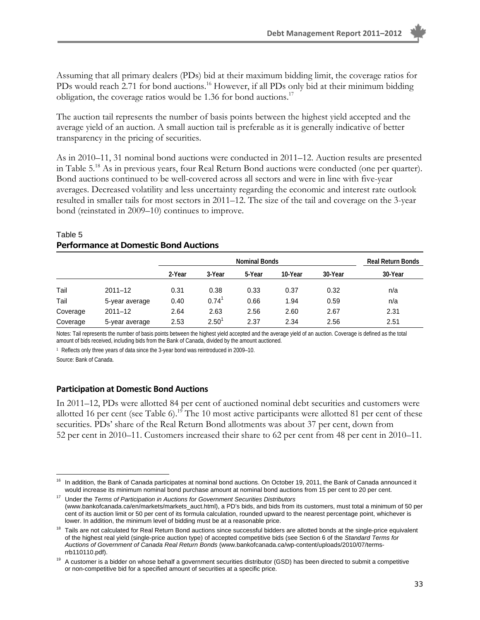Assuming that all primary dealers (PDs) bid at their maximum bidding limit, the coverage ratios for PDs would reach 2.71 for bond auctions.<sup>16</sup> However, if all PDs only bid at their minimum bidding obligation, the coverage ratios would be 1.36 for bond auctions.<sup>17</sup>

The auction tail represents the number of basis points between the highest yield accepted and the average yield of an auction. A small auction tail is preferable as it is generally indicative of better transparency in the pricing of securities.

As in 2010–11, 31 nominal bond auctions were conducted in 2011–12. Auction results are presented in Table 5.18 As in previous years, four Real Return Bond auctions were conducted (one per quarter). Bond auctions continued to be well-covered across all sectors and were in line with five-year averages. Decreased volatility and less uncertainty regarding the economic and interest rate outlook resulted in smaller tails for most sectors in 2011–12. The size of the tail and coverage on the 3-year bond (reinstated in 2009–10) continues to improve.

|          |                |        | <b>Nominal Bonds</b> |        |         |         |                                     |  |  |
|----------|----------------|--------|----------------------|--------|---------|---------|-------------------------------------|--|--|
|          |                | 2-Year | 3-Year               | 5-Year | 10-Year | 30-Year | <b>Real Return Bonds</b><br>30-Year |  |  |
| Tail     | $2011 - 12$    | 0.31   | 0.38                 | 0.33   | 0.37    | 0.32    | n/a                                 |  |  |
| Tail     | 5-year average | 0.40   | $0.74$ <sup>1</sup>  | 0.66   | 1.94    | 0.59    | n/a                                 |  |  |
| Coverage | $2011 - 12$    | 2.64   | 2.63                 | 2.56   | 2.60    | 2.67    | 2.31                                |  |  |
| Coverage | 5-year average | 2.53   | $2.50^1$             | 2.37   | 2.34    | 2.56    | 2.51                                |  |  |

#### Table 5 **Performance at Domestic Bond Auctions**

Notes: Tail represents the number of basis points between the highest yield accepted and the average yield of an auction. Coverage is defined as the total amount of bids received, including bids from the Bank of Canada, divided by the amount auctioned.

1 Reflects only three years of data since the 3-year bond was reintroduced in 2009–10.

Source: Bank of Canada.

#### **Participation at Domestic Bond Auctions**

In 2011–12, PDs were allotted 84 per cent of auctioned nominal debt securities and customers were allotted 16 per cent (see Table 6).<sup>19</sup> The 10 most active participants were allotted 81 per cent of these securities. PDs' share of the Real Return Bond allotments was about 37 per cent, down from 52 per cent in 2010–11. Customers increased their share to 62 per cent from 48 per cent in 2010–11.

<sup>&</sup>lt;u>.</u> 16 In addition, the Bank of Canada participates at nominal bond auctions. On October 19, 2011, the Bank of Canada announced it would increase its minimum nominal bond purchase amount at nominal bond auctions from 15 per cent to 20 per cent.

<sup>17</sup> Under the *Terms of Participation in Auctions for Government Securities Distributors* (www.bankofcanada.ca/en/markets/markets\_auct.html), a PD's bids, and bids from its customers, must total a minimum of 50 per cent of its auction limit or 50 per cent of its formula calculation, rounded upward to the nearest percentage point, whichever is lower. In addition, the minimum level of bidding must be at a reasonable price.

<sup>&</sup>lt;sup>18</sup> Tails are not calculated for Real Return Bond auctions since successful bidders are allotted bonds at the single-price equivalent of the highest real yield (single-price auction type) of accepted competitive bids (see Section 6 of the *Standard Terms for Auctions of Government of Canada Real Return Bonds* (www.bankofcanada.ca/wp-content/uploads/2010/07/termsrrb110110.pdf).

<sup>&</sup>lt;sup>19</sup> A customer is a bidder on whose behalf a government securities distributor (GSD) has been directed to submit a competitive or non-competitive bid for a specified amount of securities at a specific price.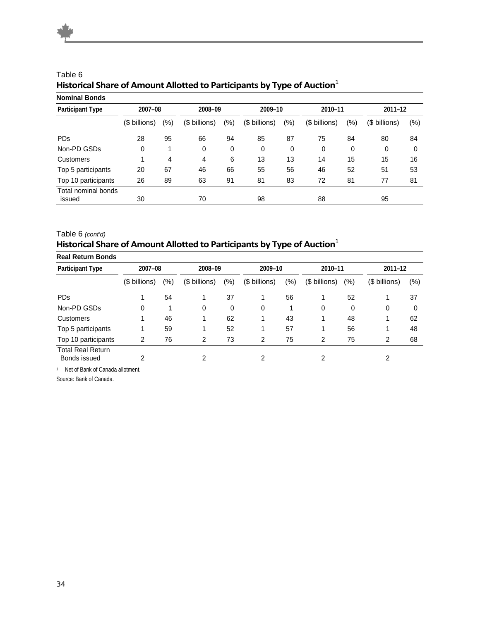| <b>Nominal Bonds</b>          |               |     |               |     |               |     |               |         |               |        |
|-------------------------------|---------------|-----|---------------|-----|---------------|-----|---------------|---------|---------------|--------|
| <b>Participant Type</b>       | 2007-08       |     | 2008-09       |     | 2009-10       |     | 2010-11       |         | $2011 - 12$   |        |
|                               | (\$ billions) | (%) | (\$ billions) | (%) | (\$ billions) | (%) | (\$ billions) | $(\% )$ | (\$ billions) | $(\%)$ |
| <b>PDs</b>                    | 28            | 95  | 66            | 94  | 85            | 87  | 75            | 84      | 80            | 84     |
| Non-PD GSDs                   | 0             | 1   | 0             | 0   | 0             | 0   | 0             | 0       | 0             | 0      |
| Customers                     |               | 4   | 4             | 6   | 13            | 13  | 14            | 15      | 15            | 16     |
| Top 5 participants            | 20            | 67  | 46            | 66  | 55            | 56  | 46            | 52      | 51            | 53     |
| Top 10 participants           | 26            | 89  | 63            | 91  | 81            | 83  | 72            | 81      | 77            | 81     |
| Total nominal bonds<br>issued | 30            |     | 70            |     | 98            |     | 88            |         | 95            |        |

#### Table 6 **Historical Share of Amount Allotted to Participants by Type of Auction**<sup>1</sup>

#### Table 6 *(cont'd)* **Historical Share of Amount Allotted to Participants by Type of Auction**<sup>1</sup>

| <b>Real Return Bonds</b>                 |               |         |               |         |               |         |               |         |               |     |
|------------------------------------------|---------------|---------|---------------|---------|---------------|---------|---------------|---------|---------------|-----|
| <b>Participant Type</b>                  | 2007-08       |         |               | 2008-09 |               | 2009-10 |               | 2010-11 | $2011 - 12$   |     |
|                                          | (\$ billions) | $(\% )$ | (\$ billions) | (%)     | (\$ billions) | $(\% )$ | (\$ billions) | $(\% )$ | (\$ billions) | (%) |
| <b>PDs</b>                               |               | 54      |               | 37      |               | 56      |               | 52      |               | 37  |
| Non-PD GSDs                              | 0             |         | 0             | 0       | 0             |         | 0             | 0       | 0             | 0   |
| Customers                                |               | 46      |               | 62      |               | 43      |               | 48      |               | 62  |
| Top 5 participants                       |               | 59      |               | 52      |               | 57      |               | 56      |               | 48  |
| Top 10 participants                      | 2             | 76      | 2             | 73      | 2             | 75      | 2             | 75      | 2             | 68  |
| <b>Total Real Return</b><br>Bonds issued | 2             |         | 2             |         | 2             |         | 2             |         | 2             |     |

1 Net of Bank of Canada allotment.

Source: Bank of Canada.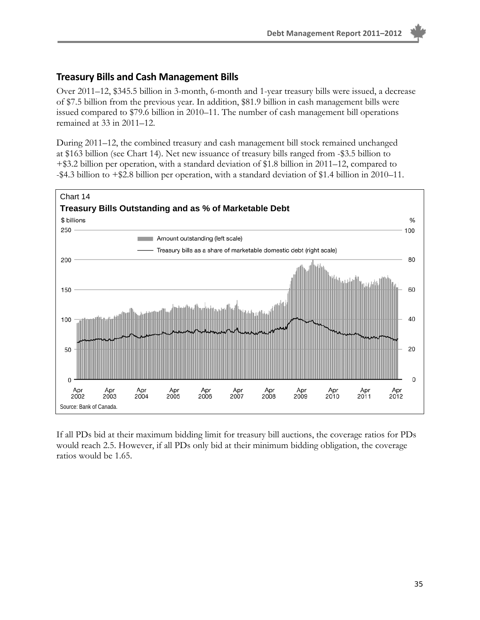#### **Treasury Bills and Cash Management Bills**

Over 2011–12, \$345.5 billion in 3-month, 6-month and 1-year treasury bills were issued, a decrease of \$7.5 billion from the previous year. In addition, \$81.9 billion in cash management bills were issued compared to \$79.6 billion in 2010–11. The number of cash management bill operations remained at 33 in 2011–12.

During 2011–12, the combined treasury and cash management bill stock remained unchanged at \$163 billion (see Chart 14). Net new issuance of treasury bills ranged from -\$3.5 billion to +\$3.2 billion per operation, with a standard deviation of \$1.8 billion in 2011–12, compared to -\$4.3 billion to +\$2.8 billion per operation, with a standard deviation of \$1.4 billion in 2010–11.



If all PDs bid at their maximum bidding limit for treasury bill auctions, the coverage ratios for PDs would reach 2.5. However, if all PDs only bid at their minimum bidding obligation, the coverage ratios would be 1.65.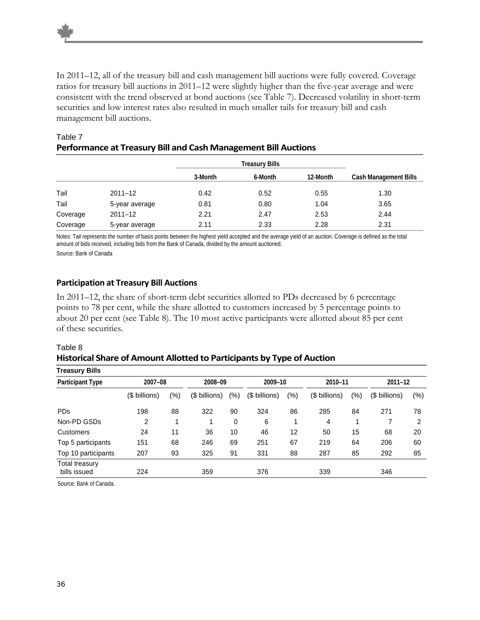In 2011–12, all of the treasury bill and cash management bill auctions were fully covered. Coverage ratios for treasury bill auctions in 2011–12 were slightly higher than the five-year average and were consistent with the trend observed at bond auctions (see Table 7). Decreased volatility in short-term securities and low interest rates also resulted in much smaller tails for treasury bill and cash management bill auctions.

|          |                | 3-Month | 6-Month | 12-Month | Cash Management Bills |
|----------|----------------|---------|---------|----------|-----------------------|
| Tail     | $2011 - 12$    | 0.42    | 0.52    | 0.55     | 1.30                  |
| Tail     | 5-year average | 0.81    | 0.80    | 1.04     | 3.65                  |
| Coverage | $2011 - 12$    | 2.21    | 2.47    | 2.53     | 2.44                  |
| Coverage | 5-year average | 2.11    | 2.33    | 2.28     | 2.31                  |

#### Table 7 **Performance at Treasury Bill and Cash Management Bill Auctions**

Notes: Tail represents the number of basis points between the highest yield accepted and the average yield of an auction. Coverage is defined as the total amount of bids received, including bids from the Bank of Canada, divided by the amount auctioned. Source: Bank of Canada

#### **Participation at Treasury Bill Auctions**

In 2011–12, the share of short-term debt securities allotted to PDs decreased by 6 percentage points to 78 per cent, while the share allotted to customers increased by 5 percentage points to about 20 per cent (see Table 8). The 10 most active participants were allotted about 85 per cent of these securities.

#### Table 8 **Historical Share of Amount Allotted to Participants by Type of Auction**

| <b>Treasury Bills</b>          |               |     |               |         |               |         |               |         |               |        |
|--------------------------------|---------------|-----|---------------|---------|---------------|---------|---------------|---------|---------------|--------|
| <b>Participant Type</b>        | 2007-08       |     |               | 2008-09 |               | 2009-10 |               | 2010-11 | $2011 - 12$   |        |
|                                | (\$ billions) | (%) | (\$ billions) | $(\%)$  | (\$ billions) | $(\%)$  | (\$ billions) | (% )    | (\$ billions) | $(\%)$ |
| <b>PDs</b>                     | 198           | 88  | 322           | 90      | 324           | 86      | 285           | 84      | 271           | 78     |
| Non-PD GSDs                    | 2             |     |               | 0       | 6             | 1       | 4             | 1       |               | 2      |
| Customers                      | 24            | 11  | 36            | 10      | 46            | 12      | 50            | 15      | 68            | 20     |
| Top 5 participants             | 151           | 68  | 246           | 69      | 251           | 67      | 219           | 64      | 206           | 60     |
| Top 10 participants            | 207           | 93  | 325           | 91      | 331           | 88      | 287           | 85      | 292           | 85     |
| Total treasury<br>bills issued | 224           |     | 359           |         | 376           |         | 339           |         | 346           |        |
|                                |               |     |               |         |               |         |               |         |               |        |

Source: Bank of Canada.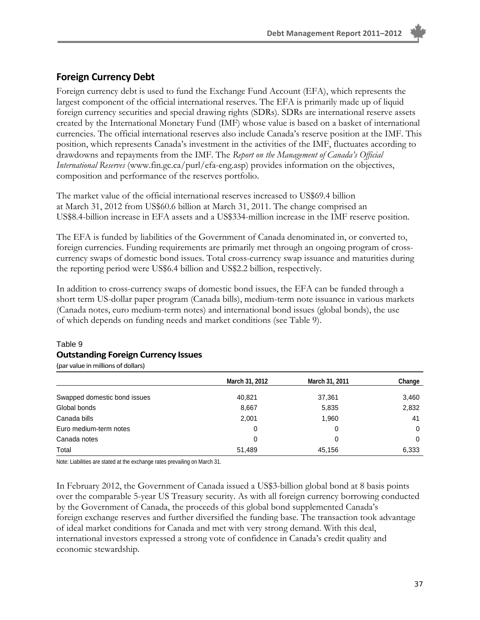#### **Foreign Currency Debt**

Foreign currency debt is used to fund the Exchange Fund Account (EFA), which represents the largest component of the official international reserves. The EFA is primarily made up of liquid foreign currency securities and special drawing rights (SDRs). SDRs are international reserve assets created by the International Monetary Fund (IMF) whose value is based on a basket of international currencies. The official international reserves also include Canada's reserve position at the IMF. This position, which represents Canada's investment in the activities of the IMF, fluctuates according to drawdowns and repayments from the IMF. The *Report on the Management of Canada's Official International Reserves* (www.fin.gc.ca/purl/efa-eng.asp) provides information on the objectives, composition and performance of the reserves portfolio.

The market value of the official international reserves increased to US\$69.4 billion at March 31, 2012 from US\$60.6 billion at March 31, 2011. The change comprised an US\$8.4-billion increase in EFA assets and a US\$334-million increase in the IMF reserve position.

The EFA is funded by liabilities of the Government of Canada denominated in, or converted to, foreign currencies. Funding requirements are primarily met through an ongoing program of crosscurrency swaps of domestic bond issues. Total cross-currency swap issuance and maturities during the reporting period were US\$6.4 billion and US\$2.2 billion, respectively.

In addition to cross-currency swaps of domestic bond issues, the EFA can be funded through a short term US-dollar paper program (Canada bills), medium-term note issuance in various markets (Canada notes, euro medium-term notes) and international bond issues (global bonds), the use of which depends on funding needs and market conditions (see Table 9).

|                              | March 31, 2012 | March 31, 2011 | Change |
|------------------------------|----------------|----------------|--------|
| Swapped domestic bond issues | 40,821         | 37,361         | 3,460  |
| Global bonds                 | 8,667          | 5,835          | 2,832  |
| Canada bills                 | 2,001          | 1,960          | 41     |
| Euro medium-term notes       | 0              | 0              | 0      |
| Canada notes                 | 0              | 0              | 0      |
| Total                        | 51,489         | 45,156         | 6,333  |

#### Table 9 **Outstanding Foreign Currency Issues** (par value in millions of dollars)

Note: Liabilities are stated at the exchange rates prevailing on March 31.

In February 2012, the Government of Canada issued a US\$3-billion global bond at 8 basis points over the comparable 5-year US Treasury security. As with all foreign currency borrowing conducted by the Government of Canada, the proceeds of this global bond supplemented Canada's foreign exchange reserves and further diversified the funding base. The transaction took advantage of ideal market conditions for Canada and met with very strong demand. With this deal, international investors expressed a strong vote of confidence in Canada's credit quality and economic stewardship.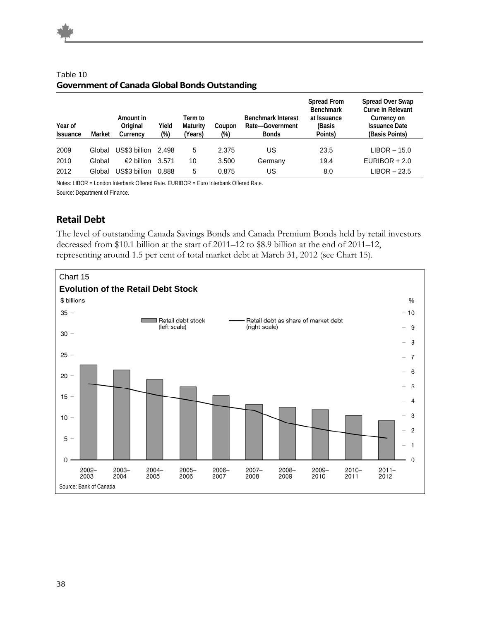| Year of<br><b>Issuance</b> | Market | Amount in<br>Original<br>Currency | Yield<br>$(\%)$ | Term to<br>Maturity<br>Years) | Coupon<br>(%) | <b>Benchmark Interest</b><br>Rate-Government<br><b>Bonds</b> | Spread From<br><b>Benchmark</b><br>at Issuance<br>(Basis<br>Points) | <b>Spread Over Swap</b><br>Curve in Relevant<br>Currency on<br><b>Issuance Date</b><br>(Basis Points) |
|----------------------------|--------|-----------------------------------|-----------------|-------------------------------|---------------|--------------------------------------------------------------|---------------------------------------------------------------------|-------------------------------------------------------------------------------------------------------|
| 2009                       | Global | US\$3 billion                     | 2.498           | 5                             | 2.375         | US                                                           | 23.5                                                                | $LIBOR - 15.0$                                                                                        |
| 2010                       | Global | €2 billion                        | 3.571           | 10                            | 3.500         | Germany                                                      | 19.4                                                                | $EURIBOR + 2.0$                                                                                       |
| 2012                       | Global | US\$3 billion                     | 0.888           | 5                             | 0.875         | US                                                           | 8.0                                                                 | $LIBOR - 23.5$                                                                                        |

#### Table 10 **Government of Canada Global Bonds Outstanding**

Notes: LIBOR = London Interbank Offered Rate. EURIBOR = Euro Interbank Offered Rate. Source: Department of Finance.

#### **Retail Debt**

The level of outstanding Canada Savings Bonds and Canada Premium Bonds held by retail investors decreased from \$10.1 billion at the start of 2011–12 to \$8.9 billion at the end of 2011–12, representing around 1.5 per cent of total market debt at March 31, 2012 (see Chart 15).

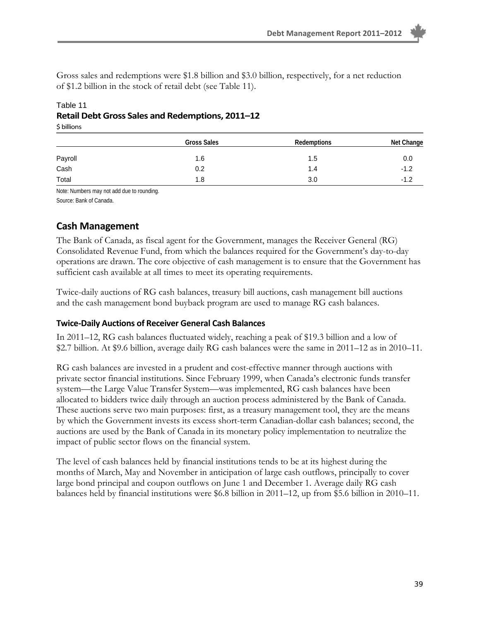Gross sales and redemptions were \$1.8 billion and \$3.0 billion, respectively, for a net reduction of \$1.2 billion in the stock of retail debt (see Table 11).

#### Table 11 **Retail Debt Gross Sales and Redemptions, 2011–12**

\$ billions

|         | <b>Gross Sales</b> | Redemptions | Net Change |
|---------|--------------------|-------------|------------|
| Payroll | 1.6                | 1.5         | 0.0        |
| Cash    | 0.2                | 1.4         | $-1.2$     |
| Total   | 1.8                | 3.0         | $-1.2$     |

Note: Numbers may not add due to rounding.

Source: Bank of Canada.

#### **Cash Management**

The Bank of Canada, as fiscal agent for the Government, manages the Receiver General (RG) Consolidated Revenue Fund, from which the balances required for the Government's day-to-day operations are drawn. The core objective of cash management is to ensure that the Government has sufficient cash available at all times to meet its operating requirements.

Twice-daily auctions of RG cash balances, treasury bill auctions, cash management bill auctions and the cash management bond buyback program are used to manage RG cash balances.

#### **Twice‐Daily Auctions of Receiver General Cash Balances**

In 2011–12, RG cash balances fluctuated widely, reaching a peak of \$19.3 billion and a low of \$2.7 billion. At \$9.6 billion, average daily RG cash balances were the same in 2011–12 as in 2010–11.

RG cash balances are invested in a prudent and cost-effective manner through auctions with private sector financial institutions. Since February 1999, when Canada's electronic funds transfer system—the Large Value Transfer System—was implemented, RG cash balances have been allocated to bidders twice daily through an auction process administered by the Bank of Canada. These auctions serve two main purposes: first, as a treasury management tool, they are the means by which the Government invests its excess short-term Canadian-dollar cash balances; second, the auctions are used by the Bank of Canada in its monetary policy implementation to neutralize the impact of public sector flows on the financial system.

The level of cash balances held by financial institutions tends to be at its highest during the months of March, May and November in anticipation of large cash outflows, principally to cover large bond principal and coupon outflows on June 1 and December 1. Average daily RG cash balances held by financial institutions were \$6.8 billion in 2011–12, up from \$5.6 billion in 2010–11.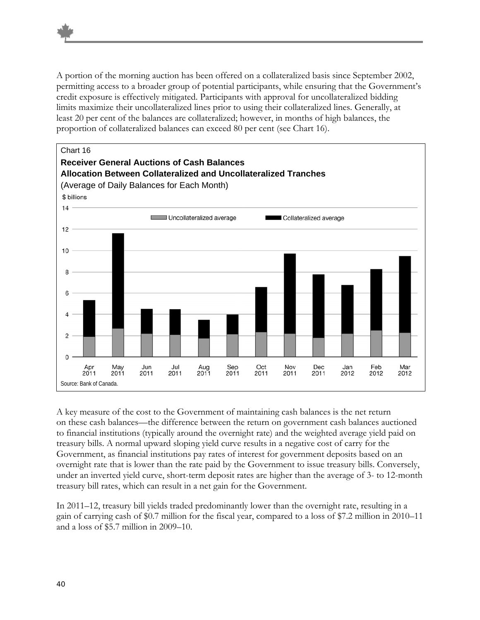A portion of the morning auction has been offered on a collateralized basis since September 2002, permitting access to a broader group of potential participants, while ensuring that the Government's credit exposure is effectively mitigated. Participants with approval for uncollateralized bidding limits maximize their uncollateralized lines prior to using their collateralized lines. Generally, at least 20 per cent of the balances are collateralized; however, in months of high balances, the proportion of collateralized balances can exceed 80 per cent (see Chart 16).



A key measure of the cost to the Government of maintaining cash balances is the net return on these cash balances—the difference between the return on government cash balances auctioned to financial institutions (typically around the overnight rate) and the weighted average yield paid on treasury bills. A normal upward sloping yield curve results in a negative cost of carry for the Government, as financial institutions pay rates of interest for government deposits based on an overnight rate that is lower than the rate paid by the Government to issue treasury bills. Conversely, under an inverted yield curve, short-term deposit rates are higher than the average of 3- to 12-month treasury bill rates, which can result in a net gain for the Government.

In 2011–12, treasury bill yields traded predominantly lower than the overnight rate, resulting in a gain of carrying cash of \$0.7 million for the fiscal year, compared to a loss of \$7.2 million in 2010–11 and a loss of \$5.7 million in 2009–10.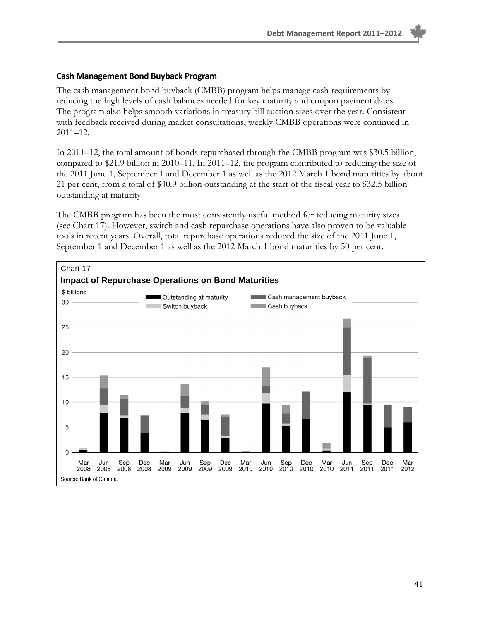#### **Cash Management Bond Buyback Program**

The cash management bond buyback (CMBB) program helps manage cash requirements by reducing the high levels of cash balances needed for key maturity and coupon payment dates. The program also helps smooth variations in treasury bill auction sizes over the year. Consistent with feedback received during market consultations, weekly CMBB operations were continued in 2011–12.

In 2011–12, the total amount of bonds repurchased through the CMBB program was \$30.5 billion, compared to \$21.9 billion in 2010–11. In 2011–12, the program contributed to reducing the size of the 2011 June 1, September 1 and December 1 as well as the 2012 March 1 bond maturities by about 21 per cent, from a total of \$40.9 billion outstanding at the start of the fiscal year to \$32.5 billion outstanding at maturity.

The CMBB program has been the most consistently useful method for reducing maturity sizes (see Chart 17). However, switch and cash repurchase operations have also proven to be valuable tools in recent years. Overall, total repurchase operations reduced the size of the 2011 June 1, September 1 and December 1 as well as the 2012 March 1 bond maturities by 50 per cent.

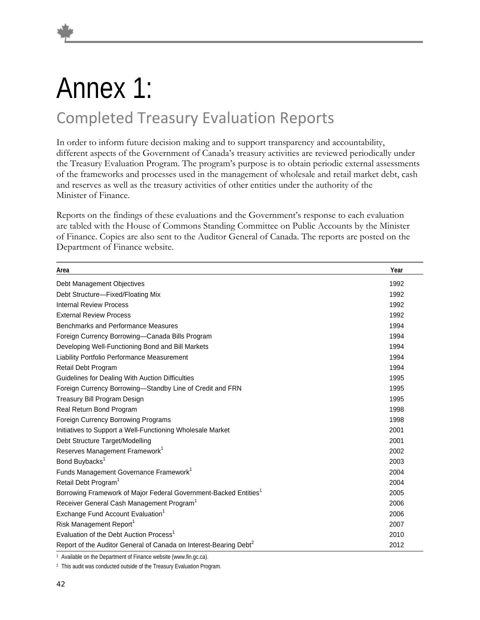### Annex 1: Completed Treasury Evaluation Reports

In order to inform future decision making and to support transparency and accountability, different aspects of the Government of Canada's treasury activities are reviewed periodically under the Treasury Evaluation Program. The program's purpose is to obtain periodic external assessments of the frameworks and processes used in the management of wholesale and retail market debt, cash and reserves as well as the treasury activities of other entities under the authority of the Minister of Finance.

Reports on the findings of these evaluations and the Government's response to each evaluation are tabled with the House of Commons Standing Committee on Public Accounts by the Minister of Finance. Copies are also sent to the Auditor General of Canada. The reports are posted on the Department of Finance website.

| Area                                                                          | Year |
|-------------------------------------------------------------------------------|------|
| Debt Management Objectives                                                    | 1992 |
| Debt Structure-Fixed/Floating Mix                                             | 1992 |
| <b>Internal Review Process</b>                                                | 1992 |
| <b>External Review Process</b>                                                | 1992 |
| Benchmarks and Performance Measures                                           | 1994 |
| Foreign Currency Borrowing-Canada Bills Program                               | 1994 |
| Developing Well-Functioning Bond and Bill Markets                             | 1994 |
| Liability Portfolio Performance Measurement                                   | 1994 |
| Retail Debt Program                                                           | 1994 |
| Guidelines for Dealing With Auction Difficulties                              | 1995 |
| Foreign Currency Borrowing-Standby Line of Credit and FRN                     | 1995 |
| Treasury Bill Program Design                                                  | 1995 |
| Real Return Bond Program                                                      | 1998 |
| Foreign Currency Borrowing Programs                                           | 1998 |
| Initiatives to Support a Well-Functioning Wholesale Market                    | 2001 |
| Debt Structure Target/Modelling                                               | 2001 |
| Reserves Management Framework <sup>1</sup>                                    | 2002 |
| Bond Buybacks <sup>1</sup>                                                    | 2003 |
| Funds Management Governance Framework <sup>1</sup>                            | 2004 |
| Retail Debt Program <sup>1</sup>                                              | 2004 |
| Borrowing Framework of Major Federal Government-Backed Entities <sup>1</sup>  | 2005 |
| Receiver General Cash Management Program <sup>1</sup>                         | 2006 |
| Exchange Fund Account Evaluation <sup>1</sup>                                 | 2006 |
| Risk Management Report <sup>1</sup>                                           | 2007 |
| Evaluation of the Debt Auction Process <sup>1</sup>                           | 2010 |
| Report of the Auditor General of Canada on Interest-Bearing Debt <sup>2</sup> | 2012 |

1 Available on the Department of Finance website (www.fin.gc.ca).

2 This audit was conducted outside of the Treasury Evaluation Program.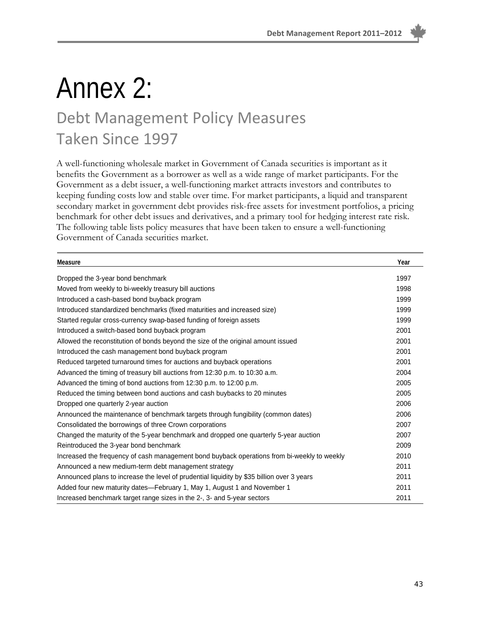## Annex 2:

### Debt Management Policy Measures Taken Since 1997

A well-functioning wholesale market in Government of Canada securities is important as it benefits the Government as a borrower as well as a wide range of market participants. For the Government as a debt issuer, a well-functioning market attracts investors and contributes to keeping funding costs low and stable over time. For market participants, a liquid and transparent secondary market in government debt provides risk-free assets for investment portfolios, a pricing benchmark for other debt issues and derivatives, and a primary tool for hedging interest rate risk. The following table lists policy measures that have been taken to ensure a well-functioning Government of Canada securities market.

| Measure                                                                                     | Year |
|---------------------------------------------------------------------------------------------|------|
| Dropped the 3-year bond benchmark                                                           | 1997 |
| Moved from weekly to bi-weekly treasury bill auctions                                       | 1998 |
| Introduced a cash-based bond buyback program                                                | 1999 |
| Introduced standardized benchmarks (fixed maturities and increased size)                    | 1999 |
| Started regular cross-currency swap-based funding of foreign assets                         | 1999 |
| Introduced a switch-based bond buyback program                                              | 2001 |
| Allowed the reconstitution of bonds beyond the size of the original amount issued           | 2001 |
| Introduced the cash management bond buyback program                                         | 2001 |
| Reduced targeted turnaround times for auctions and buyback operations                       | 2001 |
| Advanced the timing of treasury bill auctions from 12:30 p.m. to 10:30 a.m.                 | 2004 |
| Advanced the timing of bond auctions from 12:30 p.m. to 12:00 p.m.                          | 2005 |
| Reduced the timing between bond auctions and cash buybacks to 20 minutes                    | 2005 |
| Dropped one quarterly 2-year auction                                                        | 2006 |
| Announced the maintenance of benchmark targets through fungibility (common dates)           | 2006 |
| Consolidated the borrowings of three Crown corporations                                     | 2007 |
| Changed the maturity of the 5-year benchmark and dropped one quarterly 5-year auction       | 2007 |
| Reintroduced the 3-year bond benchmark                                                      | 2009 |
| Increased the frequency of cash management bond buyback operations from bi-weekly to weekly | 2010 |
| Announced a new medium-term debt management strategy                                        | 2011 |
| Announced plans to increase the level of prudential liquidity by \$35 billion over 3 years  | 2011 |
| Added four new maturity dates-February 1, May 1, August 1 and November 1                    | 2011 |
| Increased benchmark target range sizes in the 2-, 3- and 5-year sectors                     | 2011 |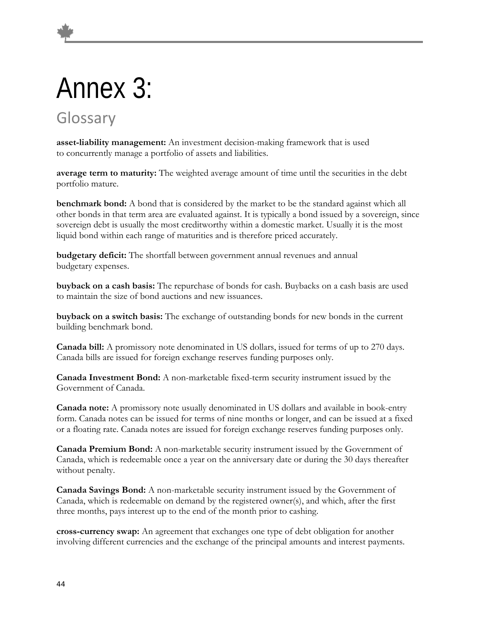# Annex 3:

### Glossary

**asset-liability management:** An investment decision-making framework that is used to concurrently manage a portfolio of assets and liabilities.

**average term to maturity:** The weighted average amount of time until the securities in the debt portfolio mature.

**benchmark bond:** A bond that is considered by the market to be the standard against which all other bonds in that term area are evaluated against. It is typically a bond issued by a sovereign, since sovereign debt is usually the most creditworthy within a domestic market. Usually it is the most liquid bond within each range of maturities and is therefore priced accurately.

**budgetary deficit:** The shortfall between government annual revenues and annual budgetary expenses.

**buyback on a cash basis:** The repurchase of bonds for cash. Buybacks on a cash basis are used to maintain the size of bond auctions and new issuances.

**buyback on a switch basis:** The exchange of outstanding bonds for new bonds in the current building benchmark bond.

**Canada bill:** A promissory note denominated in US dollars, issued for terms of up to 270 days. Canada bills are issued for foreign exchange reserves funding purposes only.

**Canada Investment Bond:** A non-marketable fixed-term security instrument issued by the Government of Canada.

**Canada note:** A promissory note usually denominated in US dollars and available in book-entry form. Canada notes can be issued for terms of nine months or longer, and can be issued at a fixed or a floating rate. Canada notes are issued for foreign exchange reserves funding purposes only.

**Canada Premium Bond:** A non-marketable security instrument issued by the Government of Canada, which is redeemable once a year on the anniversary date or during the 30 days thereafter without penalty.

**Canada Savings Bond:** A non-marketable security instrument issued by the Government of Canada, which is redeemable on demand by the registered owner(s), and which, after the first three months, pays interest up to the end of the month prior to cashing.

**cross-currency swap:** An agreement that exchanges one type of debt obligation for another involving different currencies and the exchange of the principal amounts and interest payments.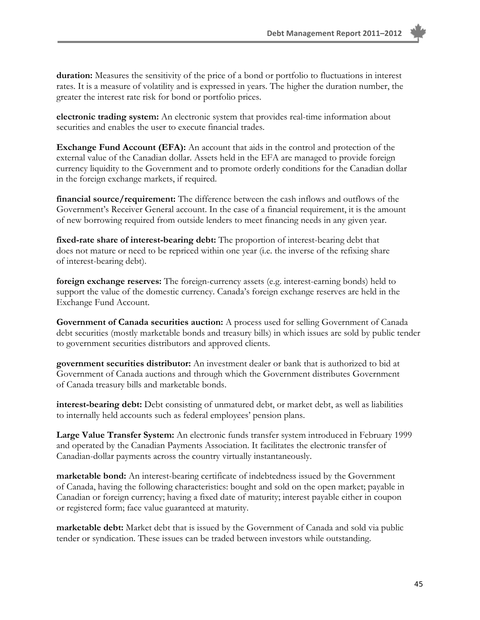**duration:** Measures the sensitivity of the price of a bond or portfolio to fluctuations in interest rates. It is a measure of volatility and is expressed in years. The higher the duration number, the greater the interest rate risk for bond or portfolio prices.

**electronic trading system:** An electronic system that provides real-time information about securities and enables the user to execute financial trades.

**Exchange Fund Account (EFA):** An account that aids in the control and protection of the external value of the Canadian dollar. Assets held in the EFA are managed to provide foreign currency liquidity to the Government and to promote orderly conditions for the Canadian dollar in the foreign exchange markets, if required.

**financial source/requirement:** The difference between the cash inflows and outflows of the Government's Receiver General account. In the case of a financial requirement, it is the amount of new borrowing required from outside lenders to meet financing needs in any given year.

**fixed-rate share of interest-bearing debt:** The proportion of interest-bearing debt that does not mature or need to be repriced within one year (i.e. the inverse of the refixing share of interest-bearing debt).

**foreign exchange reserves:** The foreign-currency assets (e.g. interest-earning bonds) held to support the value of the domestic currency. Canada's foreign exchange reserves are held in the Exchange Fund Account.

**Government of Canada securities auction:** A process used for selling Government of Canada debt securities (mostly marketable bonds and treasury bills) in which issues are sold by public tender to government securities distributors and approved clients.

**government securities distributor:** An investment dealer or bank that is authorized to bid at Government of Canada auctions and through which the Government distributes Government of Canada treasury bills and marketable bonds.

**interest-bearing debt:** Debt consisting of unmatured debt, or market debt, as well as liabilities to internally held accounts such as federal employees' pension plans.

**Large Value Transfer System:** An electronic funds transfer system introduced in February 1999 and operated by the Canadian Payments Association. It facilitates the electronic transfer of Canadian-dollar payments across the country virtually instantaneously.

**marketable bond:** An interest-bearing certificate of indebtedness issued by the Government of Canada, having the following characteristics: bought and sold on the open market; payable in Canadian or foreign currency; having a fixed date of maturity; interest payable either in coupon or registered form; face value guaranteed at maturity.

**marketable debt:** Market debt that is issued by the Government of Canada and sold via public tender or syndication. These issues can be traded between investors while outstanding.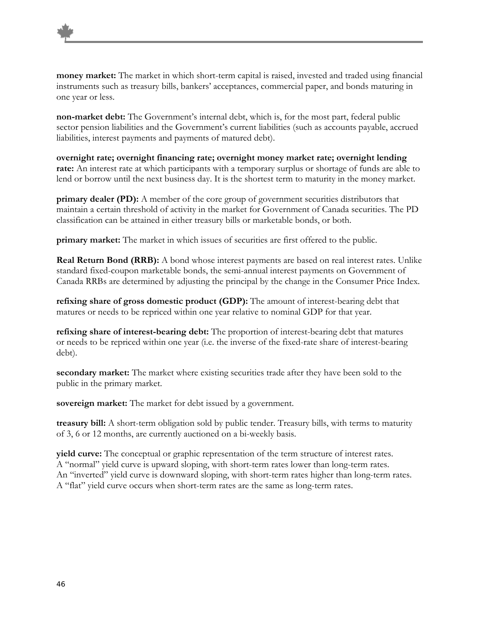

**non-market debt:** The Government's internal debt, which is, for the most part, federal public sector pension liabilities and the Government's current liabilities (such as accounts payable, accrued liabilities, interest payments and payments of matured debt).

**overnight rate; overnight financing rate; overnight money market rate; overnight lending rate:** An interest rate at which participants with a temporary surplus or shortage of funds are able to lend or borrow until the next business day. It is the shortest term to maturity in the money market.

**primary dealer (PD):** A member of the core group of government securities distributors that maintain a certain threshold of activity in the market for Government of Canada securities. The PD classification can be attained in either treasury bills or marketable bonds, or both.

**primary market:** The market in which issues of securities are first offered to the public.

**Real Return Bond (RRB):** A bond whose interest payments are based on real interest rates. Unlike standard fixed-coupon marketable bonds, the semi-annual interest payments on Government of Canada RRBs are determined by adjusting the principal by the change in the Consumer Price Index.

**refixing share of gross domestic product (GDP):** The amount of interest-bearing debt that matures or needs to be repriced within one year relative to nominal GDP for that year.

**refixing share of interest-bearing debt:** The proportion of interest-bearing debt that matures or needs to be repriced within one year (i.e. the inverse of the fixed-rate share of interest-bearing debt).

**secondary market:** The market where existing securities trade after they have been sold to the public in the primary market.

**sovereign market:** The market for debt issued by a government.

**treasury bill:** A short-term obligation sold by public tender. Treasury bills, with terms to maturity of 3, 6 or 12 months, are currently auctioned on a bi-weekly basis.

**yield curve:** The conceptual or graphic representation of the term structure of interest rates. A "normal" yield curve is upward sloping, with short-term rates lower than long-term rates. An "inverted" yield curve is downward sloping, with short-term rates higher than long-term rates. A "flat" yield curve occurs when short-term rates are the same as long-term rates.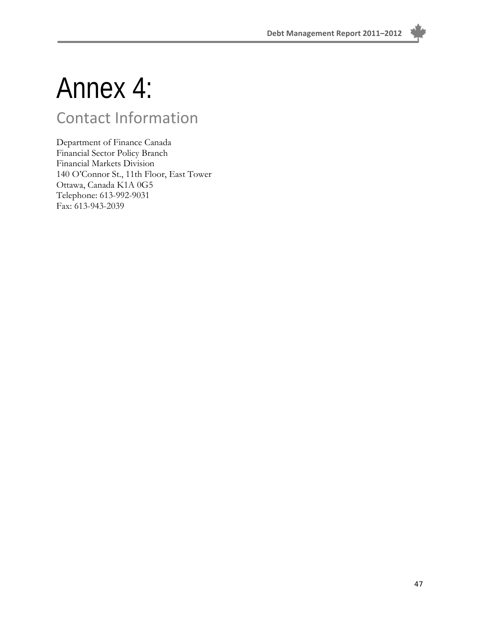

## Annex 4:

### Contact Information

Department of Finance Canada Financial Sector Policy Branch Financial Markets Division 140 O'Connor St., 11th Floor, East Tower Ottawa, Canada K1A 0G5 Telephone: 613-992-9031 Fax: 613-943-2039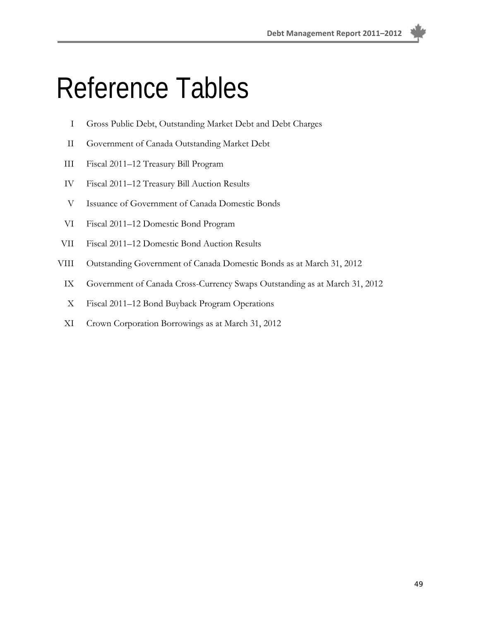**Debt Management Report 2011–2012**

## Reference Tables

- I Gross Public Debt, Outstanding Market Debt and Debt Charges
- II Government of Canada Outstanding Market Debt
- III Fiscal 2011–12 Treasury Bill Program
- IV Fiscal 2011–12 Treasury Bill Auction Results
- V Issuance of Government of Canada Domestic Bonds
- VI Fiscal 2011–12 Domestic Bond Program
- VII Fiscal 2011–12 Domestic Bond Auction Results
- VIII Outstanding Government of Canada Domestic Bonds as at March 31, 2012
	- IX Government of Canada Cross-Currency Swaps Outstanding as at March 31, 2012
	- X Fiscal 2011–12 Bond Buyback Program Operations
	- XI Crown Corporation Borrowings as at March 31, 2012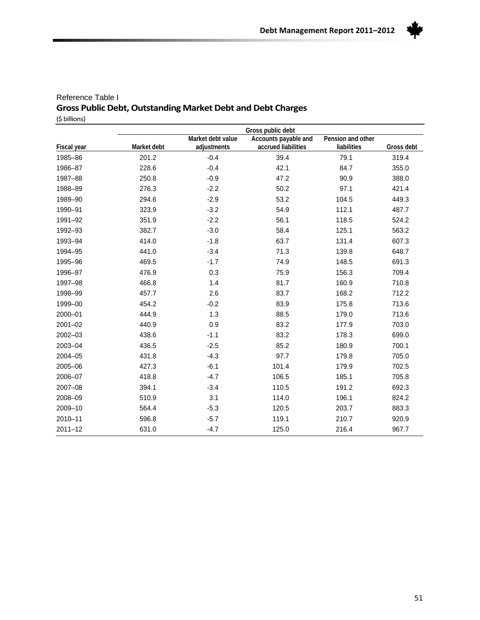

#### Reference Table I **Gross Public Debt,Outstanding Market Debt and Debt Charges**  (\$ billions)

|             |             |                   | Gross public debt    |                   |            |
|-------------|-------------|-------------------|----------------------|-------------------|------------|
|             |             | Market debt value | Accounts payable and | Pension and other |            |
| Fiscal year | Market debt | adjustments       | accrued liabilities  | liabilities       | Gross debt |
| 1985-86     | 201.2       | $-0.4$            | 39.4                 | 79.1              | 319.4      |
| 1986-87     | 228.6       | $-0.4$            | 42.1                 | 84.7              | 355.0      |
| 1987-88     | 250.8       | $-0.9$            | 47.2                 | 90.9              | 388.0      |
| 1988-89     | 276.3       | $-2.2$            | 50.2                 | 97.1              | 421.4      |
| 1989-90     | 294.6       | $-2.9$            | 53.2                 | 104.5             | 449.3      |
| 1990-91     | 323.9       | $-3.2$            | 54.9                 | 112.1             | 487.7      |
| 1991-92     | 351.9       | $-2.2$            | 56.1                 | 118.5             | 524.2      |
| 1992-93     | 382.7       | $-3.0$            | 58.4                 | 125.1             | 563.2      |
| 1993-94     | 414.0       | $-1.8$            | 63.7                 | 131.4             | 607.3      |
| 1994-95     | 441.0       | $-3.4$            | 71.3                 | 139.8             | 648.7      |
| 1995-96     | 469.5       | $-1.7$            | 74.9                 | 148.5             | 691.3      |
| 1996-97     | 476.9       | 0.3               | 75.9                 | 156.3             | 709.4      |
| 1997-98     | 466.8       | 1.4               | 81.7                 | 160.9             | 710.8      |
| 1998-99     | 457.7       | 2.6               | 83.7                 | 168.2             | 712.2      |
| 1999-00     | 454.2       | $-0.2$            | 83.9                 | 175.8             | 713.6      |
| 2000-01     | 444.9       | 1.3               | 88.5                 | 179.0             | 713.6      |
| $2001 - 02$ | 440.9       | 0.9               | 83.2                 | 177.9             | 703.0      |
| 2002-03     | 438.6       | $-1.1$            | 83.2                 | 178.3             | 699.0      |
| 2003-04     | 436.5       | $-2.5$            | 85.2                 | 180.9             | 700.1      |
| 2004-05     | 431.8       | $-4.3$            | 97.7                 | 179.8             | 705.0      |
| 2005-06     | 427.3       | $-6.1$            | 101.4                | 179.9             | 702.5      |
| 2006-07     | 418.8       | $-4.7$            | 106.5                | 185.1             | 705.8      |
| 2007-08     | 394.1       | $-3.4$            | 110.5                | 191.2             | 692.3      |
| 2008-09     | 510.9       | 3.1               | 114.0                | 196.1             | 824.2      |
| 2009-10     | 564.4       | $-5.3$            | 120.5                | 203.7             | 883.3      |
| 2010-11     | 596.8       | $-5.7$            | 119.1                | 210.7             | 920.9      |
| $2011 - 12$ | 631.0       | $-4.7$            | 125.0                | 216.4             | 967.7      |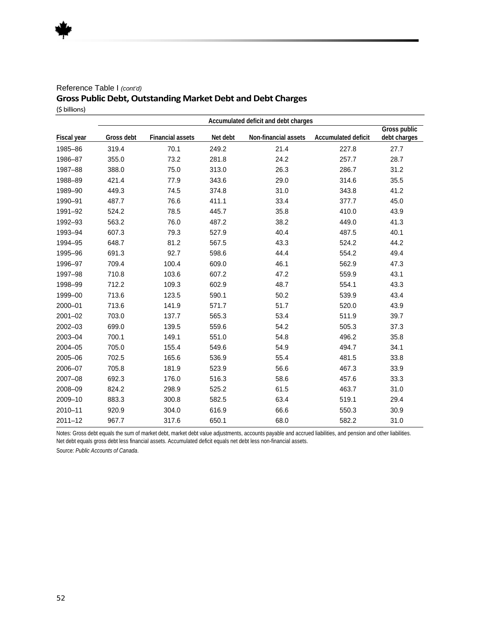#### Reference Table I *(cont'd)* **Gross Public Debt, Outstanding Market Debt and Debt Charges** (\$ billions)

|                    | Accumulated deficit and debt charges |                         |          |                      |                     |                              |  |
|--------------------|--------------------------------------|-------------------------|----------|----------------------|---------------------|------------------------------|--|
| <b>Fiscal year</b> | Gross debt                           | <b>Financial assets</b> | Net debt | Non-financial assets | Accumulated deficit | Gross public<br>debt charges |  |
| 1985-86            | 319.4                                | 70.1                    | 249.2    | 21.4                 | 227.8               | 27.7                         |  |
| 1986-87            | 355.0                                | 73.2                    | 281.8    | 24.2                 | 257.7               | 28.7                         |  |
| 1987-88            | 388.0                                | 75.0                    | 313.0    | 26.3                 | 286.7               | 31.2                         |  |
| 1988-89            | 421.4                                | 77.9                    | 343.6    | 29.0                 | 314.6               | 35.5                         |  |
| 1989-90            | 449.3                                | 74.5                    | 374.8    | 31.0                 | 343.8               | 41.2                         |  |
| 1990-91            | 487.7                                | 76.6                    | 411.1    | 33.4                 | 377.7               | 45.0                         |  |
| 1991-92            | 524.2                                | 78.5                    | 445.7    | 35.8                 | 410.0               | 43.9                         |  |
| 1992-93            | 563.2                                | 76.0                    | 487.2    | 38.2                 | 449.0               | 41.3                         |  |
| 1993-94            | 607.3                                | 79.3                    | 527.9    | 40.4                 | 487.5               | 40.1                         |  |
| 1994-95            | 648.7                                | 81.2                    | 567.5    | 43.3                 | 524.2               | 44.2                         |  |
| 1995-96            | 691.3                                | 92.7                    | 598.6    | 44.4                 | 554.2               | 49.4                         |  |
| 1996-97            | 709.4                                | 100.4                   | 609.0    | 46.1                 | 562.9               | 47.3                         |  |
| 1997-98            | 710.8                                | 103.6                   | 607.2    | 47.2                 | 559.9               | 43.1                         |  |
| 1998-99            | 712.2                                | 109.3                   | 602.9    | 48.7                 | 554.1               | 43.3                         |  |
| 1999-00            | 713.6                                | 123.5                   | 590.1    | 50.2                 | 539.9               | 43.4                         |  |
| 2000-01            | 713.6                                | 141.9                   | 571.7    | 51.7                 | 520.0               | 43.9                         |  |
| $2001 - 02$        | 703.0                                | 137.7                   | 565.3    | 53.4                 | 511.9               | 39.7                         |  |
| 2002-03            | 699.0                                | 139.5                   | 559.6    | 54.2                 | 505.3               | 37.3                         |  |
| 2003-04            | 700.1                                | 149.1                   | 551.0    | 54.8                 | 496.2               | 35.8                         |  |
| 2004-05            | 705.0                                | 155.4                   | 549.6    | 54.9                 | 494.7               | 34.1                         |  |
| 2005-06            | 702.5                                | 165.6                   | 536.9    | 55.4                 | 481.5               | 33.8                         |  |
| 2006-07            | 705.8                                | 181.9                   | 523.9    | 56.6                 | 467.3               | 33.9                         |  |
| 2007-08            | 692.3                                | 176.0                   | 516.3    | 58.6                 | 457.6               | 33.3                         |  |
| 2008-09            | 824.2                                | 298.9                   | 525.2    | 61.5                 | 463.7               | 31.0                         |  |
| 2009-10            | 883.3                                | 300.8                   | 582.5    | 63.4                 | 519.1               | 29.4                         |  |
| $2010 - 11$        | 920.9                                | 304.0                   | 616.9    | 66.6                 | 550.3               | 30.9                         |  |
| $2011 - 12$        | 967.7                                | 317.6                   | 650.1    | 68.0                 | 582.2               | 31.0                         |  |

Notes: Gross debt equals the sum of market debt, market debt value adjustments, accounts payable and accrued liabilities, and pension and other liabilities. Net debt equals gross debt less financial assets. Accumulated deficit equals net debt less non-financial assets.

Source: *Public Accounts of Canada*.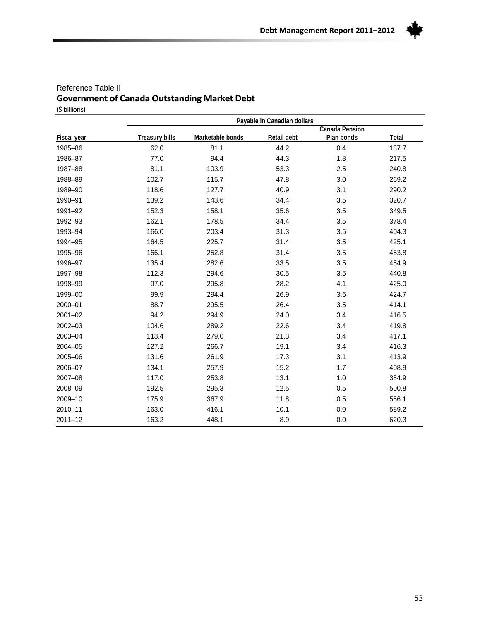

#### Reference Table II **Government of Canada Outstanding Market Debt** (\$ billions)

|             | Payable in Canadian dollars |                  |             |                |       |  |  |  |
|-------------|-----------------------------|------------------|-------------|----------------|-------|--|--|--|
|             |                             |                  |             | Canada Pension |       |  |  |  |
| Fiscal year | <b>Treasury bills</b>       | Marketable bonds | Retail debt | Plan bonds     | Total |  |  |  |
| 1985-86     | 62.0                        | 81.1             | 44.2        | 0.4            | 187.7 |  |  |  |
| 1986-87     | 77.0                        | 94.4             | 44.3        | 1.8            | 217.5 |  |  |  |
| 1987-88     | 81.1                        | 103.9            | 53.3        | 2.5            | 240.8 |  |  |  |
| 1988-89     | 102.7                       | 115.7            | 47.8        | 3.0            | 269.2 |  |  |  |
| 1989-90     | 118.6                       | 127.7            | 40.9        | 3.1            | 290.2 |  |  |  |
| 1990-91     | 139.2                       | 143.6            | 34.4        | 3.5            | 320.7 |  |  |  |
| 1991-92     | 152.3                       | 158.1            | 35.6        | 3.5            | 349.5 |  |  |  |
| 1992-93     | 162.1                       | 178.5            | 34.4        | 3.5            | 378.4 |  |  |  |
| 1993-94     | 166.0                       | 203.4            | 31.3        | 3.5            | 404.3 |  |  |  |
| 1994-95     | 164.5                       | 225.7            | 31.4        | 3.5            | 425.1 |  |  |  |
| 1995-96     | 166.1                       | 252.8            | 31.4        | 3.5            | 453.8 |  |  |  |
| 1996-97     | 135.4                       | 282.6            | 33.5        | 3.5            | 454.9 |  |  |  |
| 1997-98     | 112.3                       | 294.6            | 30.5        | 3.5            | 440.8 |  |  |  |
| 1998-99     | 97.0                        | 295.8            | 28.2        | 4.1            | 425.0 |  |  |  |
| 1999-00     | 99.9                        | 294.4            | 26.9        | 3.6            | 424.7 |  |  |  |
| 2000-01     | 88.7                        | 295.5            | 26.4        | 3.5            | 414.1 |  |  |  |
| $2001 - 02$ | 94.2                        | 294.9            | 24.0        | 3.4            | 416.5 |  |  |  |
| 2002-03     | 104.6                       | 289.2            | 22.6        | 3.4            | 419.8 |  |  |  |
| 2003-04     | 113.4                       | 279.0            | 21.3        | 3.4            | 417.1 |  |  |  |
| 2004-05     | 127.2                       | 266.7            | 19.1        | 3.4            | 416.3 |  |  |  |
| 2005-06     | 131.6                       | 261.9            | 17.3        | 3.1            | 413.9 |  |  |  |
| 2006-07     | 134.1                       | 257.9            | 15.2        | 1.7            | 408.9 |  |  |  |
| 2007-08     | 117.0                       | 253.8            | 13.1        | 1.0            | 384.9 |  |  |  |
| 2008-09     | 192.5                       | 295.3            | 12.5        | 0.5            | 500.8 |  |  |  |
| 2009-10     | 175.9                       | 367.9            | 11.8        | 0.5            | 556.1 |  |  |  |
| 2010-11     | 163.0                       | 416.1            | 10.1        | 0.0            | 589.2 |  |  |  |
| $2011 - 12$ | 163.2                       | 448.1            | 8.9         | 0.0            | 620.3 |  |  |  |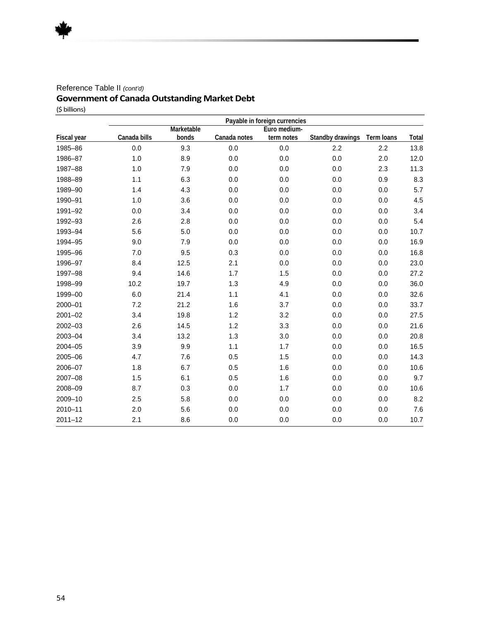#### Reference Table II *(cont'd)*

#### **Government of Canada Outstanding Market Debt**

(\$ billions)

|                    | Payable in foreign currencies |            |              |              |                  |            |       |
|--------------------|-------------------------------|------------|--------------|--------------|------------------|------------|-------|
|                    |                               | Marketable |              | Euro medium- |                  |            |       |
| <b>Fiscal year</b> | Canada bills                  | bonds      | Canada notes | term notes   | Standby drawings | Term loans | Total |
| 1985-86            | 0.0                           | 9.3        | 0.0          | 0.0          | 2.2              | 2.2        | 13.8  |
| 1986-87            | 1.0                           | 8.9        | 0.0          | 0.0          | 0.0              | 2.0        | 12.0  |
| 1987-88            | 1.0                           | 7.9        | 0.0          | 0.0          | 0.0              | 2.3        | 11.3  |
| 1988-89            | 1.1                           | 6.3        | 0.0          | 0.0          | 0.0              | 0.9        | 8.3   |
| 1989-90            | 1.4                           | 4.3        | 0.0          | 0.0          | 0.0              | 0.0        | 5.7   |
| 1990-91            | 1.0                           | 3.6        | 0.0          | 0.0          | 0.0              | 0.0        | 4.5   |
| 1991-92            | 0.0                           | 3.4        | 0.0          | 0.0          | 0.0              | 0.0        | 3.4   |
| 1992-93            | 2.6                           | 2.8        | 0.0          | 0.0          | 0.0              | 0.0        | 5.4   |
| 1993-94            | 5.6                           | 5.0        | 0.0          | 0.0          | 0.0              | 0.0        | 10.7  |
| 1994-95            | 9.0                           | 7.9        | 0.0          | 0.0          | 0.0              | 0.0        | 16.9  |
| 1995-96            | 7.0                           | 9.5        | 0.3          | 0.0          | 0.0              | 0.0        | 16.8  |
| 1996-97            | 8.4                           | 12.5       | 2.1          | 0.0          | 0.0              | 0.0        | 23.0  |
| 1997-98            | 9.4                           | 14.6       | 1.7          | 1.5          | 0.0              | 0.0        | 27.2  |
| 1998-99            | 10.2                          | 19.7       | 1.3          | 4.9          | 0.0              | 0.0        | 36.0  |
| 1999-00            | 6.0                           | 21.4       | 1.1          | 4.1          | 0.0              | 0.0        | 32.6  |
| 2000-01            | 7.2                           | 21.2       | 1.6          | 3.7          | 0.0              | 0.0        | 33.7  |
| $2001 - 02$        | 3.4                           | 19.8       | 1.2          | 3.2          | 0.0              | 0.0        | 27.5  |
| 2002-03            | 2.6                           | 14.5       | 1.2          | 3.3          | 0.0              | 0.0        | 21.6  |
| 2003-04            | 3.4                           | 13.2       | 1.3          | 3.0          | 0.0              | 0.0        | 20.8  |
| 2004-05            | 3.9                           | 9.9        | 1.1          | 1.7          | 0.0              | 0.0        | 16.5  |
| 2005-06            | 4.7                           | 7.6        | 0.5          | 1.5          | 0.0              | 0.0        | 14.3  |
| 2006-07            | 1.8                           | 6.7        | 0.5          | 1.6          | 0.0              | 0.0        | 10.6  |
| 2007-08            | 1.5                           | 6.1        | 0.5          | 1.6          | 0.0              | 0.0        | 9.7   |
| 2008-09            | 8.7                           | 0.3        | 0.0          | 1.7          | 0.0              | 0.0        | 10.6  |
| 2009-10            | 2.5                           | 5.8        | 0.0          | 0.0          | 0.0              | 0.0        | 8.2   |
| 2010-11            | 2.0                           | 5.6        | 0.0          | 0.0          | 0.0              | 0.0        | 7.6   |
| $2011 - 12$        | 2.1                           | 8.6        | 0.0          | 0.0          | 0.0              | 0.0        | 10.7  |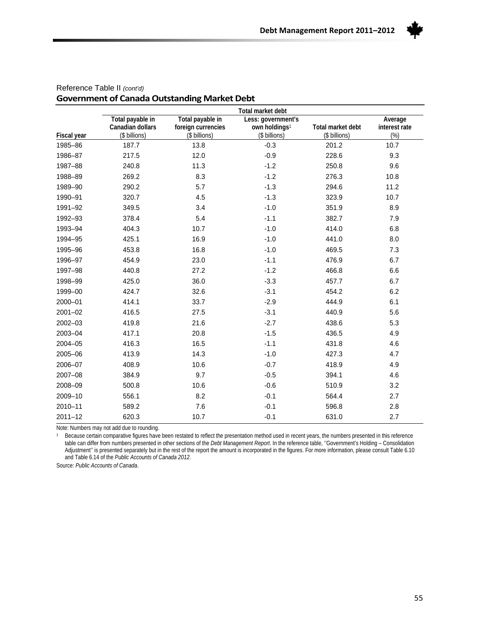

|                    |                  |                    | Total market debt         |                   |               |
|--------------------|------------------|--------------------|---------------------------|-------------------|---------------|
|                    | Total payable in | Total payable in   | Less: government's        |                   | Average       |
|                    | Canadian dollars | foreign currencies | own holdings <sup>1</sup> | Total market debt | interest rate |
| <b>Fiscal year</b> | (\$ billions)    | (\$ billions)      | (\$ billions)             | (\$ billions)     | $(\%)$        |
| 1985-86            | 187.7            | 13.8               | $-0.3$                    | 201.2             | 10.7          |
| 1986-87            | 217.5            | 12.0               | $-0.9$                    | 228.6             | 9.3           |
| 1987-88            | 240.8            | 11.3               | $-1.2$                    | 250.8             | 9.6           |
| 1988-89            | 269.2            | 8.3                | $-1.2$                    | 276.3             | 10.8          |
| 1989-90            | 290.2            | 5.7                | $-1.3$                    | 294.6             | 11.2          |
| 1990-91            | 320.7            | 4.5                | $-1.3$                    | 323.9             | 10.7          |
| 1991-92            | 349.5            | 3.4                | $-1.0$                    | 351.9             | 8.9           |
| 1992-93            | 378.4            | 5.4                | $-1.1$                    | 382.7             | 7.9           |
| 1993-94            | 404.3            | 10.7               | $-1.0$                    | 414.0             | 6.8           |
| 1994-95            | 425.1            | 16.9               | $-1.0$                    | 441.0             | 8.0           |
| 1995-96            | 453.8            | 16.8               | $-1.0$                    | 469.5             | 7.3           |
| 1996-97            | 454.9            | 23.0               | $-1.1$                    | 476.9             | 6.7           |
| 1997-98            | 440.8            | 27.2               | $-1.2$                    | 466.8             | 6.6           |
| 1998-99            | 425.0            | 36.0               | $-3.3$                    | 457.7             | 6.7           |
| 1999-00            | 424.7            | 32.6               | $-3.1$                    | 454.2             | 6.2           |
| 2000-01            | 414.1            | 33.7               | $-2.9$                    | 444.9             | 6.1           |
| $2001 - 02$        | 416.5            | 27.5               | $-3.1$                    | 440.9             | 5.6           |
| 2002-03            | 419.8            | 21.6               | $-2.7$                    | 438.6             | 5.3           |
| 2003-04            | 417.1            | 20.8               | $-1.5$                    | 436.5             | 4.9           |
| $2004 - 05$        | 416.3            | 16.5               | $-1.1$                    | 431.8             | 4.6           |
| 2005-06            | 413.9            | 14.3               | $-1.0$                    | 427.3             | 4.7           |
| 2006-07            | 408.9            | 10.6               | $-0.7$                    | 418.9             | 4.9           |
| 2007-08            | 384.9            | 9.7                | $-0.5$                    | 394.1             | 4.6           |
| 2008-09            | 500.8            | 10.6               | $-0.6$                    | 510.9             | 3.2           |
| 2009-10            | 556.1            | 8.2                | $-0.1$                    | 564.4             | 2.7           |
| 2010-11            | 589.2            | 7.6                | $-0.1$                    | 596.8             | 2.8           |
| $2011 - 12$        | 620.3            | 10.7               | $-0.1$                    | 631.0             | 2.7           |

#### Reference Table II *(cont'd)* **Government of CanadaOutstanding Market Debt**

Note: Numbers may not add due to rounding.

1 Because certain comparative figures have been restated to reflect the presentation method used in recent years, the numbers presented in this reference table can differ from numbers presented in other sections of the *Debt Management Report*. In the reference table, ''Government's Holding – Consolidation Adjustment'' is presented separately but in the rest of the report the amount is incorporated in the figures. For more information, please consult Table 6.10 and Table 6.14 of the *Public Accounts of Canada 2012*.

Source: *Public Accounts of Canada*.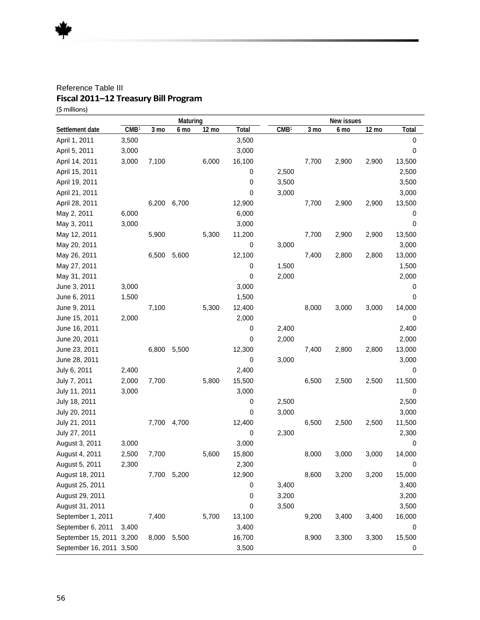#### Reference Table III **Fiscal 2011–12 Treasury Bill Program**  (\$millions)

|                          | Maturing         |                | New issues |       |        |                  |       |       |       |        |
|--------------------------|------------------|----------------|------------|-------|--------|------------------|-------|-------|-------|--------|
| Settlement date          | CMB <sup>1</sup> | $3 \text{ mo}$ | 6 mo       | 12 mo | Total  | CMB <sup>1</sup> | 3 mo  | 6 mo  | 12 mo | Total  |
| April 1, 2011            | 3,500            |                |            |       | 3,500  |                  |       |       |       | 0      |
| April 5, 2011            | 3,000            |                |            |       | 3,000  |                  |       |       |       | 0      |
| April 14, 2011           | 3,000            | 7,100          |            | 6,000 | 16,100 |                  | 7,700 | 2,900 | 2,900 | 13,500 |
| April 15, 2011           |                  |                |            |       | 0      | 2,500            |       |       |       | 2,500  |
| April 19, 2011           |                  |                |            |       | 0      | 3,500            |       |       |       | 3,500  |
| April 21, 2011           |                  |                |            |       | 0      | 3,000            |       |       |       | 3,000  |
| April 28, 2011           |                  | 6,200          | 6,700      |       | 12,900 |                  | 7,700 | 2,900 | 2,900 | 13,500 |
| May 2, 2011              | 6,000            |                |            |       | 6,000  |                  |       |       |       | 0      |
| May 3, 2011              | 3,000            |                |            |       | 3,000  |                  |       |       |       | 0      |
| May 12, 2011             |                  | 5,900          |            | 5,300 | 11,200 |                  | 7,700 | 2,900 | 2,900 | 13,500 |
| May 20, 2011             |                  |                |            |       | 0      | 3,000            |       |       |       | 3,000  |
| May 26, 2011             |                  | 6,500          | 5,600      |       | 12,100 |                  | 7,400 | 2,800 | 2,800 | 13,000 |
| May 27, 2011             |                  |                |            |       | 0      | 1,500            |       |       |       | 1,500  |
| May 31, 2011             |                  |                |            |       | 0      | 2,000            |       |       |       | 2,000  |
| June 3, 2011             | 3,000            |                |            |       | 3,000  |                  |       |       |       | 0      |
| June 6, 2011             | 1,500            |                |            |       | 1,500  |                  |       |       |       | 0      |
| June 9, 2011             |                  | 7,100          |            | 5,300 | 12,400 |                  | 8,000 | 3,000 | 3,000 | 14,000 |
| June 15, 2011            | 2,000            |                |            |       | 2,000  |                  |       |       |       | 0      |
| June 16, 2011            |                  |                |            |       | 0      | 2,400            |       |       |       | 2,400  |
| June 20, 2011            |                  |                |            |       | 0      | 2,000            |       |       |       | 2,000  |
| June 23, 2011            |                  | 6,800          | 5,500      |       | 12,300 |                  | 7,400 | 2,800 | 2,800 | 13,000 |
| June 28, 2011            |                  |                |            |       | 0      | 3,000            |       |       |       | 3,000  |
| July 6, 2011             | 2,400            |                |            |       | 2,400  |                  |       |       |       | 0      |
| July 7, 2011             | 2,000            | 7,700          |            | 5,800 | 15,500 |                  | 6,500 | 2,500 | 2,500 | 11,500 |
| July 11, 2011            | 3,000            |                |            |       | 3,000  |                  |       |       |       | 0      |
| July 18, 2011            |                  |                |            |       | 0      | 2,500            |       |       |       | 2,500  |
| July 20, 2011            |                  |                |            |       | 0      | 3,000            |       |       |       | 3,000  |
| July 21, 2011            |                  | 7,700          | 4,700      |       | 12,400 |                  | 6,500 | 2,500 | 2,500 | 11,500 |
| July 27, 2011            |                  |                |            |       | 0      | 2,300            |       |       |       | 2,300  |
| August 3, 2011           | 3,000            |                |            |       | 3,000  |                  |       |       |       | 0      |
| August 4, 2011           | 2,500            | 7,700          |            | 5,600 | 15,800 |                  | 8,000 | 3,000 | 3,000 | 14,000 |
| August 5, 2011           | 2,300            |                |            |       | 2,300  |                  |       |       |       | 0      |
| August 18, 2011          |                  | 7,700 5,200    |            |       | 12,900 |                  | 8,600 | 3,200 | 3,200 | 15,000 |
| August 25, 2011          |                  |                |            |       | 0      | 3,400            |       |       |       | 3,400  |
| August 29, 2011          |                  |                |            |       | 0      | 3,200            |       |       |       | 3,200  |
| August 31, 2011          |                  |                |            |       | 0      | 3,500            |       |       |       | 3,500  |
| September 1, 2011        |                  | 7,400          |            | 5,700 | 13,100 |                  | 9,200 | 3,400 | 3,400 | 16,000 |
| September 6, 2011        | 3,400            |                |            |       | 3,400  |                  |       |       |       | 0      |
| September 15, 2011 3,200 |                  | 8,000          | 5,500      |       | 16,700 |                  | 8,900 | 3,300 | 3,300 | 15,500 |
| September 16, 2011 3,500 |                  |                |            |       | 3,500  |                  |       |       |       | 0      |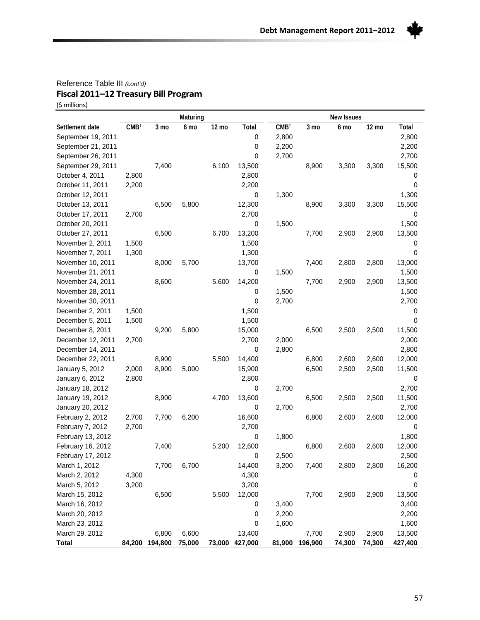

(\$millions)

|                    |                  |         | Maturing |       |                |                  |         | <b>New Issues</b> |        |              |
|--------------------|------------------|---------|----------|-------|----------------|------------------|---------|-------------------|--------|--------------|
| Settlement date    | CMB <sup>1</sup> | 3 mo    | 6 mo     | 12 mo | Total          | CMB <sup>1</sup> | 3 mo    | 6 mo              | 12 mo  | <b>Total</b> |
| September 19, 2011 |                  |         |          |       | 0              | 2,800            |         |                   |        | 2,800        |
| September 21, 2011 |                  |         |          |       | 0              | 2,200            |         |                   |        | 2,200        |
| September 26, 2011 |                  |         |          |       | 0              | 2,700            |         |                   |        | 2,700        |
| September 29, 2011 |                  | 7,400   |          | 6,100 | 13,500         |                  | 8,900   | 3,300             | 3,300  | 15,500       |
| October 4, 2011    | 2,800            |         |          |       | 2,800          |                  |         |                   |        | 0            |
| October 11, 2011   | 2,200            |         |          |       | 2,200          |                  |         |                   |        | 0            |
| October 12, 2011   |                  |         |          |       | 0              | 1,300            |         |                   |        | 1,300        |
| October 13, 2011   |                  | 6,500   | 5,800    |       | 12,300         |                  | 8,900   | 3,300             | 3,300  | 15,500       |
| October 17, 2011   | 2,700            |         |          |       | 2,700          |                  |         |                   |        | 0            |
| October 20, 2011   |                  |         |          |       | 0              | 1,500            |         |                   |        | 1,500        |
| October 27, 2011   |                  | 6,500   |          | 6,700 | 13,200         |                  | 7,700   | 2,900             | 2,900  | 13,500       |
| November 2, 2011   | 1,500            |         |          |       | 1,500          |                  |         |                   |        | 0            |
| November 7, 2011   | 1,300            |         |          |       | 1,300          |                  |         |                   |        | 0            |
| November 10, 2011  |                  | 8,000   | 5,700    |       | 13,700         |                  | 7,400   | 2,800             | 2,800  | 13,000       |
| November 21, 2011  |                  |         |          |       | 0              | 1,500            |         |                   |        | 1,500        |
| November 24, 2011  |                  | 8,600   |          | 5,600 | 14,200         |                  | 7,700   | 2,900             | 2,900  | 13,500       |
| November 28, 2011  |                  |         |          |       | 0              | 1,500            |         |                   |        | 1,500        |
| November 30, 2011  |                  |         |          |       | 0              | 2,700            |         |                   |        | 2,700        |
| December 2, 2011   | 1,500            |         |          |       | 1,500          |                  |         |                   |        | 0            |
| December 5, 2011   | 1,500            |         |          |       | 1,500          |                  |         |                   |        | 0            |
| December 8, 2011   |                  | 9,200   | 5,800    |       | 15,000         |                  | 6,500   | 2,500             | 2,500  | 11,500       |
| December 12, 2011  | 2,700            |         |          |       | 2,700          | 2,000            |         |                   |        | 2,000        |
| December 14, 2011  |                  |         |          |       | 0              | 2,800            |         |                   |        | 2,800        |
| December 22, 2011  |                  | 8,900   |          | 5,500 | 14,400         |                  | 6,800   | 2,600             | 2,600  | 12,000       |
| January 5, 2012    | 2,000            | 8,900   | 5,000    |       | 15,900         |                  | 6,500   | 2,500             | 2,500  | 11,500       |
| January 6, 2012    | 2,800            |         |          |       | 2,800          |                  |         |                   |        | 0            |
| January 18, 2012   |                  |         |          |       | 0              | 2,700            |         |                   |        | 2,700        |
| January 19, 2012   |                  | 8,900   |          | 4,700 | 13,600         |                  | 6,500   | 2,500             | 2,500  | 11,500       |
| January 20, 2012   |                  |         |          |       | 0              | 2,700            |         |                   |        | 2,700        |
| February 2, 2012   | 2,700            | 7,700   | 6,200    |       | 16,600         |                  | 6,800   | 2,600             | 2,600  | 12,000       |
| February 7, 2012   | 2,700            |         |          |       | 2,700          |                  |         |                   |        | 0            |
| February 13, 2012  |                  |         |          |       | 0              | 1,800            |         |                   |        | 1,800        |
| February 16, 2012  |                  | 7,400   |          | 5,200 | 12,600         |                  | 6,800   | 2,600             | 2,600  | 12,000       |
| February 17, 2012  |                  |         |          |       | 0              | 2,500            |         |                   |        | 2,500        |
| March 1, 2012      |                  | 7,700   | 6,700    |       | 14,400         | 3,200            | 7,400   | 2,800             | 2,800  | 16,200       |
| March 2, 2012      | 4,300            |         |          |       | 4,300          |                  |         |                   |        | 0            |
| March 5, 2012      | 3,200            |         |          |       | 3,200          |                  |         |                   |        | 0            |
| March 15, 2012     |                  | 6,500   |          | 5,500 | 12,000         |                  | 7,700   | 2,900             | 2,900  | 13,500       |
| March 16, 2012     |                  |         |          |       | 0              | 3,400            |         |                   |        | 3,400        |
| March 20, 2012     |                  |         |          |       | 0              | 2,200            |         |                   |        | 2,200        |
| March 23, 2012     |                  |         |          |       | 0              | 1,600            |         |                   |        | 1,600        |
| March 29, 2012     |                  | 6,800   | 6,600    |       | 13,400         |                  | 7,700   | 2,900             | 2,900  | 13,500       |
| <b>Total</b>       | 84,200           | 194,800 | 75,000   |       | 73,000 427,000 | 81,900           | 196,900 | 74,300            | 74,300 | 427,400      |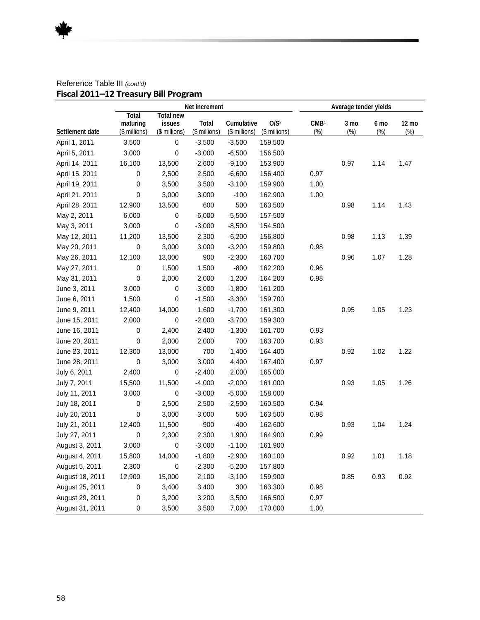|                 | Net increment                             |                                             |                        |                             |                                   | Average tender yields      |                |                |                 |
|-----------------|-------------------------------------------|---------------------------------------------|------------------------|-----------------------------|-----------------------------------|----------------------------|----------------|----------------|-----------------|
| Settlement date | <b>Total</b><br>maturing<br>(\$ millions) | <b>Total new</b><br>issues<br>(\$ millions) | Total<br>(\$ millions) | Cumulative<br>(\$ millions) | O/S <sup>2</sup><br>(\$ millions) | CMB <sup>1</sup><br>$(\%)$ | 3 mo<br>$(\%)$ | 6 mo<br>$(\%)$ | 12 mo<br>$(\%)$ |
| April 1, 2011   | 3,500                                     | 0                                           | $-3,500$               | $-3,500$                    | 159,500                           |                            |                |                |                 |
| April 5, 2011   | 3,000                                     | 0                                           | $-3,000$               | $-6,500$                    | 156,500                           |                            |                |                |                 |
| April 14, 2011  | 16,100                                    | 13,500                                      | $-2,600$               | $-9,100$                    | 153,900                           |                            | 0.97           | 1.14           | 1.47            |
| April 15, 2011  | 0                                         | 2,500                                       | 2,500                  | $-6,600$                    | 156,400                           | 0.97                       |                |                |                 |
| April 19, 2011  | 0                                         | 3,500                                       | 3,500                  | $-3,100$                    | 159,900                           | 1.00                       |                |                |                 |
| April 21, 2011  | 0                                         | 3,000                                       | 3,000                  | $-100$                      | 162,900                           | 1.00                       |                |                |                 |
| April 28, 2011  | 12,900                                    | 13,500                                      | 600                    | 500                         | 163,500                           |                            | 0.98           | 1.14           | 1.43            |
| May 2, 2011     | 6,000                                     | 0                                           | $-6,000$               | $-5,500$                    | 157,500                           |                            |                |                |                 |
| May 3, 2011     | 3,000                                     | 0                                           | $-3,000$               | $-8,500$                    | 154,500                           |                            |                |                |                 |
| May 12, 2011    | 11,200                                    | 13,500                                      | 2,300                  | $-6,200$                    | 156,800                           |                            | 0.98           | 1.13           | 1.39            |
| May 20, 2011    | 0                                         | 3,000                                       | 3,000                  | $-3,200$                    | 159,800                           | 0.98                       |                |                |                 |
| May 26, 2011    | 12,100                                    | 13,000                                      | 900                    | $-2,300$                    | 160,700                           |                            | 0.96           | 1.07           | 1.28            |
| May 27, 2011    | 0                                         | 1,500                                       | 1,500                  | $-800$                      | 162,200                           | 0.96                       |                |                |                 |
| May 31, 2011    | $\pmb{0}$                                 | 2,000                                       | 2,000                  | 1,200                       | 164,200                           | 0.98                       |                |                |                 |
| June 3, 2011    | 3,000                                     | 0                                           | $-3,000$               | $-1,800$                    | 161,200                           |                            |                |                |                 |
| June 6, 2011    | 1,500                                     | 0                                           | $-1,500$               | $-3,300$                    | 159,700                           |                            |                |                |                 |
| June 9, 2011    | 12,400                                    | 14,000                                      | 1,600                  | $-1,700$                    | 161,300                           |                            | 0.95           | 1.05           | 1.23            |
| June 15, 2011   | 2,000                                     | 0                                           | $-2,000$               | $-3,700$                    | 159,300                           |                            |                |                |                 |
| June 16, 2011   | 0                                         | 2,400                                       | 2,400                  | $-1,300$                    | 161,700                           | 0.93                       |                |                |                 |
| June 20, 2011   | 0                                         | 2,000                                       | 2,000                  | 700                         | 163,700                           | 0.93                       |                |                |                 |
| June 23, 2011   | 12,300                                    | 13,000                                      | 700                    | 1,400                       | 164,400                           |                            | 0.92           | 1.02           | 1.22            |
| June 28, 2011   | 0                                         | 3,000                                       | 3,000                  | 4,400                       | 167,400                           | 0.97                       |                |                |                 |
| July 6, 2011    | 2,400                                     | 0                                           | $-2,400$               | 2,000                       | 165,000                           |                            |                |                |                 |
| July 7, 2011    | 15,500                                    | 11,500                                      | $-4,000$               | $-2,000$                    | 161,000                           |                            | 0.93           | 1.05           | 1.26            |
| July 11, 2011   | 3,000                                     | 0                                           | $-3,000$               | $-5,000$                    | 158,000                           |                            |                |                |                 |
| July 18, 2011   | 0                                         | 2,500                                       | 2,500                  | $-2,500$                    | 160,500                           | 0.94                       |                |                |                 |
| July 20, 2011   | 0                                         | 3,000                                       | 3,000                  | 500                         | 163,500                           | 0.98                       |                |                |                 |
| July 21, 2011   | 12,400                                    | 11,500                                      | $-900$                 | $-400$                      | 162,600                           |                            | 0.93           | 1.04           | 1.24            |
| July 27, 2011   | 0                                         | 2,300                                       | 2,300                  | 1,900                       | 164,900                           | 0.99                       |                |                |                 |
| August 3, 2011  | 3,000                                     | 0                                           | $-3,000$               | $-1,100$                    | 161,900                           |                            |                |                |                 |
| August 4, 2011  | 15,800                                    | 14,000                                      | $-1,800$               | $-2,900$                    | 160,100                           |                            | 0.92           | 1.01           | 1.18            |
| August 5, 2011  | 2,300                                     | 0                                           | $-2,300$               | $-5,200$                    | 157,800                           |                            |                |                |                 |
| August 18, 2011 | 12,900                                    | 15,000                                      | 2,100                  | $-3,100$                    | 159,900                           |                            | 0.85           | 0.93           | 0.92            |
| August 25, 2011 | 0                                         | 3,400                                       | 3,400                  | 300                         | 163,300                           | 0.98                       |                |                |                 |
| August 29, 2011 | $\pmb{0}$                                 | 3,200                                       | 3,200                  | 3,500                       | 166,500                           | 0.97                       |                |                |                 |
| August 31, 2011 | 0                                         | 3,500                                       | 3,500                  | 7,000                       | 170,000                           | 1.00                       |                |                |                 |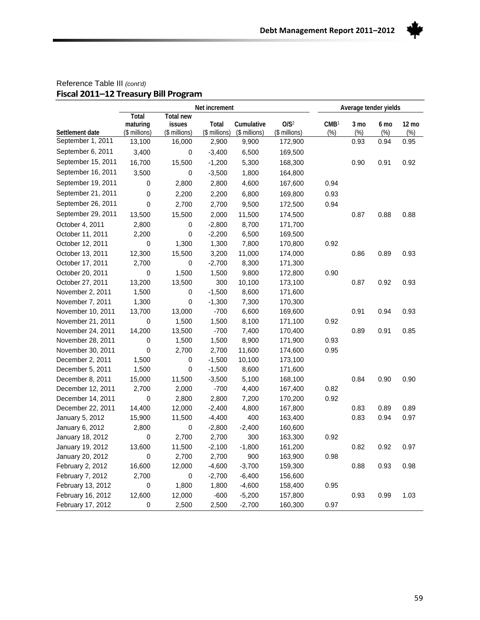

|                    | Net increment                      |                                             |                        |                             |                                   | Average tender yields   |                |             |                 |
|--------------------|------------------------------------|---------------------------------------------|------------------------|-----------------------------|-----------------------------------|-------------------------|----------------|-------------|-----------------|
| Settlement date    | Total<br>maturing<br>(\$ millions) | <b>Total new</b><br>issues<br>(\$ millions) | Total<br>(\$ millions) | Cumulative<br>(\$ millions) | O/S <sup>2</sup><br>(\$ millions) | CMB <sup>1</sup><br>(%) | 3 mo<br>$(\%)$ | 6 mo<br>(%) | 12 mo<br>$(\%)$ |
| September 1, 2011  | 13,100                             | 16,000                                      | 2,900                  | 9,900                       | 172,900                           |                         | 0.93           | 0.94        | 0.95            |
| September 6, 2011  | 3,400                              | $\pmb{0}$                                   | $-3,400$               | 6,500                       | 169,500                           |                         |                |             |                 |
| September 15, 2011 | 16,700                             | 15,500                                      | $-1,200$               | 5,300                       | 168,300                           |                         | 0.90           | 0.91        | 0.92            |
| September 16, 2011 | 3,500                              | 0                                           | $-3,500$               | 1,800                       | 164,800                           |                         |                |             |                 |
| September 19, 2011 | 0                                  | 2,800                                       | 2,800                  | 4,600                       | 167,600                           | 0.94                    |                |             |                 |
| September 21, 2011 | 0                                  | 2,200                                       | 2,200                  | 6,800                       | 169,800                           | 0.93                    |                |             |                 |
| September 26, 2011 | 0                                  | 2,700                                       | 2,700                  | 9,500                       | 172,500                           | 0.94                    |                |             |                 |
| September 29, 2011 | 13,500                             | 15,500                                      | 2,000                  | 11,500                      | 174,500                           |                         | 0.87           | 0.88        | 0.88            |
| October 4, 2011    | 2,800                              | 0                                           | $-2,800$               | 8,700                       | 171,700                           |                         |                |             |                 |
| October 11, 2011   | 2,200                              | 0                                           | $-2,200$               | 6,500                       | 169,500                           |                         |                |             |                 |
| October 12, 2011   | 0                                  | 1,300                                       | 1,300                  | 7,800                       | 170,800                           | 0.92                    |                |             |                 |
| October 13, 2011   | 12,300                             | 15,500                                      | 3,200                  | 11,000                      | 174,000                           |                         | 0.86           | 0.89        | 0.93            |
| October 17, 2011   | 2,700                              | 0                                           | $-2,700$               | 8,300                       | 171,300                           |                         |                |             |                 |
| October 20, 2011   | 0                                  | 1,500                                       | 1,500                  | 9,800                       | 172,800                           | 0.90                    |                |             |                 |
| October 27, 2011   | 13,200                             | 13,500                                      | 300                    | 10,100                      | 173,100                           |                         | 0.87           | 0.92        | 0.93            |
| November 2, 2011   | 1,500                              | 0                                           | $-1,500$               | 8,600                       | 171,600                           |                         |                |             |                 |
| November 7, 2011   | 1,300                              | 0                                           | $-1,300$               | 7,300                       | 170,300                           |                         |                |             |                 |
| November 10, 2011  | 13,700                             | 13,000                                      | $-700$                 | 6,600                       | 169,600                           |                         | 0.91           | 0.94        | 0.93            |
| November 21, 2011  | 0                                  | 1,500                                       | 1,500                  | 8,100                       | 171,100                           | 0.92                    |                |             |                 |
| November 24, 2011  | 14,200                             | 13,500                                      | $-700$                 | 7,400                       | 170,400                           |                         | 0.89           | 0.91        | 0.85            |
| November 28, 2011  | 0                                  | 1,500                                       | 1,500                  | 8,900                       | 171,900                           | 0.93                    |                |             |                 |
| November 30, 2011  | 0                                  | 2,700                                       | 2,700                  | 11,600                      | 174,600                           | 0.95                    |                |             |                 |
| December 2, 2011   | 1,500                              | 0                                           | $-1,500$               | 10,100                      | 173,100                           |                         |                |             |                 |
| December 5, 2011   | 1,500                              | 0                                           | $-1,500$               | 8,600                       | 171,600                           |                         |                |             |                 |
| December 8, 2011   | 15,000                             | 11,500                                      | $-3,500$               | 5,100                       | 168,100                           |                         | 0.84           | 0.90        | 0.90            |
| December 12, 2011  | 2,700                              | 2,000                                       | $-700$                 | 4,400                       | 167,400                           | 0.82                    |                |             |                 |
| December 14, 2011  | 0                                  | 2,800                                       | 2,800                  | 7,200                       | 170,200                           | 0.92                    |                |             |                 |
| December 22, 2011  | 14,400                             | 12,000                                      | $-2,400$               | 4,800                       | 167,800                           |                         | 0.83           | 0.89        | 0.89            |
| January 5, 2012    | 15,900                             | 11,500                                      | $-4,400$               | 400                         | 163,400                           |                         | 0.83           | 0.94        | 0.97            |
| January 6, 2012    | 2,800                              | $\pmb{0}$                                   | $-2,800$               | $-2,400$                    | 160,600                           |                         |                |             |                 |
| January 18, 2012   | 0                                  | 2,700                                       | 2,700                  | 300                         | 163,300                           | 0.92                    |                |             |                 |
| January 19, 2012   | 13,600                             | 11,500                                      | $-2,100$               | $-1,800$                    | 161,200                           |                         | 0.82           | 0.92        | 0.97            |
| January 20, 2012   | $\,0\,$                            | 2,700                                       | 2,700                  | 900                         | 163,900                           | 0.98                    |                |             |                 |
| February 2, 2012   | 16,600                             | 12,000                                      | $-4,600$               | $-3,700$                    | 159,300                           |                         | 0.88           | 0.93        | 0.98            |
| February 7, 2012   | 2,700                              | 0                                           | $-2,700$               | $-6,400$                    | 156,600                           |                         |                |             |                 |
| February 13, 2012  | 0                                  | 1,800                                       | 1,800                  | $-4,600$                    | 158,400                           | 0.95                    |                |             |                 |
| February 16, 2012  | 12,600                             | 12,000                                      | $-600$                 | $-5,200$                    | 157,800                           |                         | 0.93           | 0.99        | 1.03            |
| February 17, 2012  | 0                                  | 2,500                                       | 2,500                  | $-2,700$                    | 160,300                           | 0.97                    |                |             |                 |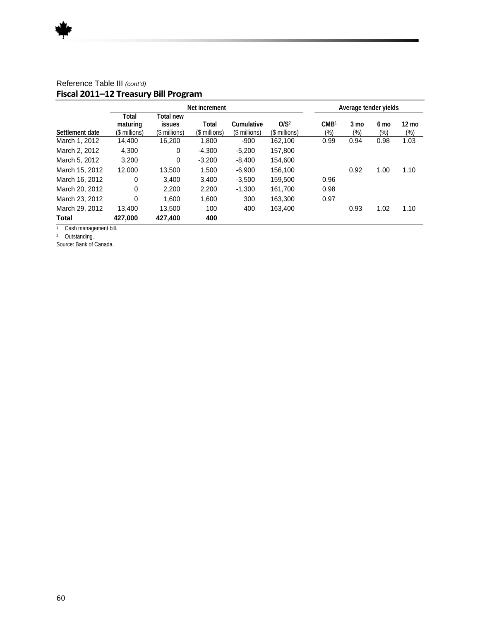|                 | Net increment                      |                                             |                        |                             |                                   | Average tender yields   |                          |                |                        |
|-----------------|------------------------------------|---------------------------------------------|------------------------|-----------------------------|-----------------------------------|-------------------------|--------------------------|----------------|------------------------|
| Settlement date | Total<br>maturing<br>(\$ millions) | Total new<br><b>issues</b><br>(\$ millions) | Total<br>(\$ millions) | Cumulative<br>(\$ millions) | O/S <sup>2</sup><br>(\$ millions) | CMB <sup>1</sup><br>(%) | $3 \text{ mo}$<br>$(\%)$ | 6 mo<br>$(\%)$ | $12 \text{ mo}$<br>(%) |
| March 1, 2012   | 14.400                             | 16,200                                      | 1,800                  | $-900$                      | 162,100                           | 0.99                    | 0.94                     | 0.98           | 1.03                   |
| March 2, 2012   | 4,300                              | 0                                           | $-4.300$               | $-5,200$                    | 157.800                           |                         |                          |                |                        |
| March 5, 2012   | 3,200                              | 0                                           | $-3.200$               | $-8,400$                    | 154,600                           |                         |                          |                |                        |
| March 15, 2012  | 12.000                             | 13.500                                      | 1.500                  | $-6,900$                    | 156,100                           |                         | 0.92                     | 1.00           | 1.10                   |
| March 16, 2012  | 0                                  | 3.400                                       | 3.400                  | $-3,500$                    | 159.500                           | 0.96                    |                          |                |                        |
| March 20, 2012  | 0                                  | 2.200                                       | 2,200                  | $-1,300$                    | 161,700                           | 0.98                    |                          |                |                        |
| March 23, 2012  | 0                                  | 1.600                                       | 1,600                  | 300                         | 163.300                           | 0.97                    |                          |                |                        |
| March 29, 2012  | 13,400                             | 13,500                                      | 100                    | 400                         | 163,400                           |                         | 0.93                     | 1.02           | 1.10                   |
| Total           | 427,000                            | 427,400                                     | 400                    |                             |                                   |                         |                          |                |                        |

1 Cash management bill.

2 Outstanding.

Source: Bank of Canada.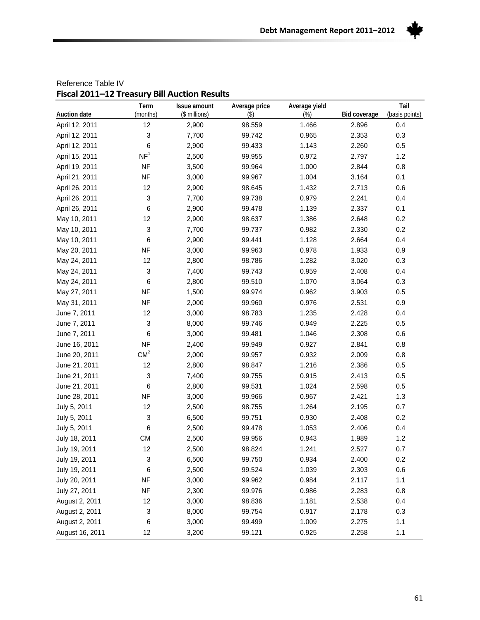

| Fiscal ZUII—IZ TTEasul y Dill Auction Results<br>Auction date | Term<br>(months)       | Issue amount<br>(\$ millions) | Average price<br>$($ \$) | Average yield<br>$(\%)$ | Bid coverage | Tail<br>(basis points) |
|---------------------------------------------------------------|------------------------|-------------------------------|--------------------------|-------------------------|--------------|------------------------|
| April 12, 2011                                                | 12                     | 2,900                         | 98.559                   | 1.466                   | 2.896        | 0.4                    |
| April 12, 2011                                                | 3                      | 7,700                         | 99.742                   | 0.965                   | 2.353        | 0.3                    |
| April 12, 2011                                                | 6                      | 2,900                         | 99.433                   | 1.143                   | 2.260        | 0.5                    |
| April 15, 2011                                                | $\mathsf{NF}^1$        | 2,500                         | 99.955                   | 0.972                   | 2.797        | 1.2                    |
| April 19, 2011                                                | <b>NF</b>              | 3,500                         | 99.964                   | 1.000                   | 2.844        | 0.8                    |
| April 21, 2011                                                | <b>NF</b>              | 3,000                         | 99.967                   | 1.004                   | 3.164        | 0.1                    |
| April 26, 2011                                                | 12                     | 2,900                         | 98.645                   | 1.432                   | 2.713        | 0.6                    |
| April 26, 2011                                                | 3                      | 7,700                         | 99.738                   | 0.979                   | 2.241        | 0.4                    |
| April 26, 2011                                                | 6                      | 2,900                         | 99.478                   | 1.139                   | 2.337        | 0.1                    |
| May 10, 2011                                                  | 12                     | 2,900                         | 98.637                   | 1.386                   | 2.648        | 0.2                    |
| May 10, 2011                                                  | 3                      | 7,700                         | 99.737                   | 0.982                   | 2.330        | 0.2                    |
| May 10, 2011                                                  | 6                      | 2,900                         | 99.441                   | 1.128                   | 2.664        | 0.4                    |
| May 20, 2011                                                  | <b>NF</b>              | 3,000                         | 99.963                   | 0.978                   | 1.933        | 0.9                    |
|                                                               | 12                     | 2,800                         | 98.786                   | 1.282                   | 3.020        | 0.3                    |
| May 24, 2011<br>May 24, 2011                                  | 3                      | 7,400                         | 99.743                   | 0.959                   | 2.408        | 0.4                    |
|                                                               | 6                      | 2,800                         | 99.510                   | 1.070                   | 3.064        | 0.3                    |
| May 24, 2011                                                  |                        |                               |                          |                         |              |                        |
| May 27, 2011                                                  | <b>NF</b><br><b>NF</b> | 1,500                         | 99.974                   | 0.962                   | 3.903        | 0.5                    |
| May 31, 2011                                                  |                        | 2,000                         | 99.960                   | 0.976                   | 2.531        | 0.9                    |
| June 7, 2011                                                  | 12                     | 3,000                         | 98.783                   | 1.235                   | 2.428        | 0.4                    |
| June 7, 2011                                                  | 3                      | 8,000                         | 99.746                   | 0.949                   | 2.225        | 0.5                    |
| June 7, 2011                                                  | 6                      | 3,000                         | 99.481                   | 1.046                   | 2.308        | 0.6                    |
| June 16, 2011                                                 | <b>NF</b>              | 2,400                         | 99.949                   | 0.927                   | 2.841        | 0.8                    |
| June 20, 2011                                                 | CM <sup>2</sup>        | 2,000                         | 99.957                   | 0.932                   | 2.009        | 0.8                    |
| June 21, 2011                                                 | 12                     | 2,800                         | 98.847                   | 1.216                   | 2.386        | 0.5                    |
| June 21, 2011                                                 | 3                      | 7,400                         | 99.755                   | 0.915                   | 2.413        | 0.5                    |
| June 21, 2011                                                 | 6                      | 2,800                         | 99.531                   | 1.024                   | 2.598        | 0.5                    |
| June 28, 2011                                                 | <b>NF</b>              | 3,000                         | 99.966                   | 0.967                   | 2.421        | 1.3                    |
| July 5, 2011                                                  | 12                     | 2,500                         | 98.755                   | 1.264                   | 2.195        | 0.7                    |
| July 5, 2011                                                  | 3                      | 6,500                         | 99.751                   | 0.930                   | 2.408        | 0.2                    |
| July 5, 2011                                                  | 6                      | 2,500                         | 99.478                   | 1.053                   | 2.406        | 0.4                    |
| July 18, 2011                                                 | <b>CM</b>              | 2,500                         | 99.956                   | 0.943                   | 1.989        | 1.2                    |
| July 19, 2011                                                 | 12                     | 2,500                         | 98.824                   | 1.241                   | 2.527        | 0.7                    |
| July 19, 2011                                                 | 3                      | 6,500                         | 99.750                   | 0.934                   | 2.400        | 0.2                    |
| July 19, 2011                                                 | 6                      | 2,500                         | 99.524                   | 1.039                   | 2.303        | 0.6                    |
| July 20, 2011                                                 | <b>NF</b>              | 3,000                         | 99.962                   | 0.984                   | 2.117        | 1.1                    |
| July 27, 2011                                                 | <b>NF</b>              | 2,300                         | 99.976                   | 0.986                   | 2.283        | 0.8                    |
| August 2, 2011                                                | 12                     | 3,000                         | 98.836                   | 1.181                   | 2.538        | 0.4                    |
| August 2, 2011                                                | 3                      | 8,000                         | 99.754                   | 0.917                   | 2.178        | 0.3                    |
| August 2, 2011                                                | 6                      | 3,000                         | 99.499                   | 1.009                   | 2.275        | 1.1                    |
| August 16, 2011                                               | 12                     | 3,200                         | 99.121                   | 0.925                   | 2.258        | 1.1                    |

#### Reference Table IV **Fiscal 2011–12 Treasury Bill Auction Results**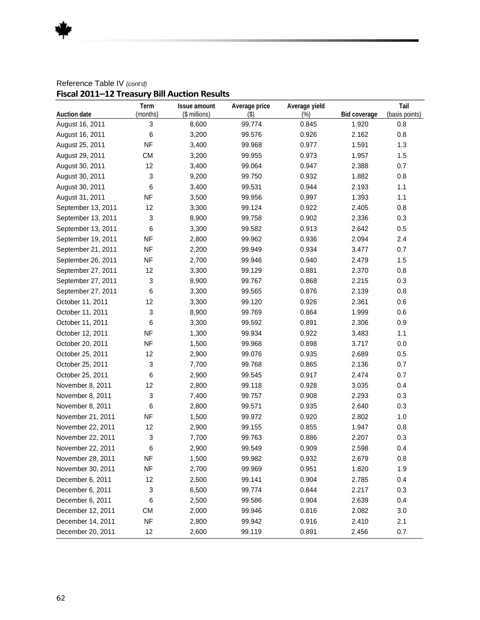#### Reference Table IV *(cont'd)* **Fiscal 2011–12 Treasury Bill Auction Results**

|                     | Term                      | Issue amount  | Average price | Average yield |              | Tail           |
|---------------------|---------------------------|---------------|---------------|---------------|--------------|----------------|
| <b>Auction date</b> | (months)                  | (\$ millions) | $($ \$)       | (%)           | Bid coverage | (basis points) |
| August 16, 2011     | 3                         | 8,600         | 99.774        | 0.845         | 1.920        | 0.8            |
| August 16, 2011     | 6                         | 3,200         | 99.576        | 0.926         | 2.162        | 0.8            |
| August 25, 2011     | <b>NF</b>                 | 3,400         | 99.968        | 0.977         | 1.591        | 1.3            |
| August 29, 2011     | <b>CM</b>                 | 3,200         | 99.955        | 0.973         | 1.957        | 1.5            |
| August 30, 2011     | 12                        | 3,400         | 99.064        | 0.947         | 2.388        | 0.7            |
| August 30, 2011     | $\ensuremath{\mathsf{3}}$ | 9,200         | 99.750        | 0.932         | 1.882        | 0.8            |
| August 30, 2011     | 6                         | 3,400         | 99.531        | 0.944         | 2.193        | 1.1            |
| August 31, 2011     | <b>NF</b>                 | 3,500         | 99.956        | 0.997         | 1.393        | 1.1            |
| September 13, 2011  | 12                        | 3,300         | 99.124        | 0.922         | 2.405        | 0.8            |
| September 13, 2011  | 3                         | 8,900         | 99.758        | 0.902         | 2.336        | 0.3            |
| September 13, 2011  | 6                         | 3,300         | 99.582        | 0.913         | 2.642        | 0.5            |
| September 19, 2011  | <b>NF</b>                 | 2,800         | 99.962        | 0.936         | 2.094        | 2.4            |
| September 21, 2011  | <b>NF</b>                 | 2,200         | 99.949        | 0.934         | 3.477        | 0.7            |
| September 26, 2011  | <b>NF</b>                 | 2,700         | 99.946        | 0.940         | 2.479        | 1.5            |
| September 27, 2011  | 12                        | 3,300         | 99.129        | 0.881         | 2.370        | 0.8            |
| September 27, 2011  | 3                         | 8,900         | 99.767        | 0.868         | 2.215        | 0.3            |
| September 27, 2011  | 6                         | 3,300         | 99.565        | 0.876         | 2.139        | 0.8            |
| October 11, 2011    | 12                        | 3,300         | 99.120        | 0.926         | 2.361        | 0.6            |
| October 11, 2011    | $\sqrt{3}$                | 8,900         | 99.769        | 0.864         | 1.999        | 0.6            |
| October 11, 2011    | 6                         | 3,300         | 99.592        | 0.891         | 2.306        | 0.9            |
| October 12, 2011    | <b>NF</b>                 | 1,300         | 99.934        | 0.922         | 3.483        | 1.1            |
| October 20, 2011    | <b>NF</b>                 | 1,500         | 99.968        | 0.898         | 3.717        | 0.0            |
| October 25, 2011    | 12                        | 2,900         | 99.076        | 0.935         | 2.689        | 0.5            |
| October 25, 2011    | 3                         | 7,700         | 99.768        | 0.865         | 2.136        | 0.7            |
| October 25, 2011    | 6                         | 2,900         | 99.545        | 0.917         | 2.474        | 0.7            |
| November 8, 2011    | 12                        | 2,800         | 99.118        | 0.928         | 3.035        | 0.4            |
| November 8, 2011    | $\ensuremath{\mathsf{3}}$ | 7,400         | 99.757        | 0.908         | 2.293        | 0.3            |
| November 8, 2011    | 6                         | 2,800         | 99.571        | 0.935         | 2.640        | 0.3            |
| November 21, 2011   | <b>NF</b>                 | 1,500         | 99.972        | 0.920         | 2.802        | 1.0            |
| November 22, 2011   | 12                        | 2,900         | 99.155        | 0.855         | 1.947        | 0.8            |
| November 22, 2011   | $\sqrt{3}$                | 7,700         | 99.763        | 0.886         | 2.207        | 0.3            |
| November 22, 2011   | 6                         | 2,900         | 99.549        | 0.909         | 2.598        | 0.4            |
| November 28, 2011   | <b>NF</b>                 | 1,500         | 99.982        | 0.932         | 2.679        | 0.8            |
| November 30, 2011   | <b>NF</b>                 | 2,700         | 99.969        | 0.951         | 1.820        | 1.9            |
| December 6, 2011    | 12                        | 2,500         | 99.141        | 0.904         | 2.785        | 0.4            |
| December 6, 2011    | 3                         | 6,500         | 99.774        | 0.844         | 2.217        | 0.3            |
| December 6, 2011    | 6                         | 2,500         | 99.586        | 0.904         | 2.639        | 0.4            |
| December 12, 2011   | <b>CM</b>                 | 2,000         | 99.946        | 0.816         | 2.082        | 3.0            |
| December 14, 2011   | <b>NF</b>                 | 2,800         | 99.942        | 0.916         | 2.410        | 2.1            |
| December 20, 2011   | 12                        | 2,600         | 99.119        | 0.891         | 2.456        | 0.7            |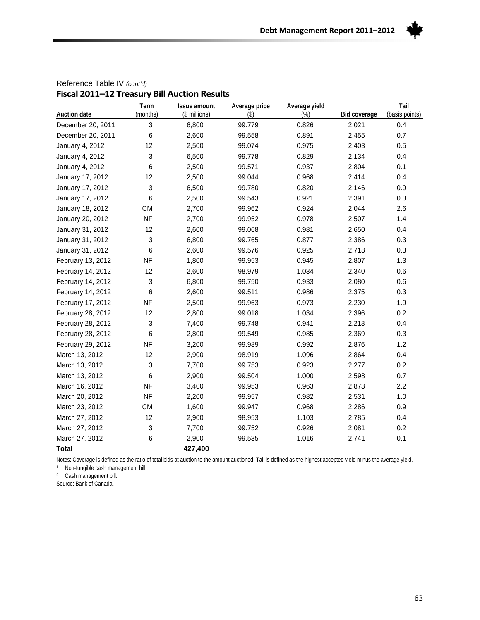

| riscal zull—Iz Treasury bill Auction Results | Term      | <b>Issue amount</b> | Average price | Average yield |              | Tail           |
|----------------------------------------------|-----------|---------------------|---------------|---------------|--------------|----------------|
| <b>Auction date</b>                          | (months)  | (\$ millions)       | $($ \$        | $(\%)$        | Bid coverage | (basis points) |
| December 20, 2011                            | 3         | 6,800               | 99.779        | 0.826         | 2.021        | 0.4            |
| December 20, 2011                            | 6         | 2,600               | 99.558        | 0.891         | 2.455        | 0.7            |
| January 4, 2012                              | 12        | 2,500               | 99.074        | 0.975         | 2.403        | 0.5            |
| January 4, 2012                              | 3         | 6,500               | 99.778        | 0.829         | 2.134        | 0.4            |
| January 4, 2012                              | 6         | 2,500               | 99.571        | 0.937         | 2.804        | 0.1            |
| January 17, 2012                             | 12        | 2,500               | 99.044        | 0.968         | 2.414        | 0.4            |
| January 17, 2012                             | 3         | 6,500               | 99.780        | 0.820         | 2.146        | 0.9            |
| January 17, 2012                             | 6         | 2,500               | 99.543        | 0.921         | 2.391        | 0.3            |
| January 18, 2012                             | <b>CM</b> | 2,700               | 99.962        | 0.924         | 2.044        | 2.6            |
| January 20, 2012                             | <b>NF</b> | 2,700               | 99.952        | 0.978         | 2.507        | 1.4            |
| January 31, 2012                             | 12        | 2,600               | 99.068        | 0.981         | 2.650        | 0.4            |
| January 31, 2012                             | 3         | 6,800               | 99.765        | 0.877         | 2.386        | 0.3            |
| January 31, 2012                             | 6         | 2,600               | 99.576        | 0.925         | 2.718        | 0.3            |
| February 13, 2012                            | <b>NF</b> | 1,800               | 99.953        | 0.945         | 2.807        | 1.3            |
| February 14, 2012                            | 12        | 2,600               | 98.979        | 1.034         | 2.340        | 0.6            |
| February 14, 2012                            | 3         | 6,800               | 99.750        | 0.933         | 2.080        | 0.6            |
| February 14, 2012                            | 6         | 2,600               | 99.511        | 0.986         | 2.375        | 0.3            |
| February 17, 2012                            | <b>NF</b> | 2,500               | 99.963        | 0.973         | 2.230        | 1.9            |
| February 28, 2012                            | 12        | 2,800               | 99.018        | 1.034         | 2.396        | 0.2            |
| February 28, 2012                            | 3         | 7,400               | 99.748        | 0.941         | 2.218        | 0.4            |
| February 28, 2012                            | 6         | 2,800               | 99.549        | 0.985         | 2.369        | 0.3            |
| February 29, 2012                            | <b>NF</b> | 3,200               | 99.989        | 0.992         | 2.876        | 1.2            |
| March 13, 2012                               | 12        | 2,900               | 98.919        | 1.096         | 2.864        | 0.4            |
| March 13, 2012                               | 3         | 7,700               | 99.753        | 0.923         | 2.277        | 0.2            |
| March 13, 2012                               | 6         | 2,900               | 99.504        | 1.000         | 2.598        | 0.7            |
| March 16, 2012                               | <b>NF</b> | 3,400               | 99.953        | 0.963         | 2.873        | 2.2            |
| March 20, 2012                               | <b>NF</b> | 2,200               | 99.957        | 0.982         | 2.531        | 1.0            |
| March 23, 2012                               | <b>CM</b> | 1,600               | 99.947        | 0.968         | 2.286        | 0.9            |
| March 27, 2012                               | 12        | 2,900               | 98.953        | 1.103         | 2.785        | 0.4            |
| March 27, 2012                               | 3         | 7,700               | 99.752        | 0.926         | 2.081        | 0.2            |
| March 27, 2012                               | 6         | 2,900               | 99.535        | 1.016         | 2.741        | 0.1            |
| <b>Total</b>                                 |           | 427,400             |               |               |              |                |

#### Reference Table IV *(cont'd)* **Fiscal 2011–12 Treasury Bill Auction Results**

Notes: Coverage is defined as the ratio of total bids at auction to the amount auctioned. Tail is defined as the highest accepted yield minus the average yield.

1 Non-fungible cash management bill.

2 Cash management bill.

Source: Bank of Canada.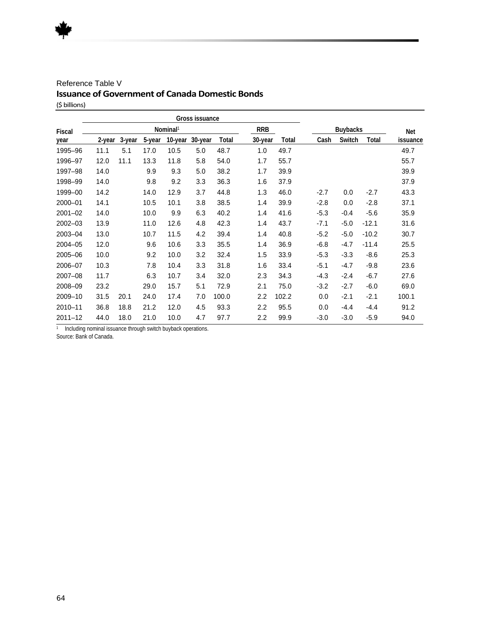#### Reference Table V **Issuance of Government of Canada Domestic Bonds**  (\$ billions)

|               |        |        |        |                      | Gross issuance |       |                  |       |        |                 |         |          |
|---------------|--------|--------|--------|----------------------|----------------|-------|------------------|-------|--------|-----------------|---------|----------|
| <b>Fiscal</b> |        |        |        | Nominal <sup>1</sup> |                |       | <b>RRB</b>       |       |        | <b>Buybacks</b> |         | Net      |
| year          | 2-year | 3-year | 5-year | 10-year              | 30-year        | Total | 30-year          | Total | Cash   | Switch          | Total   | issuance |
| 1995-96       | 11.1   | 5.1    | 17.0   | 10.5                 | 5.0            | 48.7  | 1.0              | 49.7  |        |                 |         | 49.7     |
| 1996-97       | 12.0   | 11.1   | 13.3   | 11.8                 | 5.8            | 54.0  | 1.7              | 55.7  |        |                 |         | 55.7     |
| 1997-98       | 14.0   |        | 9.9    | 9.3                  | 5.0            | 38.2  | 1.7              | 39.9  |        |                 |         | 39.9     |
| 1998-99       | 14.0   |        | 9.8    | 9.2                  | 3.3            | 36.3  | 1.6              | 37.9  |        |                 |         | 37.9     |
| 1999-00       | 14.2   |        | 14.0   | 12.9                 | 3.7            | 44.8  | 1.3              | 46.0  | $-2.7$ | 0.0             | $-2.7$  | 43.3     |
| 2000-01       | 14.1   |        | 10.5   | 10.1                 | 3.8            | 38.5  | 1.4              | 39.9  | $-2.8$ | 0.0             | $-2.8$  | 37.1     |
| $2001 - 02$   | 14.0   |        | 10.0   | 9.9                  | 6.3            | 40.2  | 1.4              | 41.6  | $-5.3$ | $-0.4$          | $-5.6$  | 35.9     |
| 2002-03       | 13.9   |        | 11.0   | 12.6                 | 4.8            | 42.3  | 1.4              | 43.7  | $-7.1$ | $-5.0$          | $-12.1$ | 31.6     |
| 2003-04       | 13.0   |        | 10.7   | 11.5                 | 4.2            | 39.4  | 1.4              | 40.8  | $-5.2$ | $-5.0$          | $-10.2$ | 30.7     |
| 2004-05       | 12.0   |        | 9.6    | 10.6                 | 3.3            | 35.5  | 1.4              | 36.9  | $-6.8$ | $-4.7$          | $-11.4$ | 25.5     |
| 2005-06       | 10.0   |        | 9.2    | 10.0                 | 3.2            | 32.4  | 1.5              | 33.9  | $-5.3$ | $-3.3$          | $-8.6$  | 25.3     |
| 2006-07       | 10.3   |        | 7.8    | 10.4                 | 3.3            | 31.8  | 1.6              | 33.4  | $-5.1$ | $-4.7$          | $-9.8$  | 23.6     |
| 2007-08       | 11.7   |        | 6.3    | 10.7                 | 3.4            | 32.0  | 2.3              | 34.3  | $-4.3$ | $-2.4$          | $-6.7$  | 27.6     |
| 2008-09       | 23.2   |        | 29.0   | 15.7                 | 5.1            | 72.9  | 2.1              | 75.0  | $-3.2$ | $-2.7$          | $-6.0$  | 69.0     |
| 2009-10       | 31.5   | 20.1   | 24.0   | 17.4                 | 7.0            | 100.0 | 2.2              | 102.2 | 0.0    | $-2.1$          | $-2.1$  | 100.1    |
| $2010 - 11$   | 36.8   | 18.8   | 21.2   | 12.0                 | 4.5            | 93.3  | 2.2              | 95.5  | 0.0    | -4.4            | $-4.4$  | 91.2     |
| $2011 - 12$   | 44.0   | 18.0   | 21.0   | 10.0                 | 4.7            | 97.7  | $2.2\phantom{0}$ | 99.9  | -3.0   | $-3.0$          | $-5.9$  | 94.0     |

<sup>1</sup> Including nominal issuance through switch buyback operations.

Source: Bank of Canada.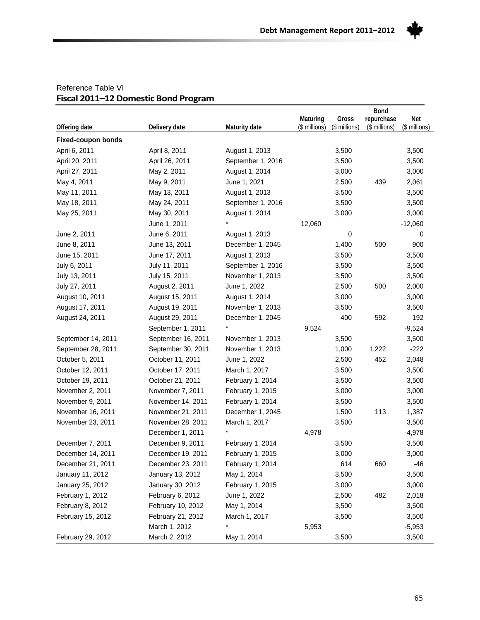

#### Reference Table VI **Fiscal 2011–12 Domestic Bond Program**

|                           |                    |                   | <b>Bond</b>   |                        |                             |               |
|---------------------------|--------------------|-------------------|---------------|------------------------|-----------------------------|---------------|
|                           |                    |                   | Maturing      | Gross<br>(\$ millions) | repurchase<br>(\$ millions) | Net           |
| Offering date             | Delivery date      | Maturity date     | (\$ millions) |                        |                             | (\$ millions) |
| <b>Fixed-coupon bonds</b> |                    |                   |               |                        |                             |               |
| April 6, 2011             | April 8, 2011      | August 1, 2013    |               | 3,500                  |                             | 3,500         |
| April 20, 2011            | April 26, 2011     | September 1, 2016 |               | 3,500                  |                             | 3,500         |
| April 27, 2011            | May 2, 2011        | August 1, 2014    |               | 3,000                  |                             | 3,000         |
| May 4, 2011               | May 9, 2011        | June 1, 2021      |               | 2,500                  | 439                         | 2,061         |
| May 11, 2011              | May 13, 2011       | August 1, 2013    |               | 3,500                  |                             | 3,500         |
| May 18, 2011              | May 24, 2011       | September 1, 2016 |               | 3,500                  |                             | 3,500         |
| May 25, 2011              | May 30, 2011       | August 1, 2014    |               | 3,000                  |                             | 3,000         |
|                           | June 1, 2011       |                   | 12,060        |                        |                             | $-12,060$     |
| June 2, 2011              | June 6, 2011       | August 1, 2013    |               | 0                      |                             | 0             |
| June 8, 2011              | June 13, 2011      | December 1, 2045  |               | 1,400                  | 500                         | 900           |
| June 15, 2011             | June 17, 2011      | August 1, 2013    |               | 3,500                  |                             | 3,500         |
| July 6, 2011              | July 11, 2011      | September 1, 2016 |               | 3,500                  |                             | 3,500         |
| July 13, 2011             | July 15, 2011      | November 1, 2013  |               | 3,500                  |                             | 3,500         |
| July 27, 2011             | August 2, 2011     | June 1, 2022      |               | 2,500                  | 500                         | 2,000         |
| August 10, 2011           | August 15, 2011    | August 1, 2014    |               | 3,000                  |                             | 3,000         |
| August 17, 2011           | August 19, 2011    | November 1, 2013  |               | 3,500                  |                             | 3,500         |
| August 24, 2011           | August 29, 2011    | December 1, 2045  |               | 400                    | 592                         | $-192$        |
|                           | September 1, 2011  |                   | 9,524         |                        |                             | $-9,524$      |
| September 14, 2011        | September 16, 2011 | November 1, 2013  |               | 3,500                  |                             | 3,500         |
| September 28, 2011        | September 30, 2011 | November 1, 2013  |               | 1,000                  | 1,222                       | $-222$        |
| October 5, 2011           | October 11, 2011   | June 1, 2022      |               | 2,500                  | 452                         | 2,048         |
| October 12, 2011          | October 17, 2011   | March 1, 2017     |               | 3,500                  |                             | 3,500         |
| October 19, 2011          | October 21, 2011   | February 1, 2014  |               | 3,500                  |                             | 3,500         |
| November 2, 2011          | November 7, 2011   | February 1, 2015  |               | 3,000                  |                             | 3,000         |
| November 9, 2011          | November 14, 2011  | February 1, 2014  |               | 3,500                  |                             | 3,500         |
| November 16, 2011         | November 21, 2011  | December 1, 2045  |               | 1,500                  | 113                         | 1,387         |
| November 23, 2011         | November 28, 2011  | March 1, 2017     |               | 3,500                  |                             | 3,500         |
|                           | December 1, 2011   |                   | 4,978         |                        |                             | $-4,978$      |
| December 7, 2011          | December 9, 2011   | February 1, 2014  |               | 3,500                  |                             | 3,500         |
| December 14, 2011         | December 19, 2011  | February 1, 2015  |               | 3,000                  |                             | 3,000         |
| December 21, 2011         | December 23, 2011  | February 1, 2014  |               | 614                    | 660                         | $-46$         |
| January 11, 2012          | January 13, 2012   | May 1, 2014       |               | 3,500                  |                             | 3,500         |
| January 25, 2012          | January 30, 2012   | February 1, 2015  |               | 3,000                  |                             | 3,000         |
| February 1, 2012          | February 6, 2012   | June 1, 2022      |               | 2,500                  | 482                         | 2,018         |
| February 8, 2012          | February 10, 2012  | May 1, 2014       |               | 3,500                  |                             | 3,500         |
| February 15, 2012         | February 21, 2012  | March 1, 2017     |               | 3,500                  |                             | 3,500         |
|                           | March 1, 2012      | *                 | 5,953         |                        |                             | $-5,953$      |
| February 29, 2012         | March 2, 2012      | May 1, 2014       |               | 3,500                  |                             | 3,500         |
|                           |                    |                   |               |                        |                             |               |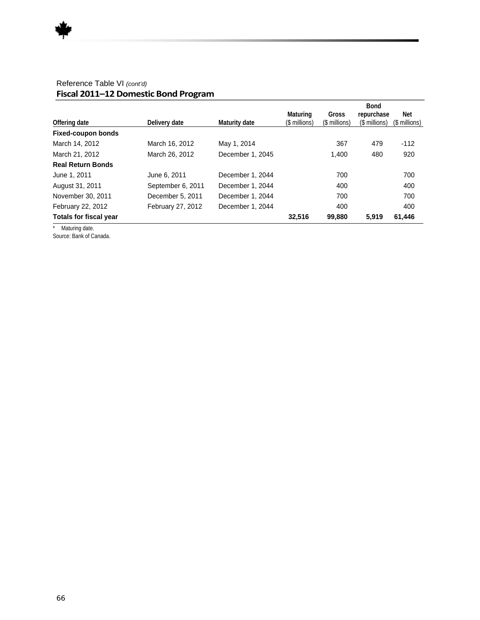|                   |                  |               |               | <b>Bond</b>   |               |
|-------------------|------------------|---------------|---------------|---------------|---------------|
|                   |                  | Maturing      | Gross         | repurchase    | Net           |
| Delivery date     | Maturity date    | (\$ millions) | (\$ millions) | (\$ millions) | (\$ millions) |
|                   |                  |               |               |               |               |
| March 16, 2012    | May 1, 2014      |               | 367           | 479           | $-112$        |
| March 26, 2012    | December 1, 2045 |               | 1.400         | 480           | 920           |
|                   |                  |               |               |               |               |
| June 6, 2011      | December 1, 2044 |               | 700           |               | 700           |
| September 6, 2011 | December 1, 2044 |               | 400           |               | 400           |
| December 5, 2011  | December 1, 2044 |               | 700           |               | 700           |
| February 27, 2012 | December 1, 2044 |               | 400           |               | 400           |
|                   |                  | 32,516        | 99,880        | 5,919         | 61,446        |
|                   |                  |               |               |               |               |

#### Reference Table VI *(cont'd)* **Fiscal 2011–12 Domestic Bond Program**

\* Maturing date. Source: Bank of Canada.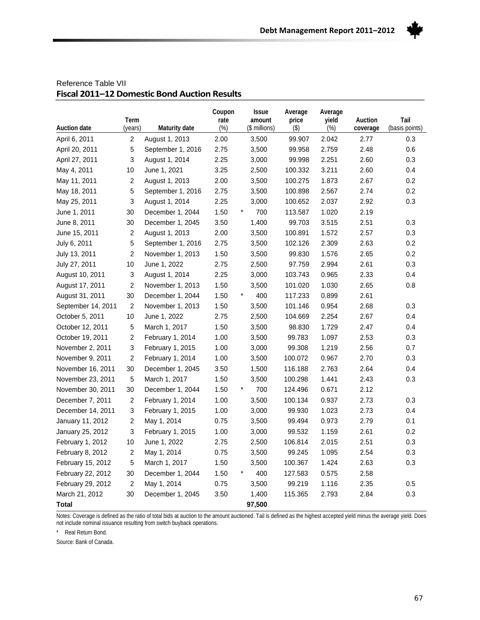

|                     | Term           |                   | Coupon<br>rate | <b>Issue</b><br>amount | Average<br>price | Average<br>yield | Auction  | Tail           |
|---------------------|----------------|-------------------|----------------|------------------------|------------------|------------------|----------|----------------|
| <b>Auction date</b> | (years)        | Maturity date     | $(\%)$         | (\$ millions)          | $($ \$)          | $(\%)$           | coverage | (basis points) |
| April 6, 2011       | $\overline{c}$ | August 1, 2013    | 2.00           | 3,500                  | 99.907           | 2.042            | 2.77     | 0.3            |
| April 20, 2011      | 5              | September 1, 2016 | 2.75           | 3,500                  | 99.958           | 2.759            | 2.48     | 0.6            |
| April 27, 2011      | 3              | August 1, 2014    | 2.25           | 3,000                  | 99.998           | 2.251            | 2.60     | 0.3            |
| May 4, 2011         | 10             | June 1, 2021      | 3.25           | 2,500                  | 100.332          | 3.211            | 2.60     | 0.4            |
| May 11, 2011        | 2              | August 1, 2013    | 2.00           | 3,500                  | 100.275          | 1.873            | 2.67     | 0.2            |
| May 18, 2011        | 5              | September 1, 2016 | 2.75           | 3,500                  | 100.898          | 2.567            | 2.74     | 0.2            |
| May 25, 2011        | 3              | August 1, 2014    | 2.25           | 3,000                  | 100.652          | 2.037            | 2.92     | 0.3            |
| June 1, 2011        | 30             | December 1, 2044  | 1.50           | $\star$<br>700         | 113.587          | 1.020            | 2.19     |                |
| June 8, 2011        | $30\,$         | December 1, 2045  | 3.50           | 1,400                  | 99.703           | 3.515            | 2.51     | 0.3            |
| June 15, 2011       | $\overline{c}$ | August 1, 2013    | 2.00           | 3,500                  | 100.891          | 1.572            | 2.57     | 0.3            |
| July 6, 2011        | 5              | September 1, 2016 | 2.75           | 3,500                  | 102.126          | 2.309            | 2.63     | 0.2            |
| July 13, 2011       | $\overline{c}$ | November 1, 2013  | 1.50           | 3,500                  | 99.830           | 1.576            | 2.65     | 0.2            |
| July 27, 2011       | 10             | June 1, 2022      | 2.75           | 2,500                  | 97.759           | 2.994            | 2.61     | 0.3            |
| August 10, 2011     | 3              | August 1, 2014    | 2.25           | 3,000                  | 103.743          | 0.965            | 2.33     | 0.4            |
| August 17, 2011     | $\overline{c}$ | November 1, 2013  | 1.50           | 3,500                  | 101.020          | 1.030            | 2.65     | 0.8            |
| August 31, 2011     | 30             | December 1, 2044  | 1.50           | $\star$<br>400         | 117.233          | 0.899            | 2.61     |                |
| September 14, 2011  | $\overline{c}$ | November 1, 2013  | 1.50           | 3,500                  | 101.146          | 0.954            | 2.68     | 0.3            |
| October 5, 2011     | 10             | June 1, 2022      | 2.75           | 2,500                  | 104.669          | 2.254            | 2.67     | 0.4            |
| October 12, 2011    | 5              | March 1, 2017     | 1.50           | 3,500                  | 98.830           | 1.729            | 2.47     | 0.4            |
| October 19, 2011    | $\overline{2}$ | February 1, 2014  | 1.00           | 3,500                  | 99.783           | 1.097            | 2.53     | 0.3            |
| November 2, 2011    | 3              | February 1, 2015  | 1.00           | 3,000                  | 99.308           | 1.219            | 2.56     | 0.7            |
| November 9, 2011    | $\overline{c}$ | February 1, 2014  | 1.00           | 3,500                  | 100.072          | 0.967            | 2.70     | 0.3            |
| November 16, 2011   | 30             | December 1, 2045  | 3.50           | 1,500                  | 116.188          | 2.763            | 2.64     | 0.4            |
| November 23, 2011   | 5              | March 1, 2017     | 1.50           | 3,500                  | 100.298          | 1.441            | 2.43     | 0.3            |
| November 30, 2011   | 30             | December 1, 2044  | 1.50           | $\star$<br>700         | 124.496          | 0.671            | 2.12     |                |
| December 7, 2011    | 2              | February 1, 2014  | 1.00           | 3,500                  | 100.134          | 0.937            | 2.73     | 0.3            |
| December 14, 2011   | 3              | February 1, 2015  | 1.00           | 3,000                  | 99.930           | 1.023            | 2.73     | 0.4            |
| January 11, 2012    | $\overline{c}$ | May 1, 2014       | 0.75           | 3,500                  | 99.494           | 0.973            | 2.79     | 0.1            |
| January 25, 2012    | 3              | February 1, 2015  | 1.00           | 3,000                  | 99.532           | 1.159            | 2.61     | 0.2            |
| February 1, 2012    | $10$           | June 1, 2022      | 2.75           | 2,500                  | 106.814          | 2.015            | 2.51     | 0.3            |
| February 8, 2012    | $\overline{c}$ | May 1, 2014       | 0.75           | 3,500                  | 99.245           | 1.095            | 2.54     | 0.3            |
| February 15, 2012   | 5              | March 1, 2017     | 1.50           | 3,500                  | 100.367          | 1.424            | 2.63     | 0.3            |
| February 22, 2012   | $30\,$         | December 1, 2044  | 1.50           | $\star$<br>400         | 127.583          | 0.575            | 2.58     |                |
| February 29, 2012   | $\overline{c}$ | May 1, 2014       | 0.75           | 3,500                  | 99.219           | 1.116            | 2.35     | 0.5            |
| March 21, 2012      | 30             | December 1, 2045  | 3.50           | 1,400                  | 115.365          | 2.793            | 2.84     | 0.3            |
| Total               |                |                   |                | 97,500                 |                  |                  |          |                |

#### Reference Table VII **Fiscal 2011–12 Domestic Bond Auction Results**

Notes: Coverage is defined as the ratio of total bids at auction to the amount auctioned. Tail is defined as the highest accepted yield minus the average yield. Does not include nominal issuance resulting from switch buyback operations.

\* Real Return Bond.

Source: Bank of Canada.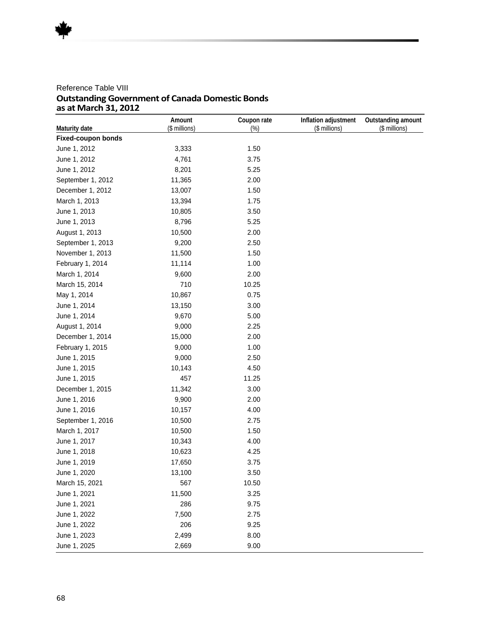#### Reference Table VIII **Outstanding Government of Canada Domestic Bonds as at March 31, 2012**

|                           | Amount        | Coupon rate | Inflation adjustment | Outstanding amount |
|---------------------------|---------------|-------------|----------------------|--------------------|
| Maturity date             | (\$ millions) | $(\%)$      | (\$ millions)        | (\$ millions)      |
| <b>Fixed-coupon bonds</b> |               |             |                      |                    |
| June 1, 2012              | 3,333         | 1.50        |                      |                    |
| June 1, 2012              | 4,761         | 3.75        |                      |                    |
| June 1, 2012              | 8,201         | 5.25        |                      |                    |
| September 1, 2012         | 11,365        | 2.00        |                      |                    |
| December 1, 2012          | 13,007        | 1.50        |                      |                    |
| March 1, 2013             | 13,394        | 1.75        |                      |                    |
| June 1, 2013              | 10,805        | 3.50        |                      |                    |
| June 1, 2013              | 8,796         | 5.25        |                      |                    |
| August 1, 2013            | 10,500        | 2.00        |                      |                    |
| September 1, 2013         | 9,200         | 2.50        |                      |                    |
| November 1, 2013          | 11,500        | 1.50        |                      |                    |
| February 1, 2014          | 11,114        | 1.00        |                      |                    |
| March 1, 2014             | 9,600         | 2.00        |                      |                    |
| March 15, 2014            | 710           | 10.25       |                      |                    |
| May 1, 2014               | 10,867        | 0.75        |                      |                    |
| June 1, 2014              | 13,150        | 3.00        |                      |                    |
| June 1, 2014              | 9,670         | 5.00        |                      |                    |
| August 1, 2014            | 9,000         | 2.25        |                      |                    |
| December 1, 2014          | 15,000        | 2.00        |                      |                    |
| February 1, 2015          | 9,000         | 1.00        |                      |                    |
| June 1, 2015              | 9,000         | 2.50        |                      |                    |
| June 1, 2015              | 10,143        | 4.50        |                      |                    |
| June 1, 2015              | 457           | 11.25       |                      |                    |
| December 1, 2015          | 11,342        | 3.00        |                      |                    |
| June 1, 2016              | 9,900         | 2.00        |                      |                    |
| June 1, 2016              | 10,157        | 4.00        |                      |                    |
| September 1, 2016         | 10,500        | 2.75        |                      |                    |
| March 1, 2017             | 10,500        | 1.50        |                      |                    |
| June 1, 2017              | 10,343        | 4.00        |                      |                    |
| June 1, 2018              | 10,623        | 4.25        |                      |                    |
| June 1, 2019              | 17,650        | 3.75        |                      |                    |
| June 1, 2020              | 13,100        | 3.50        |                      |                    |
| March 15, 2021            | 567           | 10.50       |                      |                    |
| June 1, 2021              | 11,500        | 3.25        |                      |                    |
| June 1, 2021              | 286           | 9.75        |                      |                    |
| June 1, 2022              | 7,500         | 2.75        |                      |                    |
| June 1, 2022              | 206           | 9.25        |                      |                    |
| June 1, 2023              | 2,499         | 8.00        |                      |                    |
| June 1, 2025              | 2,669         | 9.00        |                      |                    |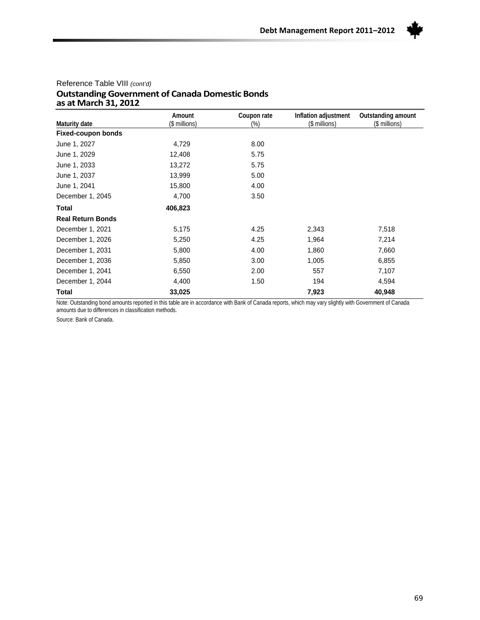

#### Reference Table VIII *(cont'd)* **Outstanding Government of Canada Domestic Bonds as at March 31, 2012**

|                           | Amount        | Coupon rate | Inflation adjustment | Outstanding amount |
|---------------------------|---------------|-------------|----------------------|--------------------|
| Maturity date             | (\$ millions) | $(\%)$      | (\$ millions)        | (\$ millions)      |
| <b>Fixed-coupon bonds</b> |               |             |                      |                    |
| June 1, 2027              | 4,729         | 8.00        |                      |                    |
| June 1, 2029              | 12,408        | 5.75        |                      |                    |
| June 1, 2033              | 13,272        | 5.75        |                      |                    |
| June 1, 2037              | 13,999        | 5.00        |                      |                    |
| June 1, 2041              | 15,800        | 4.00        |                      |                    |
| December 1, 2045          | 4,700         | 3.50        |                      |                    |
| <b>Total</b>              | 406,823       |             |                      |                    |
| <b>Real Return Bonds</b>  |               |             |                      |                    |
| December 1, 2021          | 5,175         | 4.25        | 2,343                | 7,518              |
| December 1, 2026          | 5,250         | 4.25        | 1,964                | 7,214              |
| December 1, 2031          | 5,800         | 4.00        | 1,860                | 7,660              |
| December 1, 2036          | 5,850         | 3.00        | 1,005                | 6,855              |
| December 1, 2041          | 6,550         | 2.00        | 557                  | 7,107              |
| December 1, 2044          | 4,400         | 1.50        | 194                  | 4,594              |
| Total                     | 33,025        |             | 7,923                | 40,948             |

Note: Outstanding bond amounts reported in this table are in accordance with Bank of Canada reports, which may vary slightly with Government of Canada amounts due to differences in classification methods.

Source: Bank of Canada.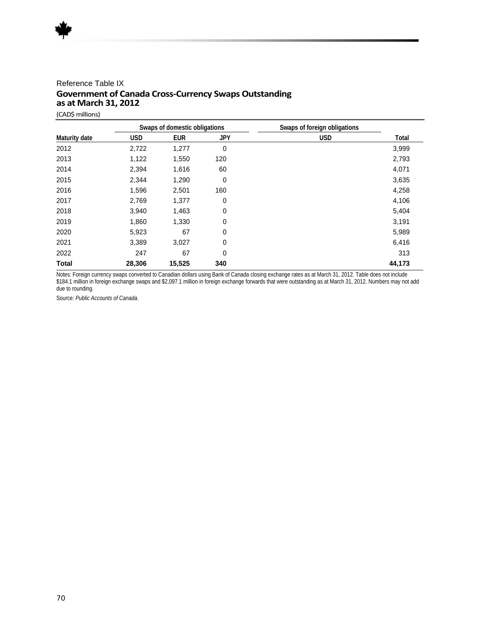#### Reference Table IX **Government of Canada Cross-Currency Swaps Outstanding as at March 31, 2012**

(CAD\$ millions)

|               | Swaps of domestic obligations |            |            | Swaps of foreign obligations |        |
|---------------|-------------------------------|------------|------------|------------------------------|--------|
| Maturity date | <b>USD</b>                    | <b>EUR</b> | <b>JPY</b> | <b>USD</b>                   | Total  |
| 2012          | 2,722                         | 1,277      | 0          |                              | 3,999  |
| 2013          | 1,122                         | 1,550      | 120        |                              | 2,793  |
| 2014          | 2,394                         | 1,616      | 60         |                              | 4,071  |
| 2015          | 2,344                         | 1,290      | 0          |                              | 3,635  |
| 2016          | 1,596                         | 2,501      | 160        |                              | 4,258  |
| 2017          | 2,769                         | 1,377      | 0          |                              | 4,106  |
| 2018          | 3,940                         | 1,463      | 0          |                              | 5,404  |
| 2019          | 1,860                         | 1,330      | 0          |                              | 3,191  |
| 2020          | 5,923                         | 67         | 0          |                              | 5,989  |
| 2021          | 3,389                         | 3,027      | 0          |                              | 6,416  |
| 2022          | 247                           | 67         | 0          |                              | 313    |
| <b>Total</b>  | 28,306                        | 15,525     | 340        |                              | 44,173 |

Notes: Foreign currency swaps converted to Canadian dollars using Bank of Canada closing exchange rates as at March 31, 2012. Table does not include \$184.1 million in foreign exchange swaps and \$2,097.1 million in foreign exchange forwards that were outstanding as at March 31, 2012. Numbers may not add due to rounding.

Source: *Public Accounts of Canada*.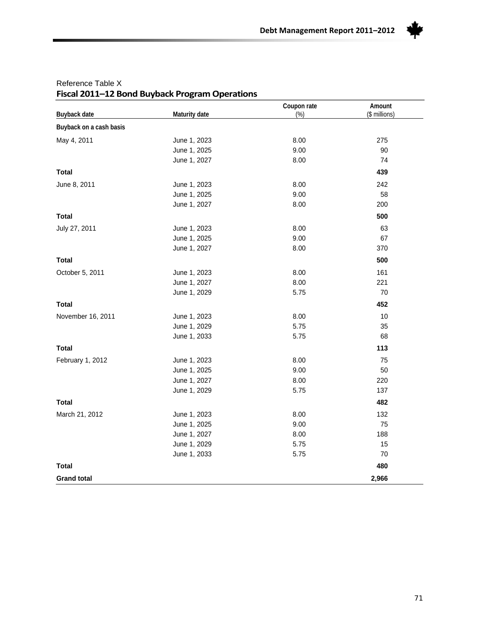

| Buyback date            | Maturity date | Coupon rate<br>(%) | Amount<br>(\$ millions) |
|-------------------------|---------------|--------------------|-------------------------|
| Buyback on a cash basis |               |                    |                         |
| May 4, 2011             | June 1, 2023  | 8.00               | 275                     |
|                         | June 1, 2025  | 9.00               | 90                      |
|                         | June 1, 2027  | 8.00               | 74                      |
| <b>Total</b>            |               |                    | 439                     |
| June 8, 2011            | June 1, 2023  | 8.00               | 242                     |
|                         | June 1, 2025  | 9.00               | 58                      |
|                         | June 1, 2027  | 8.00               | 200                     |
| <b>Total</b>            |               |                    | 500                     |
| July 27, 2011           | June 1, 2023  | 8.00               | 63                      |
|                         | June 1, 2025  | 9.00               | 67                      |
|                         | June 1, 2027  | 8.00               | 370                     |
| <b>Total</b>            |               |                    | 500                     |
| October 5, 2011         | June 1, 2023  | 8.00               | 161                     |
|                         | June 1, 2027  | 8.00               | 221                     |
|                         | June 1, 2029  | 5.75               | 70                      |
| <b>Total</b>            |               |                    | 452                     |
| November 16, 2011       | June 1, 2023  | 8.00               | 10                      |
|                         | June 1, 2029  | 5.75               | 35                      |
|                         | June 1, 2033  | 5.75               | 68                      |
| <b>Total</b>            |               |                    | 113                     |
| February 1, 2012        | June 1, 2023  | 8.00               | 75                      |
|                         | June 1, 2025  | 9.00               | 50                      |
|                         | June 1, 2027  | 8.00               | 220                     |
|                         | June 1, 2029  | 5.75               | 137                     |
| <b>Total</b>            |               |                    | 482                     |
| March 21, 2012          | June 1, 2023  | 8.00               | 132                     |
|                         | June 1, 2025  | 9.00               | 75                      |
|                         | June 1, 2027  | 8.00               | 188                     |
|                         | June 1, 2029  | 5.75               | 15                      |
|                         | June 1, 2033  | 5.75               | 70                      |
| <b>Total</b>            |               |                    | 480                     |
| <b>Grand total</b>      |               |                    | 2,966                   |

#### Reference Table X **Fiscal 2011–12 Bond Buyback Program Operations**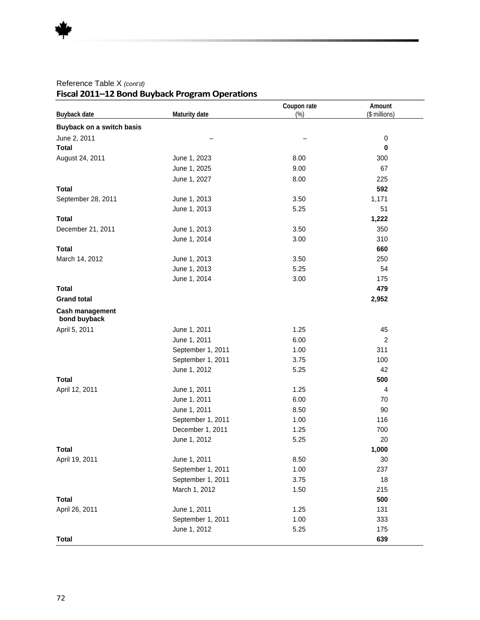| Buyback date                           | Maturity date     | Coupon rate<br>$(\%)$ | Amount<br>(\$ millions) |
|----------------------------------------|-------------------|-----------------------|-------------------------|
| Buyback on a switch basis              |                   |                       |                         |
| June 2, 2011                           |                   |                       | $\pmb{0}$               |
| <b>Total</b>                           |                   |                       | $\mathbf 0$             |
| August 24, 2011                        | June 1, 2023      | 8.00                  | 300                     |
|                                        | June 1, 2025      | 9.00                  | 67                      |
|                                        | June 1, 2027      | 8.00                  | 225                     |
| <b>Total</b>                           |                   |                       | 592                     |
| September 28, 2011                     | June 1, 2013      | 3.50                  | 1,171                   |
|                                        | June 1, 2013      | 5.25                  | 51                      |
| <b>Total</b>                           |                   |                       | 1,222                   |
| December 21, 2011                      | June 1, 2013      | 3.50                  | 350                     |
|                                        | June 1, 2014      | 3.00                  | 310                     |
| <b>Total</b>                           |                   |                       | 660                     |
| March 14, 2012                         | June 1, 2013      | 3.50                  | 250                     |
|                                        | June 1, 2013      | 5.25                  | 54                      |
|                                        | June 1, 2014      | 3.00                  | 175                     |
| <b>Total</b>                           |                   |                       | 479                     |
| <b>Grand total</b>                     |                   |                       | 2,952                   |
| <b>Cash management</b><br>bond buyback |                   |                       |                         |
| April 5, 2011                          | June 1, 2011      | 1.25                  | 45                      |
|                                        | June 1, 2011      | 6.00                  | $\overline{2}$          |
|                                        | September 1, 2011 | 1.00                  | 311                     |
|                                        | September 1, 2011 | 3.75                  | 100                     |
|                                        | June 1, 2012      | 5.25                  | 42                      |
| <b>Total</b>                           |                   |                       | 500                     |
| April 12, 2011                         | June 1, 2011      | 1.25                  | 4                       |
|                                        | June 1, 2011      | 6.00                  | 70                      |
|                                        | June 1, 2011      | 8.50                  | 90                      |
|                                        | September 1, 2011 | 1.00                  | 116                     |
|                                        | December 1, 2011  | 1.25                  | 700                     |
|                                        | June 1, 2012      | 5.25                  | 20                      |
| <b>Total</b>                           |                   |                       | 1,000                   |
| April 19, 2011                         | June 1, 2011      | 8.50                  | 30                      |
|                                        | September 1, 2011 | 1.00                  | 237                     |
|                                        | September 1, 2011 | 3.75                  | 18                      |
|                                        | March 1, 2012     | 1.50                  | 215                     |
| <b>Total</b>                           |                   |                       | 500                     |
| April 26, 2011                         | June 1, 2011      | 1.25                  | 131                     |
|                                        | September 1, 2011 | 1.00                  | 333                     |
|                                        | June 1, 2012      | 5.25                  | 175                     |
| <b>Total</b>                           |                   |                       | 639                     |

#### Reference Table X *(cont'd)* **Fiscal 2011–12 Bond Buyback Program Operations**

 $\mathbf{r} = \mathbf{r} \cdot \mathbf{r}$  , where  $\mathbf{r} = \mathbf{r} \cdot \mathbf{r}$  , where  $\mathbf{r} = \mathbf{r} \cdot \mathbf{r}$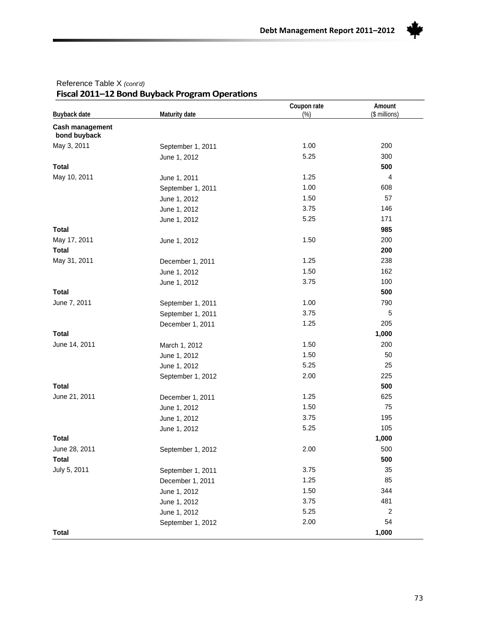

| Buyback date                           | Maturity date     | Coupon rate<br>$(\%)$                                                                                                                                                                                                                                                                                                                                                                                                                                                                                                                                                                                                                               | Amount<br>(\$ millions) |
|----------------------------------------|-------------------|-----------------------------------------------------------------------------------------------------------------------------------------------------------------------------------------------------------------------------------------------------------------------------------------------------------------------------------------------------------------------------------------------------------------------------------------------------------------------------------------------------------------------------------------------------------------------------------------------------------------------------------------------------|-------------------------|
| <b>Cash management</b><br>bond buyback |                   |                                                                                                                                                                                                                                                                                                                                                                                                                                                                                                                                                                                                                                                     |                         |
| May 3, 2011                            | September 1, 2011 | 1.00<br>5.25<br>June 1, 2012<br>1.25<br>June 1, 2011<br>1.00<br>September 1, 2011<br>1.50<br>June 1, 2012<br>3.75<br>June 1, 2012<br>5.25<br>June 1, 2012<br>1.50<br>June 1, 2012<br>1.25<br>December 1, 2011<br>1.50<br>June 1, 2012<br>3.75<br>June 1, 2012<br>1.00<br>September 1, 2011<br>3.75<br>September 1, 2011<br>1.25<br>December 1, 2011<br>1.50<br>March 1, 2012<br>1.50<br>June 1, 2012<br>5.25<br>June 1, 2012<br>2.00<br>September 1, 2012<br>1.25<br>December 1, 2011<br>1.50<br>June 1, 2012<br>3.75<br>June 1, 2012<br>5.25<br>June 1, 2012<br>2.00<br>September 1, 2012<br>3.75<br>September 1, 2011<br>1.25<br>December 1, 2011 | 200                     |
|                                        |                   |                                                                                                                                                                                                                                                                                                                                                                                                                                                                                                                                                                                                                                                     | 300                     |
| <b>Total</b>                           |                   |                                                                                                                                                                                                                                                                                                                                                                                                                                                                                                                                                                                                                                                     | 500                     |
| May 10, 2011                           |                   |                                                                                                                                                                                                                                                                                                                                                                                                                                                                                                                                                                                                                                                     | 4                       |
|                                        |                   |                                                                                                                                                                                                                                                                                                                                                                                                                                                                                                                                                                                                                                                     | 608                     |
|                                        |                   |                                                                                                                                                                                                                                                                                                                                                                                                                                                                                                                                                                                                                                                     | 57                      |
|                                        |                   |                                                                                                                                                                                                                                                                                                                                                                                                                                                                                                                                                                                                                                                     | 146                     |
|                                        |                   |                                                                                                                                                                                                                                                                                                                                                                                                                                                                                                                                                                                                                                                     | 171                     |
| <b>Total</b>                           |                   |                                                                                                                                                                                                                                                                                                                                                                                                                                                                                                                                                                                                                                                     | 985                     |
| May 17, 2011                           |                   |                                                                                                                                                                                                                                                                                                                                                                                                                                                                                                                                                                                                                                                     | 200                     |
| <b>Total</b>                           |                   |                                                                                                                                                                                                                                                                                                                                                                                                                                                                                                                                                                                                                                                     | 200                     |
| May 31, 2011                           |                   |                                                                                                                                                                                                                                                                                                                                                                                                                                                                                                                                                                                                                                                     | 238                     |
|                                        |                   |                                                                                                                                                                                                                                                                                                                                                                                                                                                                                                                                                                                                                                                     | 162                     |
|                                        |                   |                                                                                                                                                                                                                                                                                                                                                                                                                                                                                                                                                                                                                                                     | 100                     |
| <b>Total</b>                           |                   |                                                                                                                                                                                                                                                                                                                                                                                                                                                                                                                                                                                                                                                     | 500                     |
| June 7, 2011                           |                   |                                                                                                                                                                                                                                                                                                                                                                                                                                                                                                                                                                                                                                                     | 790                     |
|                                        |                   |                                                                                                                                                                                                                                                                                                                                                                                                                                                                                                                                                                                                                                                     | 5                       |
|                                        |                   |                                                                                                                                                                                                                                                                                                                                                                                                                                                                                                                                                                                                                                                     | 205                     |
| <b>Total</b>                           |                   |                                                                                                                                                                                                                                                                                                                                                                                                                                                                                                                                                                                                                                                     | 1,000                   |
| June 14, 2011                          |                   |                                                                                                                                                                                                                                                                                                                                                                                                                                                                                                                                                                                                                                                     | 200                     |
|                                        |                   |                                                                                                                                                                                                                                                                                                                                                                                                                                                                                                                                                                                                                                                     | 50                      |
| June 28, 2011                          |                   |                                                                                                                                                                                                                                                                                                                                                                                                                                                                                                                                                                                                                                                     | 25                      |
|                                        |                   |                                                                                                                                                                                                                                                                                                                                                                                                                                                                                                                                                                                                                                                     | 225                     |
| <b>Total</b>                           |                   |                                                                                                                                                                                                                                                                                                                                                                                                                                                                                                                                                                                                                                                     | 500                     |
| June 21, 2011                          |                   |                                                                                                                                                                                                                                                                                                                                                                                                                                                                                                                                                                                                                                                     | 625                     |
|                                        |                   |                                                                                                                                                                                                                                                                                                                                                                                                                                                                                                                                                                                                                                                     | 75                      |
|                                        |                   |                                                                                                                                                                                                                                                                                                                                                                                                                                                                                                                                                                                                                                                     | 195                     |
|                                        |                   |                                                                                                                                                                                                                                                                                                                                                                                                                                                                                                                                                                                                                                                     | 105                     |
| <b>Total</b>                           |                   |                                                                                                                                                                                                                                                                                                                                                                                                                                                                                                                                                                                                                                                     | 1,000                   |
|                                        |                   |                                                                                                                                                                                                                                                                                                                                                                                                                                                                                                                                                                                                                                                     | 500                     |
| Total                                  |                   |                                                                                                                                                                                                                                                                                                                                                                                                                                                                                                                                                                                                                                                     | 500                     |
| July 5, 2011                           |                   |                                                                                                                                                                                                                                                                                                                                                                                                                                                                                                                                                                                                                                                     | 35                      |
|                                        |                   |                                                                                                                                                                                                                                                                                                                                                                                                                                                                                                                                                                                                                                                     | 85                      |
|                                        | June 1, 2012      | 1.50                                                                                                                                                                                                                                                                                                                                                                                                                                                                                                                                                                                                                                                | 344                     |
|                                        | June 1, 2012      | 3.75                                                                                                                                                                                                                                                                                                                                                                                                                                                                                                                                                                                                                                                | 481                     |
|                                        | June 1, 2012      | 5.25                                                                                                                                                                                                                                                                                                                                                                                                                                                                                                                                                                                                                                                | $\overline{c}$          |
|                                        | September 1, 2012 | 2.00                                                                                                                                                                                                                                                                                                                                                                                                                                                                                                                                                                                                                                                | 54                      |
| <b>Total</b>                           |                   |                                                                                                                                                                                                                                                                                                                                                                                                                                                                                                                                                                                                                                                     | 1,000                   |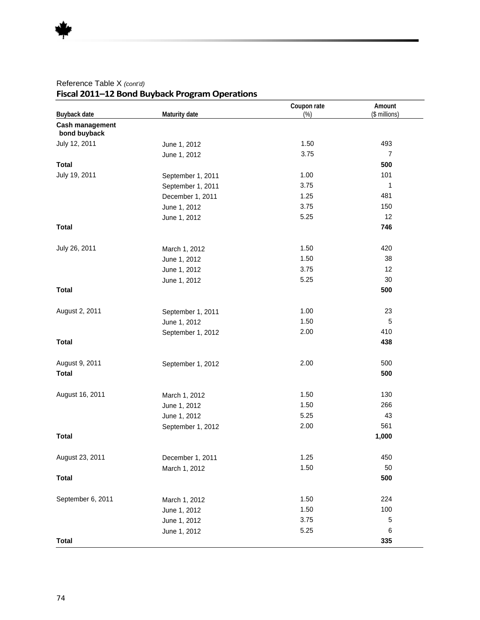| Buyback date                    | Maturity date     | Coupon rate<br>$(\%)$ | Amount<br>(\$ millions) |
|---------------------------------|-------------------|-----------------------|-------------------------|
| Cash management<br>bond buyback |                   |                       |                         |
| July 12, 2011                   | June 1, 2012      | 1.50                  | 493                     |
|                                 | June 1, 2012      | 3.75                  | $\overline{7}$          |
| <b>Total</b>                    |                   |                       | 500                     |
| July 19, 2011                   | September 1, 2011 | 1.00                  | 101                     |
|                                 | September 1, 2011 | 3.75                  | 1                       |
|                                 | December 1, 2011  | 1.25                  | 481                     |
|                                 | June 1, 2012      | 3.75                  | 150                     |
|                                 | June 1, 2012      | 5.25                  | 12                      |
| <b>Total</b>                    |                   |                       | 746                     |
| July 26, 2011                   | March 1, 2012     | 1.50                  | 420                     |
|                                 | June 1, 2012      | 1.50                  | 38                      |
|                                 | June 1, 2012      | 3.75                  | 12                      |
|                                 | June 1, 2012      | 5.25                  | 30                      |
| <b>Total</b>                    |                   |                       | 500                     |
| August 2, 2011                  | September 1, 2011 | 1.00                  | 23                      |
|                                 | June 1, 2012      | 1.50                  | 5                       |
|                                 | September 1, 2012 | 2.00                  | 410                     |
| <b>Total</b>                    |                   |                       | 438                     |
| August 9, 2011                  | September 1, 2012 | 2.00                  | 500                     |
| <b>Total</b>                    |                   |                       | 500                     |
| August 16, 2011                 | March 1, 2012     | 1.50                  | 130                     |
|                                 | June 1, 2012      | 1.50                  | 266                     |
|                                 | June 1, 2012      | 5.25                  | 43                      |
|                                 | September 1, 2012 | 2.00                  | 561                     |
| <b>Total</b>                    |                   |                       | 1,000                   |
| August 23, 2011                 | December 1, 2011  | 1.25                  | 450                     |
|                                 | March 1, 2012     | 1.50                  | 50                      |
| <b>Total</b>                    |                   |                       | 500                     |
| September 6, 2011               | March 1, 2012     | 1.50                  | 224                     |
|                                 | June 1, 2012      | 1.50                  | 100                     |
|                                 | June 1, 2012      | 3.75                  | 5                       |
|                                 | June 1, 2012      | 5.25                  | 6                       |
| <b>Total</b>                    |                   |                       | 335                     |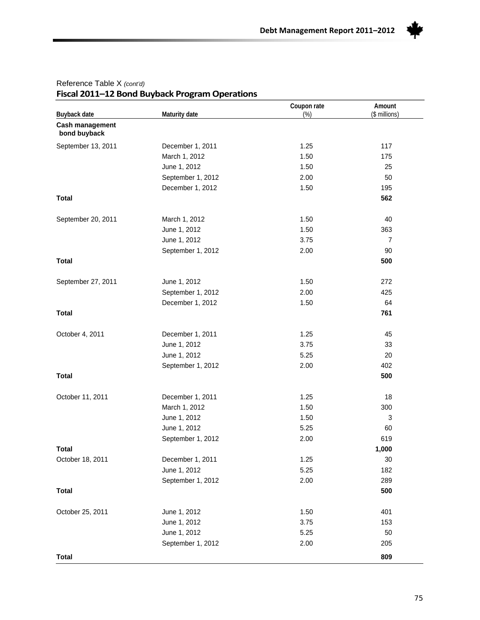

| Buyback date                    | Maturity date     | Coupon rate<br>(%) | Amount<br>(\$ millions) |
|---------------------------------|-------------------|--------------------|-------------------------|
| Cash management<br>bond buyback |                   |                    |                         |
| September 13, 2011              | December 1, 2011  | 1.25               | 117                     |
|                                 | March 1, 2012     | 1.50               | 175                     |
|                                 | June 1, 2012      | 1.50               | 25                      |
|                                 | September 1, 2012 | 2.00               | 50                      |
|                                 | December 1, 2012  | 1.50               | 195                     |
| <b>Total</b>                    |                   |                    | 562                     |
| September 20, 2011              | March 1, 2012     | 1.50               | 40                      |
|                                 | June 1, 2012      | 1.50               | 363                     |
|                                 | June 1, 2012      | 3.75               | $\overline{7}$          |
|                                 | September 1, 2012 | 2.00               | 90                      |
| <b>Total</b>                    |                   |                    | 500                     |
| September 27, 2011              | June 1, 2012      | 1.50               | 272                     |
|                                 | September 1, 2012 | 2.00               | 425                     |
|                                 | December 1, 2012  | 1.50               | 64                      |
| <b>Total</b>                    |                   |                    | 761                     |
| October 4, 2011                 | December 1, 2011  | 1.25               | 45                      |
|                                 | June 1, 2012      | 3.75               | 33                      |
|                                 | June 1, 2012      | 5.25               | 20                      |
|                                 | September 1, 2012 | 2.00               | 402                     |
| <b>Total</b>                    |                   |                    | 500                     |
| October 11, 2011                | December 1, 2011  | 1.25               | 18                      |
|                                 | March 1, 2012     | 1.50               | 300                     |
|                                 | June 1, 2012      | 1.50               | 3                       |
|                                 | June 1, 2012      | 5.25               | 60                      |
|                                 | September 1, 2012 | 2.00               | 619                     |
| <b>Total</b>                    |                   |                    | 1,000                   |
| October 18, 2011                | December 1, 2011  | 1.25               | 30                      |
|                                 | June 1, 2012      | 5.25               | 182                     |
|                                 | September 1, 2012 | 2.00               | 289                     |
| <b>Total</b>                    |                   |                    | 500                     |
| October 25, 2011                | June 1, 2012      | 1.50               | 401                     |
|                                 | June 1, 2012      | 3.75               | 153                     |
|                                 | June 1, 2012      | 5.25               | 50                      |
|                                 | September 1, 2012 | 2.00               | 205                     |
| <b>Total</b>                    |                   |                    | 809                     |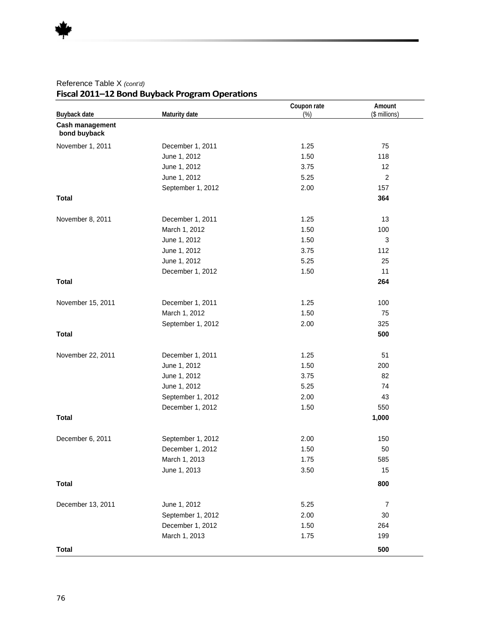| Buyback date                    | Maturity date     | Coupon rate<br>$(\%)$ | Amount<br>(\$ millions) |
|---------------------------------|-------------------|-----------------------|-------------------------|
| Cash management<br>bond buyback |                   |                       |                         |
| November 1, 2011                | December 1, 2011  | 1.25                  | 75                      |
|                                 | June 1, 2012      | 1.50                  | 118                     |
|                                 | June 1, 2012      | 3.75                  | 12                      |
|                                 | June 1, 2012      | 5.25                  | $\overline{c}$          |
|                                 | September 1, 2012 | 2.00                  | 157                     |
| <b>Total</b>                    |                   |                       | 364                     |
| November 8, 2011                | December 1, 2011  | 1.25                  | 13                      |
|                                 | March 1, 2012     | 1.50                  | 100                     |
|                                 | June 1, 2012      | 1.50                  | $\sqrt{3}$              |
|                                 | June 1, 2012      | 3.75                  | 112                     |
|                                 | June 1, 2012      | 5.25                  | 25                      |
|                                 | December 1, 2012  | 1.50                  | 11                      |
| <b>Total</b>                    |                   |                       | 264                     |
| November 15, 2011               | December 1, 2011  | 1.25                  | 100                     |
|                                 | March 1, 2012     | 1.50                  | 75                      |
|                                 | September 1, 2012 | 2.00                  | 325                     |
| <b>Total</b>                    |                   |                       | 500                     |
| November 22, 2011               | December 1, 2011  | 1.25                  | 51                      |
|                                 | June 1, 2012      | 1.50                  | 200                     |
|                                 | June 1, 2012      | 3.75                  | 82                      |
|                                 | June 1, 2012      | 5.25                  | 74                      |
|                                 | September 1, 2012 | 2.00                  | 43                      |
|                                 | December 1, 2012  | 1.50                  | 550                     |
| <b>Total</b>                    |                   |                       | 1,000                   |
| December 6, 2011                | September 1, 2012 | 2.00                  | 150                     |
|                                 | December 1, 2012  | 1.50                  | 50                      |
|                                 | March 1, 2013     | 1.75                  | 585                     |
|                                 | June 1, 2013      | 3.50                  | 15                      |
| <b>Total</b>                    |                   |                       | 800                     |
| December 13, 2011               | June 1, 2012      | 5.25                  | 7                       |
|                                 | September 1, 2012 | 2.00                  | 30                      |
|                                 | December 1, 2012  | 1.50                  | 264                     |
|                                 | March 1, 2013     | 1.75                  | 199                     |
| <b>Total</b>                    |                   |                       | 500                     |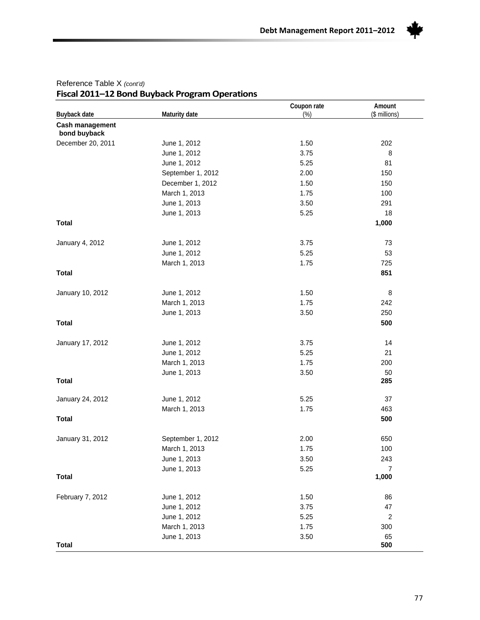

| Buyback date                    | Maturity date     | Coupon rate<br>(%) | Amount<br>(\$ millions) |
|---------------------------------|-------------------|--------------------|-------------------------|
| Cash management<br>bond buyback |                   |                    |                         |
| December 20, 2011               | June 1, 2012      | 1.50               | 202                     |
|                                 | June 1, 2012      | 3.75               | 8                       |
|                                 | June 1, 2012      | 5.25               | 81                      |
|                                 | September 1, 2012 | 2.00               | 150                     |
|                                 | December 1, 2012  | 1.50               | 150                     |
|                                 | March 1, 2013     | 1.75               | 100                     |
|                                 | June 1, 2013      | 3.50               | 291                     |
|                                 | June 1, 2013      | 5.25               | 18                      |
| <b>Total</b>                    |                   |                    | 1,000                   |
| January 4, 2012                 | June 1, 2012      | 3.75               | 73                      |
|                                 | June 1, 2012      | 5.25               | 53                      |
|                                 | March 1, 2013     | 1.75               | 725                     |
| <b>Total</b>                    |                   |                    | 851                     |
| January 10, 2012                | June 1, 2012      | 1.50               | 8                       |
|                                 | March 1, 2013     | 1.75               | 242                     |
|                                 | June 1, 2013      | 3.50               | 250                     |
| <b>Total</b>                    |                   |                    | 500                     |
| January 17, 2012                | June 1, 2012      | 3.75               | 14                      |
|                                 | June 1, 2012      | 5.25               | 21                      |
|                                 | March 1, 2013     | 1.75               | 200                     |
|                                 | June 1, 2013      | 3.50               | 50                      |
| <b>Total</b>                    |                   |                    | 285                     |
| January 24, 2012                | June 1, 2012      | 5.25               | 37                      |
|                                 | March 1, 2013     | 1.75               | 463                     |
| <b>Total</b>                    |                   |                    | 500                     |
| January 31, 2012                | September 1, 2012 | 2.00               | 650                     |
|                                 | March 1, 2013     | 1.75               | 100                     |
|                                 | June 1, 2013      | 3.50               | 243                     |
|                                 | June 1, 2013      | 5.25               | 7                       |
| <b>Total</b>                    |                   |                    | 1,000                   |
| February 7, 2012                | June 1, 2012      | 1.50               | 86                      |
|                                 | June 1, 2012      | 3.75               | 47                      |
|                                 | June 1, 2012      | 5.25               | $\sqrt{2}$              |
|                                 | March 1, 2013     | 1.75               | 300                     |
|                                 | June 1, 2013      | 3.50               | 65                      |
| <b>Total</b>                    |                   |                    | 500                     |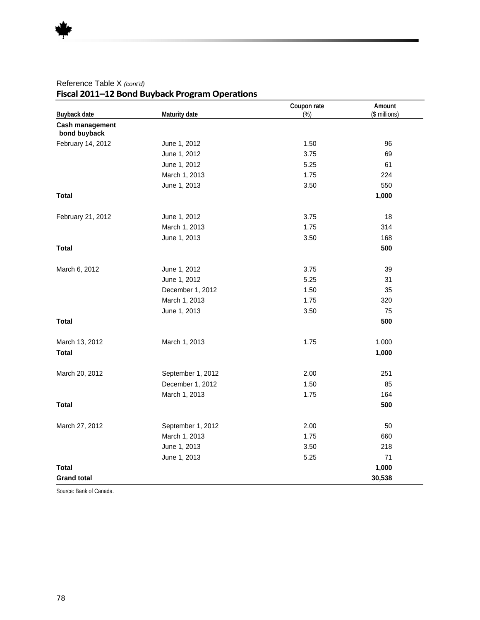| Buyback date                    | Maturity date     | Coupon rate<br>(%) | Amount<br>(\$ millions) |
|---------------------------------|-------------------|--------------------|-------------------------|
| Cash management<br>bond buyback |                   |                    |                         |
| February 14, 2012               | June 1, 2012      | 1.50               | 96                      |
|                                 | June 1, 2012      | 3.75               | 69                      |
|                                 | June 1, 2012      | 5.25               | 61                      |
|                                 | March 1, 2013     | 1.75               | 224                     |
|                                 | June 1, 2013      | 3.50               | 550                     |
| <b>Total</b>                    |                   |                    | 1,000                   |
| February 21, 2012               | June 1, 2012      | 3.75               | 18                      |
|                                 | March 1, 2013     | 1.75               | 314                     |
|                                 | June 1, 2013      | 3.50               | 168                     |
| <b>Total</b>                    |                   |                    | 500                     |
| March 6, 2012                   | June 1, 2012      | 3.75               | 39                      |
|                                 | June 1, 2012      | 5.25               | 31                      |
|                                 | December 1, 2012  | 1.50               | 35                      |
|                                 | March 1, 2013     | 1.75               | 320                     |
|                                 | June 1, 2013      | 3.50               | 75                      |
| <b>Total</b>                    |                   |                    | 500                     |
| March 13, 2012                  | March 1, 2013     | 1.75               | 1,000                   |
| <b>Total</b>                    |                   |                    | 1,000                   |
| March 20, 2012                  | September 1, 2012 | 2.00               | 251                     |
|                                 | December 1, 2012  | 1.50               | 85                      |
|                                 | March 1, 2013     | 1.75               | 164                     |
| <b>Total</b>                    |                   |                    | 500                     |
| March 27, 2012                  | September 1, 2012 | 2.00               | 50                      |
|                                 | March 1, 2013     | 1.75               | 660                     |
|                                 | June 1, 2013      | 3.50               | 218                     |
|                                 | June 1, 2013      | 5.25               | 71                      |
| Total                           |                   |                    | 1,000                   |
| <b>Grand total</b>              |                   |                    | 30,538                  |

Source: Bank of Canada.